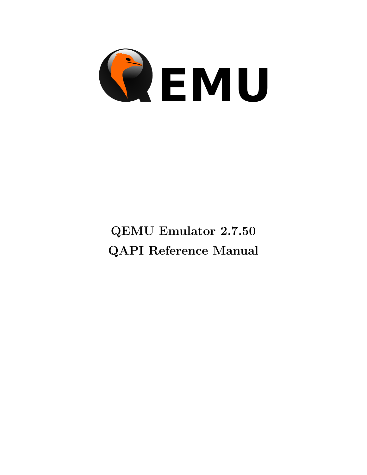

QEMU Emulator 2.7.50 QAPI Reference Manual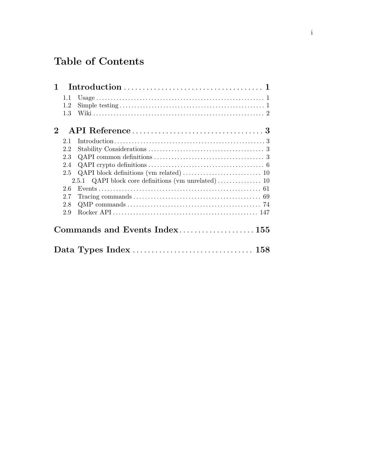# Table of Contents

| $\mathbf{1}$ |     |  |
|--------------|-----|--|
|              | 1.1 |  |
|              | 1.2 |  |
|              | 1.3 |  |
|              |     |  |
|              | 2.1 |  |
|              | 2.2 |  |
|              | 2.3 |  |
|              | 2.4 |  |
|              | 2.5 |  |
|              |     |  |
|              | 2.6 |  |
|              | 2.7 |  |
|              | 2.8 |  |
|              | 2.9 |  |
|              |     |  |
|              |     |  |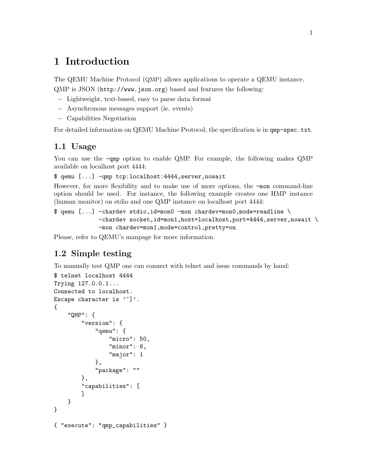# <span id="page-2-0"></span>1 Introduction

The QEMU Machine Protocol (QMP) allows applications to operate a QEMU instance.

QMP is JSON (<http://www.json.org>) based and features the following:

- − Lightweight, text-based, easy to parse data format
- − Asynchronous messages support (ie. events)
- − Capabilities Negotiation

For detailed information on QEMU Machine Protocol, the specification is in  $qmp\text{-spec.txt}$ .

# 1.1 Usage

You can use the  $\text{-qmp}$  option to enable QMP. For example, the following makes QMP available on localhost port 4444:

\$ qemu [...] -qmp tcp:localhost:4444,server,nowait

However, for more flexibility and to make use of more options, the -mon command-line option should be used. For instance, the following example creates one HMP instance (human monitor) on stdio and one QMP instance on localhost port 4444:

```
\gemu [...] -chardev stdio,id=mon0 -mon chardev=mon0,mode=readline \
             -chardev socket, id=mon1, host=localhost, port=4444, server, nowait \
             -mon chardev=mon1,mode=control,pretty=on
```
Please, refer to QEMU's manpage for more information.

# 1.2 Simple testing

To manually test QMP one can connect with telnet and issue commands by hand:

```
$ telnet localhost 4444
Trying 127.0.0.1...
Connected to localhost.
Escape character is '\hat{\ }.
{
    "QMP": {
        "version": {
             "qemu": {
                 "micro": 50,
                 "minor": 6,
                 "major": 1
            },
             "package": ""
        },
        "capabilities": [
        ]
    }
}
{ "execute": "qmp_capabilities" }
```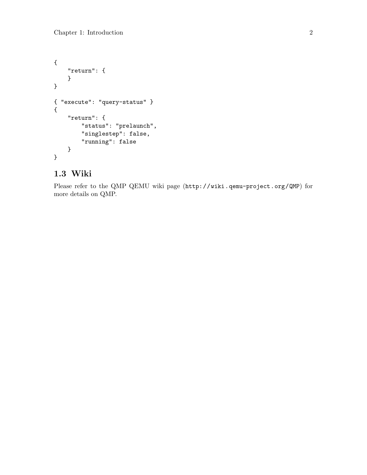```
{
    "return": {
    }
}
{ "execute": "query-status" }
{
    "return": {
        "status": "prelaunch",
        "singlestep": false,
        "running": false
    }
}
```
# 1.3 Wiki

Please refer to the QMP QEMU wiki page (<http://wiki.qemu-project.org/QMP>) for more details on QMP.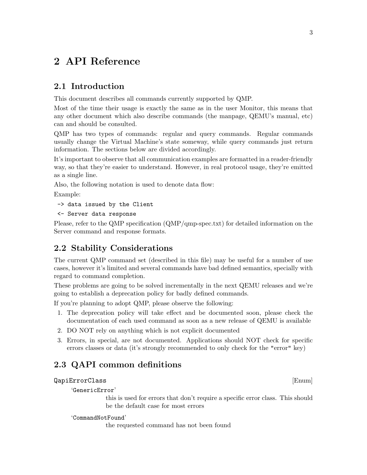# <span id="page-4-0"></span>2 API Reference

# 2.1 Introduction

This document describes all commands currently supported by QMP.

Most of the time their usage is exactly the same as in the user Monitor, this means that any other document which also describe commands (the manpage, QEMU's manual, etc) can and should be consulted.

QMP has two types of commands: regular and query commands. Regular commands usually change the Virtual Machine's state someway, while query commands just return information. The sections below are divided accordingly.

It's important to observe that all communication examples are formatted in a reader-friendly way, so that they're easier to understand. However, in real protocol usage, they're emitted as a single line.

Also, the following notation is used to denote data flow:

Example:

```
-> data issued by the Client
```

```
<- Server data response
```
Please, refer to the QMP specification (QMP/qmp-spec.txt) for detailed information on the Server command and response formats.

# 2.2 Stability Considerations

The current QMP command set (described in this file) may be useful for a number of use cases, however it's limited and several commands have bad defined semantics, specially with regard to command completion.

These problems are going to be solved incrementally in the next QEMU releases and we're going to establish a deprecation policy for badly defined commands.

If you're planning to adopt QMP, please observe the following:

- 1. The deprecation policy will take effect and be documented soon, please check the documentation of each used command as soon as a new release of QEMU is available
- 2. DO NOT rely on anything which is not explicit documented
- 3. Errors, in special, are not documented. Applications should NOT check for specific errors classes or data (it's strongly recommended to only check for the "error" key)

# 2.3 QAPI common definitions

# QapiErrorClass [Enum]

'GenericError'

this is used for errors that don't require a specific error class. This should be the default case for most errors

# 'CommandNotFound'

the requested command has not been found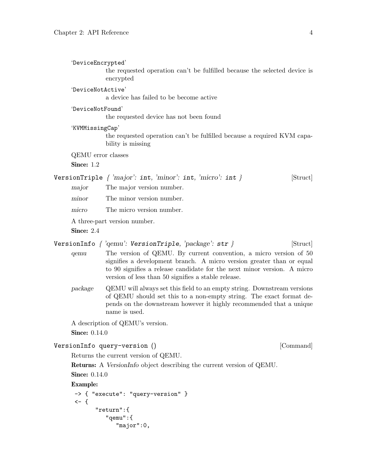'DeviceEncrypted'

the requested operation can't be fulfilled because the selected device is encrypted

'DeviceNotActive'

a device has failed to be become active

# 'DeviceNotFound'

the requested device has not been found

# 'KVMMissingCap'

the requested operation can't be fulfilled because a required KVM capability is missing

QEMU error classes

Since: 1.2

| VersionTriple $\{ 'major': int, 'minor': int, 'micro': int \}$ |  |  |  |  |  | [Struct] |
|----------------------------------------------------------------|--|--|--|--|--|----------|
|----------------------------------------------------------------|--|--|--|--|--|----------|

- major The major version number.
- minor The minor version number.
- micro The micro version number.

A three-part version number.

Since: 2.4

VersionInfo  $\{ 'qemu' : VersionTriple, 'package': str \}$  [Struct]

- qemu The version of QEMU. By current convention, a micro version of 50 signifies a development branch. A micro version greater than or equal to 90 signifies a release candidate for the next minor version. A micro version of less than 50 signifies a stable release.
- package QEMU will always set this field to an empty string. Downstream versions of QEMU should set this to a non-empty string. The exact format depends on the downstream however it highly recommended that a unique name is used.

A description of QEMU's version.

Since: 0.14.0

# VersionInfo query-version () [Command]

Returns the current version of QEMU.

Returns: A VersionInfo object describing the current version of QEMU.

**Since:** 0.14.0

# Example:

```
-> { "execute": "query-version" }
<- {
      "return":{
         "qemu":{
            "major":0,
```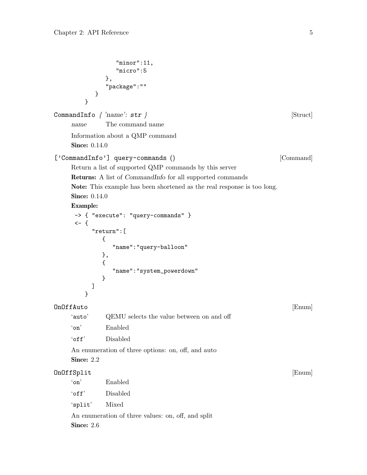```
"minor":11,
               "micro":5
            },
             "package":""
          }
       }
CommandInfo \{ 'name': str \} [Struct]
    name The command name
    Information about a QMP command
    Since: 0.14.0
['CommandInfo'] query-commands () [Command]
    Return a list of supported QMP commands by this server
    Returns: A list of CommandInfo for all supported commands
    Note: This example has been shortened as the real response is too long.
    Since: 0.14.0
    Example:
     -> { "execute": "query-commands" }
     \leftarrow {
         "return":[
            {
              "name":"query-balloon"
            },
            {
              "name":"system_powerdown"
            }
         ]
       }
OnOffAuto [Enum]
    'auto' QEMU selects the value between on and off
    'on' Enabled
    'off' Disabled
    An enumeration of three options: on, off, and auto
    Since: 2.2
OnOffSplit [Enum]
    'on' Enabled
    'off' Disabled
    'split' Mixed
    An enumeration of three values: on, off, and split
    Since: 2.6
```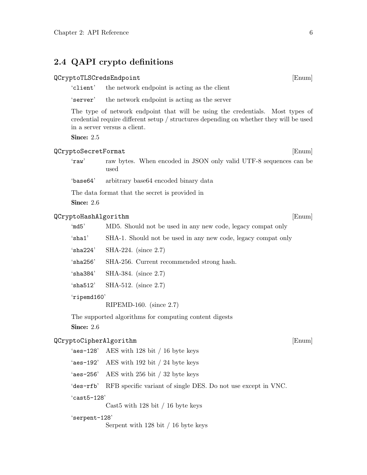# <span id="page-7-0"></span>2.4 QAPI crypto definitions

# QCryptoTLSCredsEndpoint [Enum]

'client' the network endpoint is acting as the client

'server' the network endpoint is acting as the server

The type of network endpoint that will be using the credentials. Most types of credential require different setup / structures depending on whether they will be used in a server versus a client.

Since: 2.5

# QCryptoSecretFormat [Enum]

'raw' raw bytes. When encoded in JSON only valid UTF-8 sequences can be used

'base64' arbitrary base64 encoded binary data

The data format that the secret is provided in

Since: 2.6

# QCryptoHashAlgorithm [Enum]

'md5' MD5. Should not be used in any new code, legacy compat only

'sha1' SHA-1. Should not be used in any new code, legacy compat only

'sha224' SHA-224. (since 2.7)

'sha256' SHA-256. Current recommended strong hash.

'sha384' SHA-384. (since 2.7)

'sha512' SHA-512. (since 2.7)

#### 'ripemd160'

RIPEMD-160. (since 2.7)

The supported algorithms for computing content digests

**Since: 2.6** 

# QCryptoCipherAlgorithm [Enum]

'aes-128' AES with 128 bit / 16 byte keys

'aes-192' AES with 192 bit / 24 byte keys

'aes-256' AES with 256 bit / 32 byte keys

'des-rfb' RFB specific variant of single DES. Do not use except in VNC.

## 'cast5-128'

Cast5 with 128 bit / 16 byte keys

## 'serpent-128'

Serpent with 128 bit / 16 byte keys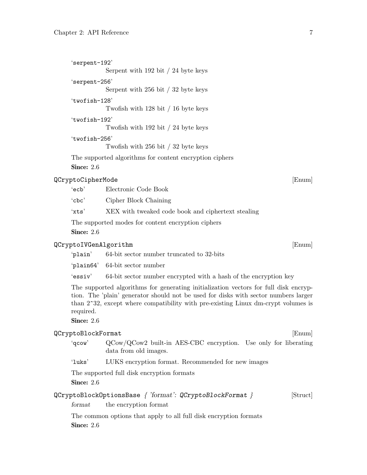'serpent-192'

Serpent with 192 bit / 24 byte keys 'serpent-256' Serpent with 256 bit / 32 byte keys 'twofish-128' Twofish with 128 bit / 16 byte keys 'twofish-192' Twofish with 192 bit / 24 byte keys 'twofish-256' Twofish with 256 bit / 32 byte keys The supported algorithms for content encryption ciphers Since: 2.6

# QCryptoCipherMode [Enum]

'ecb' Electronic Code Book

'cbc' Cipher Block Chaining

'xts' XEX with tweaked code book and ciphertext stealing

The supported modes for content encryption ciphers

**Since: 2.6** 

# QCryptoIVGenAlgorithm [Enum]

'plain' 64-bit sector number truncated to 32-bits

'plain64' 64-bit sector number

'essiv' 64-bit sector number encrypted with a hash of the encryption key

The supported algorithms for generating initialization vectors for full disk encryption. The 'plain' generator should not be used for disks with sector numbers larger than 2^32, except where compatibility with pre-existing Linux dm-crypt volumes is required.

**Since: 2.6** 

# QCryptoBlockFormat [Enum]

'qcow' QCow/QCow2 built-in AES-CBC encryption. Use only for liberating data from old images.

'luks' LUKS encryption format. Recommended for new images

The supported full disk encryption formats

**Since: 2.6** 

# QCryptoBlockOptionsBase { 'format': QCryptoBlockFormat } [Struct]

format the encryption format

The common options that apply to all full disk encryption formats **Since: 2.6**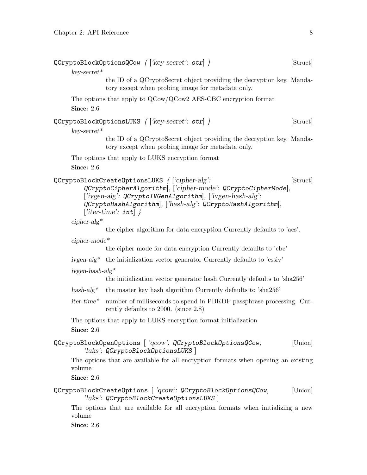```
QCryptoBlockOptionsQCow /['key-secret': str] [Struct]
```
key-secret\*

the ID of a QCryptoSecret object providing the decryption key. Mandatory except when probing image for metadata only.

The options that apply to QCow/QCow2 AES-CBC encryption format **Since: 2.6** 

```
QCryptoBlockOptionsLUKS { ['key-secret': str] } [Struct]
```

```
key\text{-}secret*
```
the ID of a QCryptoSecret object providing the decryption key. Mandatory except when probing image for metadata only.

The options that apply to LUKS encryption format **Since: 2.6** 

```
QCryptoBlockCreateOptionsLUKS { ['cipher-alg': [Struct]
```
QCryptoCipherAlgorithm], ['cipher-mode': QCryptoCipherMode], ['ivgen-alg': QCryptoIVGenAlgorithm], ['ivgen-hash-alg': QCryptoHashAlgorithm], ['hash-alg': QCryptoHashAlgorithm], ['iter-time':  $int$ ] }

 $cipher-alg*$ 

the cipher algorithm for data encryption Currently defaults to 'aes'.

# cipher-mode\*

the cipher mode for data encryption Currently defaults to 'cbc'

ivgen-alg\* the initialization vector generator Currently defaults to 'essiv'

# ivgen-hash-alg\*

the initialization vector generator hash Currently defaults to 'sha256'

hash-alg<sup>\*</sup> the master key hash algorithm Currently defaults to 'sha256'

iter-time\* number of milliseconds to spend in PBKDF passphrase processing. Currently defaults to 2000. (since 2.8)

The options that apply to LUKS encryption format initialization **Since: 2.6** 

```
QCryptoBlockOpenOptions [ 'qcov: QCryptoBlockOptionsQCow, [Union]'luks': QCryptoBlockOptionsLUKS ]
```
The options that are available for all encryption formats when opening an existing volume

Since: 2.6

```
QCryptoBlockCreateOptions [ 'qcow': QCryptoBlockOptions QCow,'luks': QCryptoBlockCreateOptionsLUKS ]
```
The options that are available for all encryption formats when initializing a new volume

**Since: 2.6**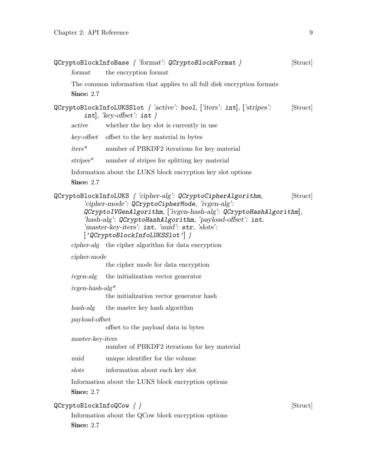|                                | $QCryptoBlockInfoBase / 'format': QCryptoBlockFormat$                                                                                                                                                                                                                                                                                                   | [Struct] |
|--------------------------------|---------------------------------------------------------------------------------------------------------------------------------------------------------------------------------------------------------------------------------------------------------------------------------------------------------------------------------------------------------|----------|
| format                         | the encryption format                                                                                                                                                                                                                                                                                                                                   |          |
| Since: 2.7                     | The common information that applies to all full disk encryption formats                                                                                                                                                                                                                                                                                 |          |
|                                | $QCryptoBlockInfoLUKSSlot$ { 'active': bool, ['iters': int], ['stripes':<br>int], 'key-offset': int $\}$                                                                                                                                                                                                                                                | [Struct] |
| active                         | whether the key slot is currently in use                                                                                                                                                                                                                                                                                                                |          |
| key-offset                     | offset to the key material in bytes                                                                                                                                                                                                                                                                                                                     |          |
| $iters*$                       | number of PBKDF2 iterations for key material                                                                                                                                                                                                                                                                                                            |          |
| $stripes*$                     | number of stripes for splitting key material                                                                                                                                                                                                                                                                                                            |          |
| Since: 2.7                     | Information about the LUKS block encryption key slot options                                                                                                                                                                                                                                                                                            |          |
|                                | $QCryptoBlockInfoLUKS$ { 'cipher-alg': $QCryptoCipherAlgorithm$ ,<br>'cipher-mode': QCryptoCipherMode, 'ivgen-alg':<br>$QC$ ryptoIVGenAlgorithm, $ $ 'ivgen-hash-alg': $QC$ ryptoHashAlgorithm $ ,$<br>'hash-alg': QCryptoHashAlgorithm, 'payload-offset': int,<br>'master-key-iters': int, 'uuid': str, 'slots':<br>$[ 'QCryptoBlockInfoLUKSSlot' ]$ } | [Struct] |
|                                | cipher-alg the cipher algorithm for data encryption                                                                                                                                                                                                                                                                                                     |          |
| cipher-mode                    |                                                                                                                                                                                                                                                                                                                                                         |          |
|                                | the cipher mode for data encryption                                                                                                                                                                                                                                                                                                                     |          |
| <i>ivgen-alg</i>               | the initialization vector generator                                                                                                                                                                                                                                                                                                                     |          |
| $i$ <sub>vgen-hash-alg</sub> * | the initialization vector generator hash                                                                                                                                                                                                                                                                                                                |          |
| hash-alg                       | the master key hash algorithm                                                                                                                                                                                                                                                                                                                           |          |
| payload-offset                 | offset to the payload data in bytes                                                                                                                                                                                                                                                                                                                     |          |
| master-key-iters               | number of PBKDF2 iterations for key material                                                                                                                                                                                                                                                                                                            |          |
| uuid                           | unique identifier for the volume                                                                                                                                                                                                                                                                                                                        |          |
| slots                          | information about each key slot                                                                                                                                                                                                                                                                                                                         |          |
| Since: 2.7                     | Information about the LUKS block encryption options                                                                                                                                                                                                                                                                                                     |          |
|                                | QCryptoBlockInfoQCow /                                                                                                                                                                                                                                                                                                                                  | [Struct] |
| <b>Since: 2.7</b>              | Information about the QCow block encryption options                                                                                                                                                                                                                                                                                                     |          |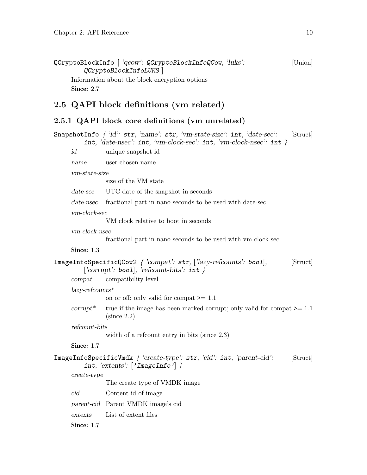<span id="page-11-0"></span>

| QCryptoBlockInfo   'qcow': QCryptoBlockInfoQCow, 'luks':<br>QCryptoBlockInfoLUKS<br>Information about the block encryption options<br>Since: $2.7$ | [Union] |
|----------------------------------------------------------------------------------------------------------------------------------------------------|---------|
| 2.5 QAPI block definitions (vm related)                                                                                                            |         |
| 2.5.1 QAPI block core definitions (vm unrelated)                                                                                                   |         |

|                    | SnapshotInfo { 'id': str, 'name': str, 'vm-state-size': int, 'date-sec':<br>[Struct]<br>int, 'date-nsec': int, 'vm-clock-sec': int, 'vm-clock-nsec': int } |  |
|--------------------|------------------------------------------------------------------------------------------------------------------------------------------------------------|--|
| id                 | unique snapshot id                                                                                                                                         |  |
| name               | user chosen name                                                                                                                                           |  |
| vm-state-size      |                                                                                                                                                            |  |
|                    | size of the VM state                                                                                                                                       |  |
| $date\text{-}sec$  | UTC date of the snapshot in seconds                                                                                                                        |  |
| $date\text{-}nsec$ | fractional part in nano seconds to be used with date-sec                                                                                                   |  |
| vm-clock-sec       |                                                                                                                                                            |  |
|                    | VM clock relative to boot in seconds                                                                                                                       |  |
| vm-clock-nsec      | fractional part in nano seconds to be used with vm-clock-sec                                                                                               |  |
| Since: 1.3         |                                                                                                                                                            |  |
|                    | ImageInfoSpecificQCow2 { 'compat': str, ['lazy-refcounts': bool],<br>[Struct]<br>['corrupt': bool], 'refcount-bits': $int \}$                              |  |
| compact            | compatibility level                                                                                                                                        |  |
| $lazy-refcounts*$  |                                                                                                                                                            |  |
|                    | on or off; only valid for compat $\geq 1.1$                                                                                                                |  |
| $\text{corrupt}^*$ | true if the image has been marked corrupt; only valid for compat $\geq 1.1$<br>(since 2.2)                                                                 |  |
| refcount-bits      |                                                                                                                                                            |  |
|                    | width of a refrount entry in bits (since $2.3$ )                                                                                                           |  |
| Since: 1.7         |                                                                                                                                                            |  |
|                    | ImageInfoSpecificVmdk { 'create-type': str, 'cid': int, 'parent-cid':<br>[Struct]<br>int, 'extents': ['ImageInfo'] }                                       |  |
| $create-type$      |                                                                                                                                                            |  |
|                    | The create type of VMDK image                                                                                                                              |  |
| cid                | Content id of image                                                                                                                                        |  |
|                    | parent-cid Parent VMDK image's cid                                                                                                                         |  |
| extents            | List of extent files                                                                                                                                       |  |
| Since: 1.7         |                                                                                                                                                            |  |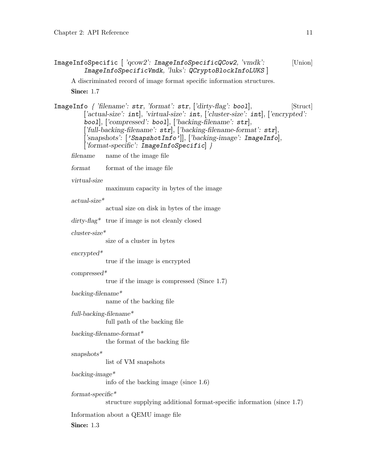|                      |                        | $ImageInfoSpecific [ 'qcow2': ImageInfoSpecificQCow2, 'vmdk':$<br>ImageInfoSpecificVmdk, 'luks': QCryptoBlockInfoLUKS                                                                                                                                                                                                                                                                                                    | [Union]  |
|----------------------|------------------------|--------------------------------------------------------------------------------------------------------------------------------------------------------------------------------------------------------------------------------------------------------------------------------------------------------------------------------------------------------------------------------------------------------------------------|----------|
|                      |                        | A discriminated record of image format specific information structures.                                                                                                                                                                                                                                                                                                                                                  |          |
|                      | Since: 1.7             |                                                                                                                                                                                                                                                                                                                                                                                                                          |          |
|                      |                        |                                                                                                                                                                                                                                                                                                                                                                                                                          |          |
|                      |                        | ImageInfo { 'filename': str, 'format': str, ['dirty-flag': bool],<br>['actual-size': int], 'virtual-size': int, ['cluster-size': int], ['encrypted':<br>bool], ['compressed': bool], ['backing-filename': str],<br>'full-backing-filename': $str$ ], ['backing-filename-format': $str$ ],<br>'snapshots': ['SnapshotInfo'], ['backing-image': ImageInfo],<br>$\lceil \text{'format-specific': ImageInfoSpecific} \rceil$ | [Struct] |
|                      | filename               | name of the image file                                                                                                                                                                                                                                                                                                                                                                                                   |          |
|                      | format                 | format of the image file                                                                                                                                                                                                                                                                                                                                                                                                 |          |
|                      | virtual-size           |                                                                                                                                                                                                                                                                                                                                                                                                                          |          |
|                      |                        | maximum capacity in bytes of the image                                                                                                                                                                                                                                                                                                                                                                                   |          |
|                      | $actual-size*$         |                                                                                                                                                                                                                                                                                                                                                                                                                          |          |
|                      |                        | actual size on disk in bytes of the image                                                                                                                                                                                                                                                                                                                                                                                |          |
|                      |                        | $\text{dirty-flag*}$ true if image is not cleanly closed                                                                                                                                                                                                                                                                                                                                                                 |          |
|                      | $cluster-size*$        |                                                                                                                                                                                                                                                                                                                                                                                                                          |          |
|                      |                        | size of a cluster in bytes                                                                                                                                                                                                                                                                                                                                                                                               |          |
|                      | $\frac{encrypted*}{h}$ |                                                                                                                                                                                                                                                                                                                                                                                                                          |          |
|                      |                        | true if the image is encrypted                                                                                                                                                                                                                                                                                                                                                                                           |          |
|                      | $compressed*$          |                                                                                                                                                                                                                                                                                                                                                                                                                          |          |
|                      |                        | true if the image is compressed (Since $1.7$ )                                                                                                                                                                                                                                                                                                                                                                           |          |
| $backing$ -filename* |                        |                                                                                                                                                                                                                                                                                                                                                                                                                          |          |
|                      |                        | name of the backing file                                                                                                                                                                                                                                                                                                                                                                                                 |          |
|                      |                        | $full-backing-filename*$                                                                                                                                                                                                                                                                                                                                                                                                 |          |
|                      |                        | full path of the backing file                                                                                                                                                                                                                                                                                                                                                                                            |          |
|                      |                        | $backing$ -filename-format*                                                                                                                                                                                                                                                                                                                                                                                              |          |
|                      |                        | the format of the backing file                                                                                                                                                                                                                                                                                                                                                                                           |          |
|                      | $snapshots*$           |                                                                                                                                                                                                                                                                                                                                                                                                                          |          |
|                      |                        | list of VM snapshots                                                                                                                                                                                                                                                                                                                                                                                                     |          |
|                      | $background*$          | info of the backing image (since $1.6$ )                                                                                                                                                                                                                                                                                                                                                                                 |          |
|                      | $format-specific*$     |                                                                                                                                                                                                                                                                                                                                                                                                                          |          |
|                      |                        | structure supplying additional format-specific information (since 1.7)                                                                                                                                                                                                                                                                                                                                                   |          |
|                      |                        | Information about a QEMU image file                                                                                                                                                                                                                                                                                                                                                                                      |          |
|                      | Since: 1.3             |                                                                                                                                                                                                                                                                                                                                                                                                                          |          |
|                      |                        |                                                                                                                                                                                                                                                                                                                                                                                                                          |          |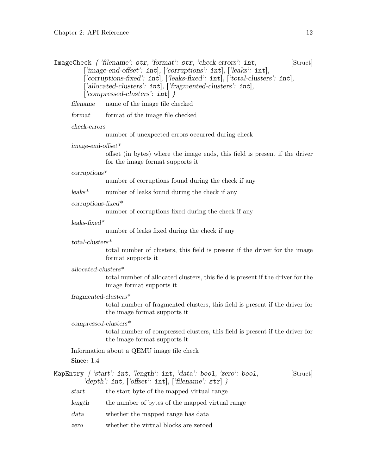ImageCheck { 'filename': str, 'format': str, 'check-errors': int, [Struct]  $\text{'image-end-offset': int}, \text{'corryptions': int}, \text{'leaks': int},$ 'corruptions-fixed':  $int$ , ['leaks-fixed':  $int$ ], ['total-clusters':  $int$ ], 'allocated-clusters': int, ['fragmented-clusters': int, ['compressed-clusters': int] }

filename name of the image file checked

format format of the image file checked

check-errors

number of unexpected errors occurred during check

 $image-end-offset*$ 

offset (in bytes) where the image ends, this field is present if the driver for the image format supports it

# corruptions\*

number of corruptions found during the check if any

leaks\* number of leaks found during the check if any

 $corruptions$ - $fixed*$ 

number of corruptions fixed during the check if any

#### $leaks$ -fixed\*

number of leaks fixed during the check if any

## total-clusters\*

total number of clusters, this field is present if the driver for the image format supports it

#### allocated-clusters\*

total number of allocated clusters, this field is present if the driver for the image format supports it

fragmented-clusters\*

total number of fragmented clusters, this field is present if the driver for the image format supports it

# compressed-clusters\*

total number of compressed clusters, this field is present if the driver for the image format supports it

Information about a QEMU image file check

# Since: 1.4

| MapEntry $\int$ 'start': int, 'length': int, 'data': bool, 'zero': bool,                                                                                    | [Struct] |
|-------------------------------------------------------------------------------------------------------------------------------------------------------------|----------|
| 'depth': $int$ , ['offset': $int$ ], ['filename': $str$ ] }                                                                                                 |          |
| $\mathbf{1}$ $\mathbf{1}$ $\mathbf{1}$ $\mathbf{1}$ $\mathbf{1}$ $\mathbf{1}$ $\mathbf{1}$ $\mathbf{1}$ $\mathbf{1}$ $\mathbf{1}$ $\mathbf{1}$ $\mathbf{1}$ |          |

- start the start byte of the mapped virtual range
- length the number of bytes of the mapped virtual range
- data whether the mapped range has data
- zero whether the virtual blocks are zeroed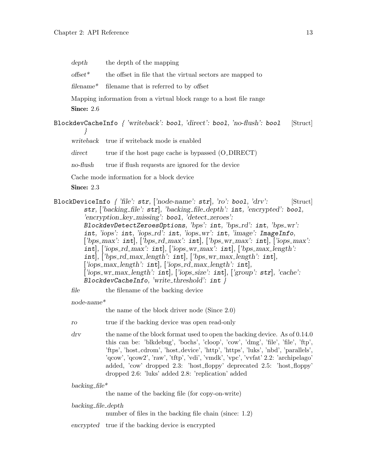depth the depth of the mapping

 $offset^*$  the offset in file that the virtual sectors are mapped to

 $filename^*$  filename that is referred to by offset

Mapping information from a virtual block range to a host file range **Since: 2.6** 

BlockdevCacheInfo  $\{$  'writeback': bool, 'direct': bool, 'no-flush': bool [Struct] }

writeback true if writeback mode is enabled

direct true if the host page cache is bypassed (O\_DIRECT)

no-flush true if flush requests are ignored for the device

Cache mode information for a block device

Since: 2.3

BlockDeviceInfo  $\int 'file': str, ['node-name': str], 'ro': bool, 'drv':$  [Struct]  $str,$  ['backing\_file':  $str,$  'backing\_file\_depth':  $int,$  'encrypted': bool, 'encryption\_key\_missing': boo1, 'detect\_zeroes': BlockdevDetectZeroesOptions, 'bps': int, 'bps\_rd': int, 'bps\_wr': int, 'iops': int, 'iops\_rd': int, 'iops\_wr': int, 'image': ImageInfo, ['bps\_max': int], ['bps\_rd\_max': int], ['bps\_wr\_max': int], ['iops\_max': int],  $\lceil \text{liops\_rd\_max}: \text{int}$ ],  $\lceil \text{liops\_wr\_max}: \text{int}$ ],  $\lceil \text{liops\_max\_length}: \rceil$ int],  $[\text{bps\_rd\_max\_length} : \text{int}]$ ,  $[\text{bps\_wr\_max\_length} : \text{int}]$ , ['iops\_max\_length':  $int$ ], ['iops\_rd\_max\_length':  $int$ ], ['iops wr max length': int], ['iops size': int], ['group': str], 'cache': BlockdevCacheInfo, 'write\_threshold': int  $\}$ 

file the filename of the backing device

node-name\*

the name of the block driver node (Since 2.0)

- ro true if the backing device was open read-only
- drv the name of the block format used to open the backing device. As of 0.14.0 this can be: 'blkdebug', 'bochs', 'cloop', 'cow', 'dmg', 'file', 'file', 'ftp', 'ftps', 'host cdrom', 'host device', 'http', 'https', 'luks', 'nbd', 'parallels', 'qcow', 'qcow2', 'raw', 'tftp', 'vdi', 'vmdk', 'vpc', 'vvfat' 2.2: 'archipelago' added, 'cow' dropped 2.3: 'host floppy' deprecated 2.5: 'host floppy' dropped 2.6: 'luks' added 2.8: 'replication' added

 $backing_{\text{th}}e^*$ 

the name of the backing file (for copy-on-write)

backing\_file\_depth

number of files in the backing file chain (since: 1.2)

encrypted true if the backing device is encrypted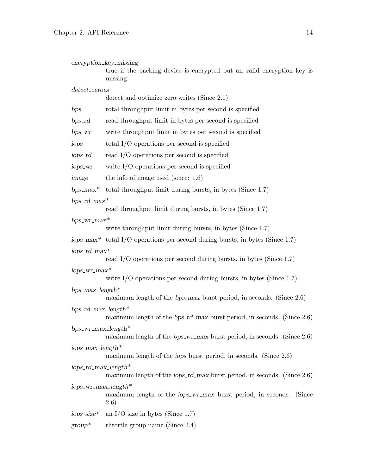|                                                                                               | $\frac{1}{2}$ encryption_key_missing<br>true if the backing device is encrypted but an valid encryption key is<br>missing |  |  |  |
|-----------------------------------------------------------------------------------------------|---------------------------------------------------------------------------------------------------------------------------|--|--|--|
| $detect\_zeros$                                                                               |                                                                                                                           |  |  |  |
|                                                                                               | $\alpha$ detect and optimize zero writes (Since 2.1)                                                                      |  |  |  |
| bps                                                                                           | total throughput limit in bytes per second is specified                                                                   |  |  |  |
| $bps_r$                                                                                       | read throughput limit in bytes per second is specified                                                                    |  |  |  |
| $bps_wr$                                                                                      | write throughput limit in bytes per second is specified                                                                   |  |  |  |
| iops                                                                                          | total I/O operations per second is specified                                                                              |  |  |  |
| iops_rd                                                                                       | read $I/O$ operations per second is specified                                                                             |  |  |  |
| iops_wr                                                                                       | write $I/O$ operations per second is specified                                                                            |  |  |  |
| image                                                                                         | the info of image used (since: $1.6$ )                                                                                    |  |  |  |
| $bps\_max^*$                                                                                  | total throughput limit during bursts, in bytes (Since 1.7)                                                                |  |  |  |
| $bps\_rd\_max*$                                                                               |                                                                                                                           |  |  |  |
|                                                                                               | read throughput limit during bursts, in bytes (Since 1.7)                                                                 |  |  |  |
| $bps\_wr\_max*$                                                                               |                                                                                                                           |  |  |  |
|                                                                                               | write throughput limit during bursts, in bytes (Since 1.7)                                                                |  |  |  |
|                                                                                               | $i$ ops_max* total I/O operations per second during bursts, in bytes (Since 1.7)                                          |  |  |  |
| $iops\_rd\_max*$                                                                              |                                                                                                                           |  |  |  |
|                                                                                               | read $I/O$ operations per second during bursts, in bytes (Since 1.7)                                                      |  |  |  |
| $i$ ops_wr_max*                                                                               | write $I/O$ operations per second during bursts, in bytes (Since 1.7)                                                     |  |  |  |
| $bps\_max\_length*$<br>maximum length of the $bps\_max$ burst period, in seconds. (Since 2.6) |                                                                                                                           |  |  |  |
| $bps\_rd\_max\_length*$                                                                       | maximum length of the $bps\_rd\_max$ burst period, in seconds. (Since 2.6)                                                |  |  |  |
| $bps\_wr\_max\_length*$                                                                       |                                                                                                                           |  |  |  |
|                                                                                               | maximum length of the $bps\_wr\_max$ burst period, in seconds. (Since 2.6)                                                |  |  |  |
| $iops\_max\_length*$                                                                          | maximum length of the <i>iops</i> burst period, in seconds. (Since 2.6)                                                   |  |  |  |
| $iops\_rd\_max\_length*$                                                                      | maximum length of the <i>iops_rd_max</i> burst period, in seconds. (Since $2.6$ )                                         |  |  |  |
| $iops\_wr\_max\_length*$                                                                      | maximum length of the iops_wr_max burst period, in seconds.<br>(Since)<br>(2.6)                                           |  |  |  |
| $i$ ops_size $*$                                                                              | an I/O size in bytes (Since 1.7)                                                                                          |  |  |  |
| $group^*$                                                                                     | throttle group name (Since $2.4$ )                                                                                        |  |  |  |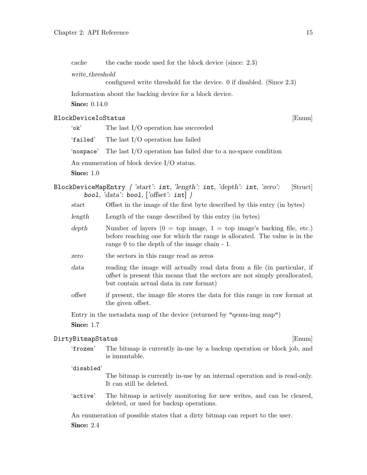cache the cache mode used for the block device (since: 2.3)

write\_threshold

configured write threshold for the device. 0 if disabled. (Since 2.3)

Information about the backing device for a block device.

**Since:** 0.14.0

# BlockDeviceIoStatus [Enum]

'ok' The last I/O operation has succeeded

'failed' The last I/O operation has failed

'nospace' The last I/O operation has failed due to a no-space condition

An enumeration of block device I/O status.

Since: 1.0

# BlockDeviceMapEntry { 'start': int, 'length': int, 'depth': int, 'zero': [Struct] bool, 'data': bool,  $[ 'offset': int ] \}$

start Offset in the image of the first byte described by this entry (in bytes)

- length Length of the range described by this entry (in bytes)
- depth Number of layers  $(0 = top \text{ image}, 1 = top \text{ image's backing file}, etc.)$ before reaching one for which the range is allocated. The value is in the range 0 to the depth of the image chain - 1.
- zero the sectors in this range read as zeros
- data reading the image will actually read data from a file (in particular, if offset is present this means that the sectors are not simply preallocated, but contain actual data in raw format)
- offset if present, the image file stores the data for this range in raw format at the given offset.

Entry in the metadata map of the device (returned by "qemu-img map")

Since: 1.7

# DirtyBitmapStatus [Enum]

'frozen' The bitmap is currently in-use by a backup operation or block job, and is immutable.

'disabled'

The bitmap is currently in-use by an internal operation and is read-only. It can still be deleted.

'active' The bitmap is actively monitoring for new writes, and can be cleared, deleted, or used for backup operations.

An enumeration of possible states that a dirty bitmap can report to the user.

# Since: 2.4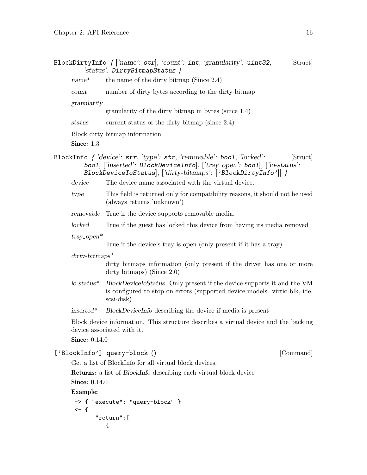|                                 | BlockDirtyInfo $\{ \$ 'name': str, 'count': int, 'granularity': uint32,<br>'status': DirtyBitmapStatus $\}$                                                                                                      | [Struct]  |  |  |  |
|---------------------------------|------------------------------------------------------------------------------------------------------------------------------------------------------------------------------------------------------------------|-----------|--|--|--|
| $name^*$                        | the name of the dirty bitmap (Since $2.4$ )                                                                                                                                                                      |           |  |  |  |
| count                           | number of dirty bytes according to the dirty bitmap                                                                                                                                                              |           |  |  |  |
| granularity                     |                                                                                                                                                                                                                  |           |  |  |  |
|                                 | granularity of the dirty bitmap in bytes (since 1.4)                                                                                                                                                             |           |  |  |  |
| status                          | current status of the dirty bitmap (since 2.4)                                                                                                                                                                   |           |  |  |  |
|                                 | Block dirty bitmap information.                                                                                                                                                                                  |           |  |  |  |
| Since: 1.3                      |                                                                                                                                                                                                                  |           |  |  |  |
|                                 | BlockInfo { 'device': str, 'type': str, 'removable': bool, 'locked':<br>bool, ['inserted': BlockDeviceInfo], ['tray_open': bool], ['io-status':<br>BlockDeviceIoStatus , ['dirty-bitmaps': ['BlockDirtyInfo']] } | [Struct]  |  |  |  |
| device                          | The device name associated with the virtual device.                                                                                                                                                              |           |  |  |  |
| type                            | This field is returned only for compatibility reasons, it should not be used<br>(always returns 'unknown')                                                                                                       |           |  |  |  |
| removable                       | True if the device supports removable media.                                                                                                                                                                     |           |  |  |  |
| locked                          | True if the guest has locked this device from having its media removed                                                                                                                                           |           |  |  |  |
| $tray\_\mathrm{open}^*$         |                                                                                                                                                                                                                  |           |  |  |  |
|                                 | True if the device's tray is open (only present if it has a tray)                                                                                                                                                |           |  |  |  |
| $\text{dirty-} \text{bitmaps*}$ |                                                                                                                                                                                                                  |           |  |  |  |
|                                 | dirty bitmaps information (only present if the driver has one or more<br>dirty bitmaps) (Since 2.0)                                                                                                              |           |  |  |  |
| $i$ o-status $*$                | BlockDeviceIoStatus. Only present if the device supports it and the VM<br>is configured to stop on errors (supported device models: virtio-blk, ide,<br>scsi-disk)                                               |           |  |  |  |
| $inserted*$                     | BlockDeviceInfo describing the device if media is present                                                                                                                                                        |           |  |  |  |
| <b>Since:</b> 0.14.0            | Block device information. This structure describes a virtual device and the backing<br>device associated with it.                                                                                                |           |  |  |  |
|                                 |                                                                                                                                                                                                                  |           |  |  |  |
|                                 | ['BlockInfo'] query-block ()<br>Get a list of BlockInfo for all virtual block devices.                                                                                                                           | [Command] |  |  |  |
|                                 | <b>Returns:</b> a list of <i>BlockInfo</i> describing each virtual block device                                                                                                                                  |           |  |  |  |
| <b>Since:</b> 0.14.0            |                                                                                                                                                                                                                  |           |  |  |  |
| Example:                        |                                                                                                                                                                                                                  |           |  |  |  |
|                                 | -> { "execute": "query-block" }                                                                                                                                                                                  |           |  |  |  |
| $\leftarrow$ {                  | "return": [                                                                                                                                                                                                      |           |  |  |  |
|                                 | €                                                                                                                                                                                                                |           |  |  |  |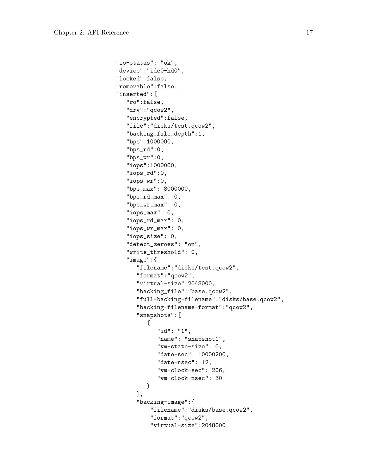```
"io-status": "ok",
"device":"ide0-hd0",
"locked":false,
"removable":false,
"inserted":{
  "ro":false,
  "drv":"qcow2",
  "encrypted":false,
  "file":"disks/test.qcow2",
  "backing_file_depth":1,
  "bps":1000000,
  "bps_rd":0,
  "bps_wr":0,
  "iops":1000000,
  "iops_rd":0,
  "iops_wr":0,
  "bps_max": 8000000,
  "bps_rd_max": 0,
  "bps_wr_max": 0,
  "iops_max": 0,
  "iops_rd_max": 0,
  "iops_wr_max": 0,
  "iops_size": 0,
   "detect_zeroes": "on",
  "write_threshold": 0,
  "image":{
      "filename":"disks/test.qcow2",
      "format":"qcow2",
      "virtual-size":2048000,
      "backing_file":"base.qcow2",
      "full-backing-filename":"disks/base.qcow2",
      "backing-filename-format":"qcow2",
      "snapshots":[
         {
            "id": "1",
            "name": "snapshot1",
            "vm-state-size": 0,
            "date-sec": 10000200,
            "date-nsec": 12,
            "vm-clock-sec": 206,
            "vm-clock-nsec": 30
        }
     ],
      "backing-image":{
          "filename":"disks/base.qcow2",
          "format":"qcow2",
          "virtual-size":2048000
```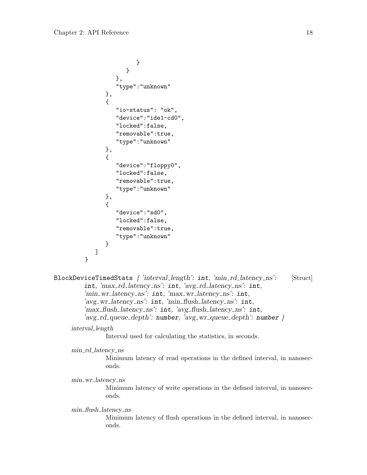```
}
                        }
                     },
                     "type":"unknown"
                 },
                 {
                     "io-status": "ok",
                     "device":"ide1-cd0",
                     "locked":false,
                     "removable":true,
                     "type":"unknown"
                 },
                 {
                     "device":"floppy0",
                     "locked":false,
                     "removable":true,
                     "type":"unknown"
                 },
                 {
                     "device":"sd0",
                     "locked":false,
                     "removable":true,
                     "type":"unknown"
                 }
             ]
          }
BlockDeviceTimedStats { 'interval_length': int, 'min_rd_latency_ns': [Struct]
          int, 'max_rd_latency_ns': int, 'avg_rd_latency_ns': int,
          'min_wr_latency_ns': int, 'max_wr_latency_ns': int,
          'avg_{\text{-}wr_{\text{-}}latency_{\text{-}}ns': int, 'min_flush_latency_ns': int,
          \text{'max-flush_l} latency ns': int, 'avg flush latency ns': int,
          'avg_rd_queue_depth': number, 'avg_wr_queue_depth': number \}interval length
                 Interval used for calculating the statistics, in seconds.
      min rd latency ns
                 Minimum latency of read operations in the defined interval, in nanosec-
                 onds.
      min_wr_latency_ns
                 Minimum latency of write operations in the defined interval, in nanosec-
                 onds.
      min-flush-latency-ns
                 Minimum latency of flush operations in the defined interval, in nanosec-
                 onds.
```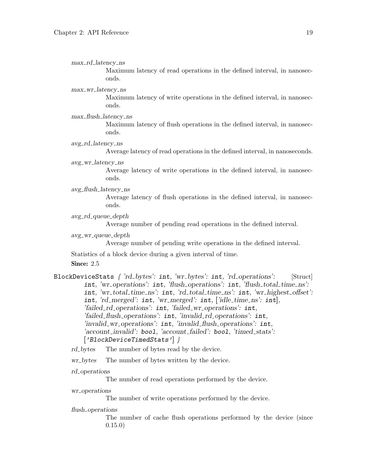max\_rd\_latency\_ns

Maximum latency of read operations in the defined interval, in nanoseconds.

max\_wr\_latency\_ns

Maximum latency of write operations in the defined interval, in nanoseconds.

 $max$ -flush-latency-ns

Maximum latency of flush operations in the defined interval, in nanoseconds.

avg rd latency ns

Average latency of read operations in the defined interval, in nanoseconds.

avg\_wr\_latency\_ns

Average latency of write operations in the defined interval, in nanoseconds.

 $avg\_flux$  hatency ns

Average latency of flush operations in the defined interval, in nanoseconds.

avg\_rd\_queue\_depth

Average number of pending read operations in the defined interval.

 $avg\_wr_{queue\text{-}}depth$ 

Average number of pending write operations in the defined interval.

Statistics of a block device during a given interval of time.

Since: 2.5

BlockDeviceStats { 'rd\_bytes': int, 'wr\_bytes': int, 'rd\_operations': [Struct] int, 'wr operations': int, 'flush operations': int, 'flush total time  $ns$ ':  $int, 'wr\_total\_time_ns': int, 'rd\_total\_time_ns': int, 'wr\_highest\_offset':$ int, 'rd\_merged': int, 'wr\_merged': int, ['idle\_time\_ns': int], 'failed\_rd\_operations': int, 'failed\_wr\_operations': int, 'failed\_flush\_operations':  $int$ , 'invalid\_rd\_operations':  $int$ ,  $i$ invalid wr operations': int,  $i$ invalid  $flush$  operations': int, 'account\_invalid': boo1, 'account\_failed': boo1, 'timed\_stats': ['BlockDeviceTimedStats'] }

rd bytes The number of bytes read by the device.

wr bytes The number of bytes written by the device.

rd\_operations

The number of read operations performed by the device.

wr\_operations

The number of write operations performed by the device.

flush\_operations

The number of cache flush operations performed by the device (since 0.15.0)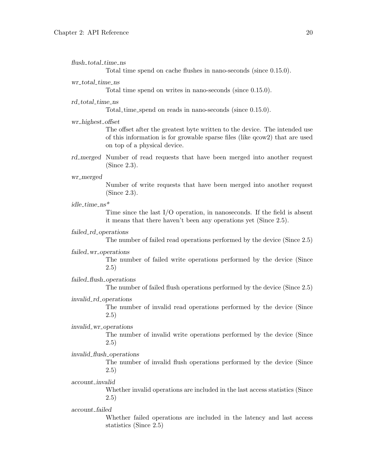# $flush\_total\_time\_ns$

Total time spend on cache flushes in nano-seconds (since 0.15.0).

# $wr\_total\_time\_ns$

Total time spend on writes in nano-seconds (since 0.15.0).

# rd\_total\_time\_ns

Total time spend on reads in nano-seconds (since 0.15.0).

wr\_highest\_offset

The offset after the greatest byte written to the device. The intended use of this information is for growable sparse files (like qcow2) that are used on top of a physical device.

rd merged Number of read requests that have been merged into another request (Since 2.3).

#### wr merged

Number of write requests that have been merged into another request (Since 2.3).

 $idle_time_ns*$ 

Time since the last I/O operation, in nanoseconds. If the field is absent it means that there haven't been any operations yet (Since 2.5).

## failed\_rd\_operations

The number of failed read operations performed by the device (Since 2.5)

#### failed\_wr\_operations

The number of failed write operations performed by the device (Since 2.5)

 $failed\_flux$  operations

The number of failed flush operations performed by the device (Since 2.5)

invalid\_rd\_operations

The number of invalid read operations performed by the device (Since 2.5)

# invalid\_wr\_operations

The number of invalid write operations performed by the device (Since 2.5)

# invalid\_flush\_operations

The number of invalid flush operations performed by the device (Since 2.5)

# account invalid

Whether invalid operations are included in the last access statistics (Since 2.5)

# account failed

Whether failed operations are included in the latency and last access statistics (Since 2.5)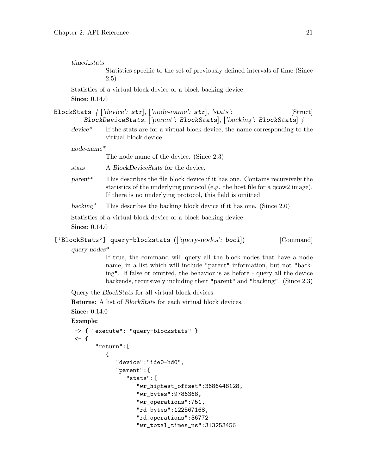timed\_stats

Statistics specific to the set of previously defined intervals of time (Since 2.5)

Statistics of a virtual block device or a block backing device. **Since: 0.14.0** 

BlockStats  $\int [ 'device': str], [ 'node-name': str], 'stats':$  [Struct] BlockDeviceStats, ['parent': BlockStats], ['backing': BlockStats] }

device\* If the stats are for a virtual block device, the name corresponding to the virtual block device.

node-name\*

The node name of the device. (Since 2.3)

- stats A BlockDeviceStats for the device.
- parent\* This describes the file block device if it has one. Contains recursively the statistics of the underlying protocol (e.g. the host file for a qcow2 image). If there is no underlying protocol, this field is omitted

backing\* This describes the backing block device if it has one. (Since  $2.0$ )

Statistics of a virtual block device or a block backing device.

**Since: 0.14.0** 

```
['BlockStats'] query-blockstats (['query-nodes': bool]) [Command]
    query-nodes*
```
If true, the command will query all the block nodes that have a node name, in a list which will include "parent" information, but not "backing". If false or omitted, the behavior is as before - query all the device backends, recursively including their "parent" and "backing". (Since 2.3)

Query the BlockStats for all virtual block devices.

Returns: A list of BlockStats for each virtual block devices.

**Since:** 0.14.0

### Example:

```
-> { "execute": "query-blockstats" }
<- {
      "return":[
         {
            "device":"ide0-hd0",
            "parent":{
               "stats":{
                  "wr_highest_offset":3686448128,
                  "wr_bytes":9786368,
                  "wr_operations":751,
                  "rd_bytes":122567168,
                  "rd_operations":36772
                  "wr_total_times_ns":313253456
```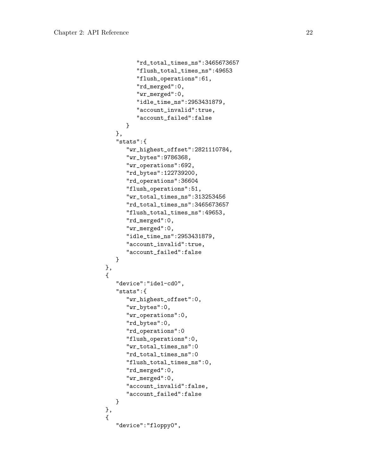```
"rd_total_times_ns":3465673657
         "flush_total_times_ns":49653
         "flush_operations":61,
         "rd_merged":0,
         "wr_merged":0,
         "idle_time_ns":2953431879,
         "account_invalid":true,
         "account_failed":false
      }
   },
   "stats":{
      "wr_highest_offset":2821110784,
      "wr_bytes":9786368,
      "wr_operations":692,
      "rd_bytes":122739200,
      "rd_operations":36604
      "flush_operations":51,
      "wr_total_times_ns":313253456
      "rd_total_times_ns":3465673657
      "flush_total_times_ns":49653,
      "rd_merged":0,
      "wr_merged":0,
      "idle_time_ns":2953431879,
      "account_invalid":true,
      "account_failed":false
   }
},
{
   "device":"ide1-cd0",
   "stats":{
      "wr_highest_offset":0,
      "wr_bytes":0,
      "wr_operations":0,
      "rd_bytes":0,
      "rd_operations":0
      "flush_operations":0,
      "wr_total_times_ns":0
      "rd_total_times_ns":0
      "flush_total_times_ns":0,
      "rd_merged":0,
      "wr_merged":0,
      "account_invalid":false,
      "account_failed":false
   }
},
{
   "device":"floppy0",
```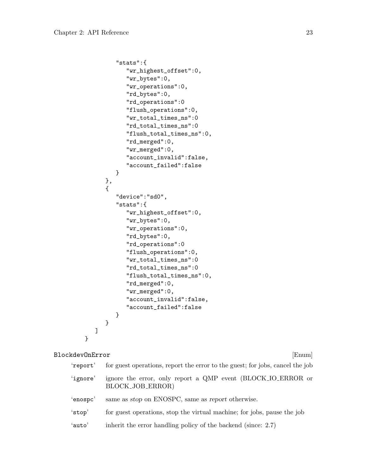```
"stats":{
         "wr_highest_offset":0,
         "wr_bytes":0,
         "wr_operations":0,
         "rd_bytes":0,
         "rd_operations":0
         "flush_operations":0,
         "wr_total_times_ns":0
         "rd_total_times_ns":0
         "flush_total_times_ns":0,
         "rd_merged":0,
         "wr_merged":0,
         "account_invalid":false,
         "account_failed":false
      }
   },
   {
      "device":"sd0",
      "stats":{
         "wr_highest_offset":0,
         "wr_bytes":0,
         "wr_operations":0,
         "rd_bytes":0,
         "rd_operations":0
         "flush_operations":0,
         "wr_total_times_ns":0
         "rd_total_times_ns":0
         "flush_total_times_ns":0,
         "rd_merged":0,
         "wr_merged":0,
         "account_invalid":false,
         "account_failed":false
      }
   }
]
```
BlockdevOnError [Enum]

}

| 'report' | for guest operations, report the error to the guest; for jobs, cancel the job    |
|----------|----------------------------------------------------------------------------------|
| 'ignore' | ignore the error, only report a QMP event (BLOCK_IO_ERROR or<br>BLOCK_JOB_ERROR) |
| 'enospc' | same as <i>stop</i> on ENOSPC, same as <i>report</i> otherwise.                  |
| 'stop'   | for guest operations, stop the virtual machine; for jobs, pause the job          |
| 'auto'   | inherit the error handling policy of the backend (since: $2.7$ )                 |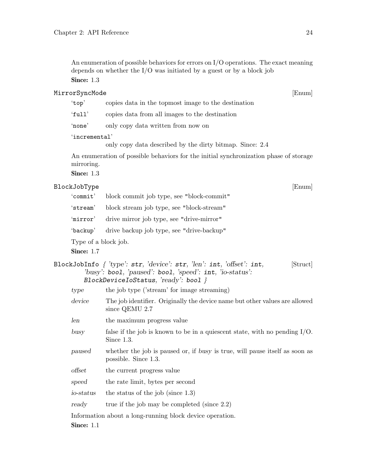An enumeration of possible behaviors for errors on I/O operations. The exact meaning depends on whether the I/O was initiated by a guest or by a block job Since: 1.3

# MirrorSyncMode [Enum]

- 'top' copies data in the topmost image to the destination
- 'full' copies data from all images to the destination
- 'none' only copy data written from now on

# 'incremental'

only copy data described by the dirty bitmap. Since: 2.4

An enumeration of possible behaviors for the initial synchronization phase of storage mirroring.

Since: 1.3

# BlockJobType [Enum]

'commit' block commit job type, see "block-commit" 'stream' block stream job type, see "block-stream" 'mirror' drive mirror job type, see "drive-mirror" 'backup' drive backup job type, see "drive-backup" Type of a block job.

Since: 1.7

| BlockJobInfo $\{ \text{'type': str, 'device': str, 'len': int, 'offset': int,} \}$ | [Struct] |
|------------------------------------------------------------------------------------|----------|
| 'busy': bool, 'paused': bool, 'speed': $int$ , 'io-status':                        |          |
| BlockDeviceIoStatus, 'ready': bool                                                 |          |

- type the job type ('stream' for image streaming)
- device The job identifier. Originally the device name but other values are allowed since QEMU 2.7
- len the maximum progress value
- busy false if the job is known to be in a quiescent state, with no pending I/O. Since 1.3.
- paused whether the job is paused or, if busy is true, will pause itself as soon as possible. Since 1.3.
- offset the current progress value
- speed the rate limit, bytes per second
- io-status the status of the job (since 1.3)
- ready true if the job may be completed (since 2.2)

Information about a long-running block device operation.

Since: 1.1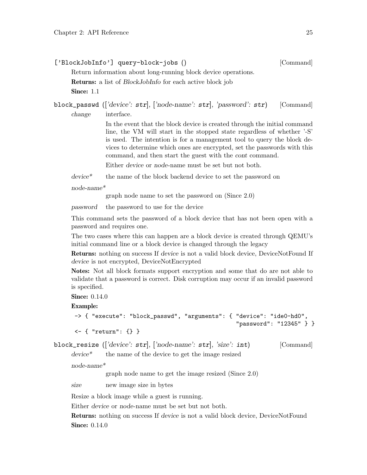```
['BlockJobInfo'] query-block-jobs () [Command]
    Return information about long-running block device operations.
```
Returns: a list of BlockJobInfo for each active block job

Since: 1.1

block\_passwd (['device':  $str$ ], ['node-name':  $str$ ], 'password':  $str$ ) [Command]

change interface.

In the event that the block device is created through the initial command line, the VM will start in the stopped state regardless of whether '-S' is used. The intention is for a management tool to query the block devices to determine which ones are encrypted, set the passwords with this command, and then start the guest with the cont command.

Either device or node-name must be set but not both.

device\* the name of the block backend device to set the password on

node-name\*

graph node name to set the password on (Since 2.0)

password the password to use for the device

This command sets the password of a block device that has not been open with a password and requires one.

The two cases where this can happen are a block device is created through QEMU's initial command line or a block device is changed through the legacy

Returns: nothing on success If device is not a valid block device, DeviceNotFound If device is not encrypted, DeviceNotEncrypted

Notes: Not all block formats support encryption and some that do are not able to validate that a password is correct. Disk corruption may occur if an invalid password is specified.

Since: 0.14.0

# Example:

```
-> { "execute": "block_passwd", "arguments": { "device": "ide0-hd0",
                                                "password": "12345" } }
```

```
<- { "return": {} }
```
block\_resize (['device': str], ['node-name': str], 'size': int) [Command]

device\* the name of the device to get the image resized

node-name\*

graph node name to get the image resized (Since 2.0)

size new image size in bytes

Resize a block image while a guest is running.

Either device or node-name must be set but not both.

Returns: nothing on success If device is not a valid block device, DeviceNotFound **Since: 0.14.0**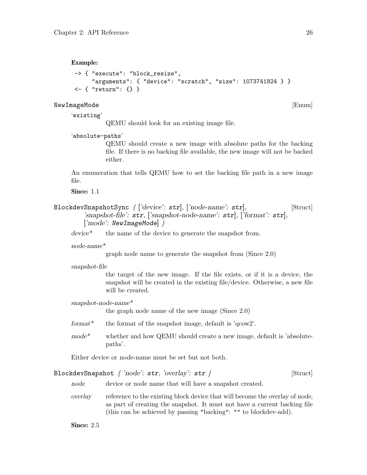# Example:

```
-> { "execute": "block_resize",
     "arguments": { "device": "scratch", "size": 1073741824 } }
<- { "return": {} }
```
# NewImageMode [Enum]

'existing'

QEMU should look for an existing image file.

'absolute-paths'

QEMU should create a new image with absolute paths for the backing file. If there is no backing file available, the new image will not be backed either.

An enumeration that tells QEMU how to set the backing file path in a new image file.

Since: 1.1

```
BlockdevSnapshotSync \int [device': str], ['node-name': str], [Struct]
         'snapshot-file': str, ['snapshot-node-name': str], ['format': str],
        ['mode': NewImageMode] }
```
device\* the name of the device to generate the snapshot from.

node-name\*

graph node name to generate the snapshot from (Since 2.0)

# snapshot-file

the target of the new image. If the file exists, or if it is a device, the snapshot will be created in the existing file/device. Otherwise, a new file will be created.

snapshot-node-name\*

the graph node name of the new image (Since 2.0)

- format<sup>\*</sup> the format of the snapshot image, default is  $q_{\rm{c}^\prime}$ .
- mode<sup>\*</sup> whether and how QEMU should create a new image, default is 'absolutepaths'.

Either device or node-name must be set but not both.

BlockdevSnapshot { 'node': str, 'overlay': str } [Struct]

- node device or node name that will have a snapshot created.
- overlay reference to the existing block device that will become the overlay of node, as part of creating the snapshot. It must not have a current backing file (this can be achieved by passing "backing": "" to blockdev-add).

Since: 2.5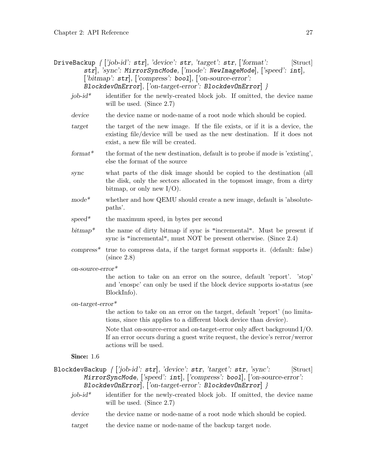- DriveBackup  $\{$  ['job-id': str], 'device': str, 'target': str, ['format': [Struct] str], 'sync': MirrorSyncMode, ['mode': NewImageMode], ['speed': int], ['bitmap': str], ['compress': boo1], ['on-source-error': BlockdevOnError], ['on-target-error': BlockdevOnError] }
	- job-id\* identifier for the newly-created block job. If omitted, the device name will be used. (Since 2.7)
	- device the device name or node-name of a root node which should be copied.
	- target the target of the new image. If the file exists, or if it is a device, the existing file/device will be used as the new destination. If it does not exist, a new file will be created.
	- format \* the format of the new destination, default is to probe if mode is 'existing', else the format of the source
	- sync what parts of the disk image should be copied to the destination (all the disk, only the sectors allocated in the topmost image, from a dirty bitmap, or only new  $I/O$ ).
	- $mode^*$  whether and how QEMU should create a new image, default is 'absolutepaths'.
	- $speed^*$  the maximum speed, in bytes per second
	- bitmap\* the name of dirty bitmap if sync is "incremental". Must be present if sync is "incremental", must NOT be present otherwise. (Since 2.4)
	- compress\* true to compress data, if the target format supports it. (default: false) (since 2.8)

on-source-error\*

the action to take on an error on the source, default 'report'. 'stop' and 'enospc' can only be used if the block device supports io-status (see BlockInfo).

on-target-error\*

the action to take on an error on the target, default 'report' (no limitations, since this applies to a different block device than device).

Note that on-source-error and on-target-error only affect background I/O. If an error occurs during a guest write request, the device's rerror/werror actions will be used.

# Since: 1.6

# BlockdevBackup  $\int [j\omega b - id\cdot : str]$ , 'device': str, 'target': str, 'sync': [Struct] MirrorSyncMode, ['speed': int], ['compress': bool], ['on-source-error': BlockdevOnError], ['on-target-error': BlockdevOnError] }

- job-id\* identifier for the newly-created block job. If omitted, the device name will be used. (Since 2.7)
- device the device name or node-name of a root node which should be copied.
- target the device name or node-name of the backup target node.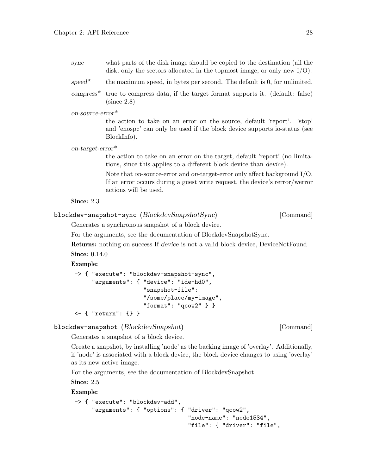- sync what parts of the disk image should be copied to the destination (all the disk, only the sectors allocated in the topmost image, or only new I/O).
- $speed^*$  the maximum speed, in bytes per second. The default is 0, for unlimited.
- $compress^*$  true to compress data, if the target format supports it. (default: false) (since 2.8)

# on-source-error\*

the action to take on an error on the source, default 'report'. 'stop' and 'enospc' can only be used if the block device supports io-status (see BlockInfo).

on-target-error\*

the action to take on an error on the target, default 'report' (no limitations, since this applies to a different block device than device).

Note that on-source-error and on-target-error only affect background I/O. If an error occurs during a guest write request, the device's rerror/werror actions will be used.

Since: 2.3

# blockdev-snapshot-sync (BlockdevSnapshotSync) [Command]

Generates a synchronous snapshot of a block device.

For the arguments, see the documentation of BlockdevSnapshotSync.

Returns: nothing on success If device is not a valid block device, DeviceNotFound **Since:** 0.14.0

Example:

```
-> { "execute": "blockdev-snapshot-sync",
     "arguments": { "device": "ide-hd0",
                    "snapshot-file":
                    "/some/place/my-image",
                    "format": "qcow2" } }
<- { "return": {} }
```
blockdev-snapshot (BlockdevSnapshot) [Command]

Generates a snapshot of a block device.

Create a snapshot, by installing 'node' as the backing image of 'overlay'. Additionally, if 'node' is associated with a block device, the block device changes to using 'overlay' as its new active image.

For the arguments, see the documentation of BlockdevSnapshot.

Since: 2.5

# Example:

```
-> { "execute": "blockdev-add",
     "arguments": { "options": { "driver": "qcow2",
                                  "node-name": "node1534",
                                  "file": { "driver": "file",
```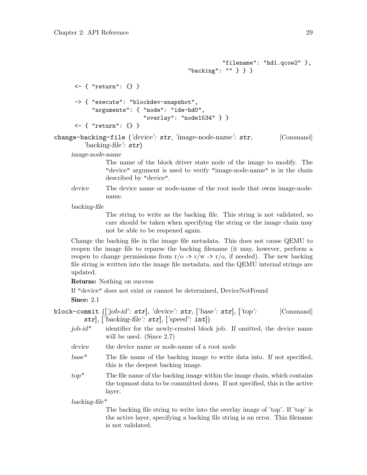```
"filename": "hd1.qcow2" },
"backing": "" } } }
```
<- { "return": {} } -> { "execute": "blockdev-snapshot", "arguments": { "node": "ide-hd0", "overlay": "node1534" } } <- { "return": {} }

change-backing-file ('device': str, 'image-node-name': str, [Command] 'backing-file':  $str)$ 

image-node-name

The name of the block driver state node of the image to modify. The "device" argument is used to verify "image-node-name" is in the chain described by "device".

device The device name or node-name of the root node that owns image-nodename.

backing-file

The string to write as the backing file. This string is not validated, so care should be taken when specifying the string or the image chain may not be able to be reopened again.

Change the backing file in the image file metadata. This does not cause QEMU to reopen the image file to reparse the backing filename (it may, however, perform a reopen to change permissions from  $r/\sigma \rightarrow r/w \rightarrow r/\sigma$ , if needed). The new backing file string is written into the image file metadata, and the QEMU internal strings are updated.

Returns: Nothing on success

If "device" does not exist or cannot be determined, DeviceNotFound

Since: 2.1

```
block-commit (['job-id': str], 'device': str, ['base': str], ['top': [Command]
         str], [ 'backing-file': str], [ 'speed': int] )
```

| $job-id*$ | identifier for the newly-created block job. If omitted, the device name |  |
|-----------|-------------------------------------------------------------------------|--|
|           | will be used. (Since $2.7$ )                                            |  |
| device    | the device name or node-name of a root node                             |  |

- base\* The file name of the backing image to write data into. If not specified, this is the deepest backing image.
- top\* The file name of the backing image within the image chain, which contains the topmost data to be committed down. If not specified, this is the active layer.

 $backing-file*$ 

The backing file string to write into the overlay image of 'top'. If 'top' is the active layer, specifying a backing file string is an error. This filename is not validated.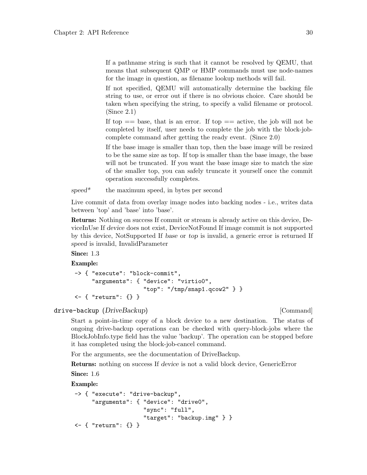If a pathname string is such that it cannot be resolved by QEMU, that means that subsequent QMP or HMP commands must use node-names for the image in question, as filename lookup methods will fail.

If not specified, QEMU will automatically determine the backing file string to use, or error out if there is no obvious choice. Care should be taken when specifying the string, to specify a valid filename or protocol. (Since 2.1)

If top  $==$  base, that is an error. If top  $==$  active, the job will not be completed by itself, user needs to complete the job with the block-jobcomplete command after getting the ready event. (Since 2.0)

If the base image is smaller than top, then the base image will be resized to be the same size as top. If top is smaller than the base image, the base will not be truncated. If you want the base image size to match the size of the smaller top, you can safely truncate it yourself once the commit operation successfully completes.

 $speed^*$  the maximum speed, in bytes per second

Live commit of data from overlay image nodes into backing nodes - i.e., writes data between 'top' and 'base' into 'base'.

Returns: Nothing on success If commit or stream is already active on this device, DeviceInUse If device does not exist, DeviceNotFound If image commit is not supported by this device, NotSupported If base or top is invalid, a generic error is returned If speed is invalid, InvalidParameter

Since: 1.3

# Example:

```
-> { "execute": "block-commit",
     "arguments": { "device": "virtio0",
                    "top": "/tmp/snap1.qcow2" } }
<- { "return": {} }
```
# drive-backup (*DriveBackup*) [Command]

Start a point-in-time copy of a block device to a new destination. The status of ongoing drive-backup operations can be checked with query-block-jobs where the BlockJobInfo.type field has the value 'backup'. The operation can be stopped before it has completed using the block-job-cancel command.

For the arguments, see the documentation of DriveBackup.

Returns: nothing on success If device is not a valid block device, GenericError

Since: 1.6

Example:

```
-> { "execute": "drive-backup",
     "arguments": { "device": "drive0",
                    "sync": "full",
                    "target": "backup.img" } }
<- { "return": {} }
```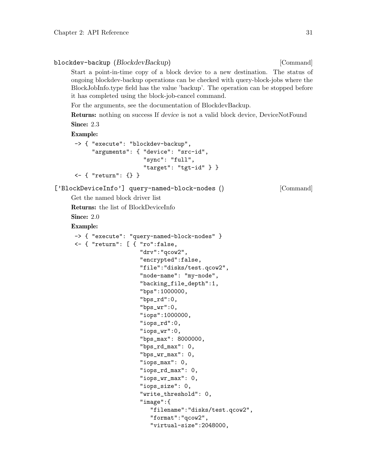# blockdev-backup (BlockdevBackup) [Command]

Start a point-in-time copy of a block device to a new destination. The status of ongoing blockdev-backup operations can be checked with query-block-jobs where the BlockJobInfo.type field has the value 'backup'. The operation can be stopped before it has completed using the block-job-cancel command.

For the arguments, see the documentation of BlockdevBackup.

Returns: nothing on success If device is not a valid block device, DeviceNotFound

```
Since: 2.3
     Example:
     -> { "execute": "blockdev-backup",
           "arguments": { "device": "src-id",
                          "sync": "full",
                          "target": "tgt-id" } }
      <- { "return": {} }
['BlockDeviceInfo'] query-named-block-nodes () [Command]
     Get the named block driver list
     Returns: the list of BlockDeviceInfo
     Since: 2.0
     Example:
      -> { "execute": "query-named-block-nodes" }
      <- { "return": [ { "ro":false,
                         "drv":"qcow2",
                         "encrypted":false,
                         "file":"disks/test.qcow2",
                         "node-name": "my-node",
                         "backing_file_depth":1,
                         "bps":1000000,
                         "bps_rd":0,
                         "bps_wr":0,
                         "iops":1000000,
                         "iops_rd":0,
                         "iops_wr":0,
                         "bps_max": 8000000,
                         "bps_rd_max": 0,
                         "bps_wr_max": 0,
                         "iops_max": 0,
                         "iops_rd_max": 0,
                         "iops_wr_max": 0,
                         "iops_size": 0,
                         "write_threshold": 0,
                         "image":{
                            "filename":"disks/test.qcow2",
                            "format":"qcow2",
                            "virtual-size":2048000,
```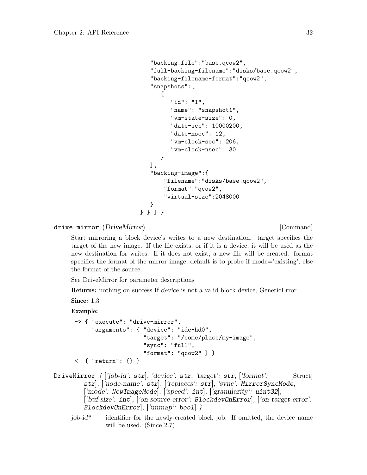```
"backing_file":"base.qcow2",
   "full-backing-filename":"disks/base.qcow2",
   "backing-filename-format":"qcow2",
   "snapshots":[
      {
         "id": "1",
         "name": "snapshot1",
         "vm-state-size": 0,
         "date-sec": 10000200,
         "date-nsec": 12,
         "vm-clock-sec": 206,
         "vm-clock-nsec": 30
      }
   ],
   "backing-image":{
       "filename":"disks/base.qcow2",
       "format":"qcow2",
       "virtual-size":2048000
   }
} } ] }
```
drive-mirror (*DriveMirror*) [Command]

Start mirroring a block device's writes to a new destination. target specifies the target of the new image. If the file exists, or if it is a device, it will be used as the new destination for writes. If it does not exist, a new file will be created. format specifies the format of the mirror image, default is to probe if mode='existing', else the format of the source.

See DriveMirror for parameter descriptions

Returns: nothing on success If device is not a valid block device, GenericError

Since: 1.3

# Example:

```
-> { "execute": "drive-mirror",
     "arguments": { "device": "ide-hd0",
                    "target": "/some/place/my-image",
                    "sync": "full",
                    "format": "qcow2" } }
<- { "return": {} }
```

```
DriveMirror \int [j\omega-bid]: str, 'device': str, 'target': str, ['format': [Struct]
          str], ['node-name': str], ['replaces': str], 'sync': MirrorSyncMode,
          ['mode': NewImageMode], ['speed': int], ['granularity': uint32],
          ['buf-size': int], ['on-source-error': BlockdevOnError], ['on-target-error':
         BlockdevOnError], ['unmap': bool] }
```
job-id\* identifier for the newly-created block job. If omitted, the device name will be used. (Since 2.7)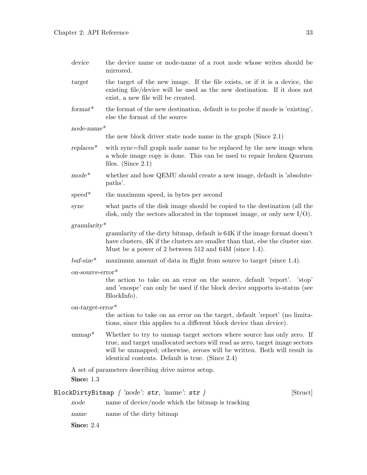|                                                                | device               | the device name or node-name of a root node whose writes should be<br>mirrored.                                                                                                                                                                                                       |  |  |
|----------------------------------------------------------------|----------------------|---------------------------------------------------------------------------------------------------------------------------------------------------------------------------------------------------------------------------------------------------------------------------------------|--|--|
|                                                                | target               | the target of the new image. If the file exists, or if it is a device, the<br>existing file/device will be used as the new destination. If it does not<br>exist, a new file will be created.                                                                                          |  |  |
|                                                                | $format*$            | the format of the new destination, default is to probe if mode is 'existing',<br>else the format of the source                                                                                                                                                                        |  |  |
|                                                                | $node$ -name*        |                                                                                                                                                                                                                                                                                       |  |  |
|                                                                |                      | the new block driver state node name in the graph (Since $2.1$ )                                                                                                                                                                                                                      |  |  |
|                                                                | $replaces*$          | with sync=full graph node name to be replaced by the new image when<br>a whole image copy is done. This can be used to repair broken Quorum<br>files. (Since $2.1$ )                                                                                                                  |  |  |
|                                                                | $mode*$              | whether and how QEMU should create a new image, default is 'absolute-<br>paths'.                                                                                                                                                                                                      |  |  |
|                                                                | $speed*$             | the maximum speed, in bytes per second                                                                                                                                                                                                                                                |  |  |
|                                                                | sync                 | what parts of the disk image should be copied to the destination (all the<br>disk, only the sectors allocated in the topmost image, or only new $I/O$ .                                                                                                                               |  |  |
|                                                                | $granularity^*$      |                                                                                                                                                                                                                                                                                       |  |  |
|                                                                |                      | granularity of the dirty bitmap, default is 64K if the image format doesn't<br>have clusters, 4K if the clusters are smaller than that, else the cluster size.<br>Must be a power of 2 between 512 and 64M (since 1.4).                                                               |  |  |
|                                                                | $but-size*$          | maximum amount of data in flight from source to target (since 1.4).                                                                                                                                                                                                                   |  |  |
|                                                                | on-source- $error^*$ |                                                                                                                                                                                                                                                                                       |  |  |
|                                                                |                      | the action to take on an error on the source, default 'report'. 'stop'<br>and 'enospc' can only be used if the block device supports io-status (see<br>BlockInfo).                                                                                                                    |  |  |
|                                                                | $on-target-error*$   |                                                                                                                                                                                                                                                                                       |  |  |
|                                                                |                      | the action to take on an error on the target, default 'report' (no limita-<br>tions, since this applies to a different block device than <i>device</i> ).                                                                                                                             |  |  |
|                                                                | $\text{unmap}^*$     | Whether to try to unmap target sectors where source has only zero. If<br>true, and target unallocated sectors will read as zero, target image sectors<br>will be unmapped; otherwise, zeroes will be written. Both will result in<br>identical contents. Default is true. (Since 2.4) |  |  |
|                                                                |                      | A set of parameters describing drive mirror setup.                                                                                                                                                                                                                                    |  |  |
|                                                                | <b>Since: 1.3</b>    |                                                                                                                                                                                                                                                                                       |  |  |
| BlockDirtyBitmap { 'node': $str$ , 'name': $str$ }<br>[Struct] |                      |                                                                                                                                                                                                                                                                                       |  |  |
|                                                                | node                 | name of device/node which the bitmap is tracking                                                                                                                                                                                                                                      |  |  |
|                                                                | name                 | name of the dirty bitmap                                                                                                                                                                                                                                                              |  |  |
|                                                                | Since: $2.4$         |                                                                                                                                                                                                                                                                                       |  |  |
|                                                                |                      |                                                                                                                                                                                                                                                                                       |  |  |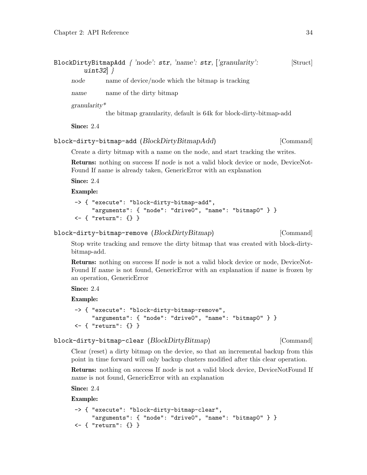| BlockDirtyBitmapAdd { 'node': $str$ , 'name': $str$ , ['granularity':<br>[Struct]<br>uint32 $\}$ |                                                                                                                                                                                                               |                                                                                                                                           |  |  |  |
|--------------------------------------------------------------------------------------------------|---------------------------------------------------------------------------------------------------------------------------------------------------------------------------------------------------------------|-------------------------------------------------------------------------------------------------------------------------------------------|--|--|--|
|                                                                                                  | node                                                                                                                                                                                                          | name of device/node which the bitmap is tracking                                                                                          |  |  |  |
|                                                                                                  | name                                                                                                                                                                                                          | name of the dirty bitmap                                                                                                                  |  |  |  |
|                                                                                                  | $granularity^*$                                                                                                                                                                                               |                                                                                                                                           |  |  |  |
|                                                                                                  |                                                                                                                                                                                                               | the bitmap granularity, default is 64k for block-dirty-bitmap-add                                                                         |  |  |  |
|                                                                                                  | Since: 2.4                                                                                                                                                                                                    |                                                                                                                                           |  |  |  |
| block-dirty-bitmap-add $(BlockDirtyBitmapAdd)$<br>[Command]                                      |                                                                                                                                                                                                               |                                                                                                                                           |  |  |  |
|                                                                                                  | Create a dirty bitmap with a name on the node, and start tracking the writes.                                                                                                                                 |                                                                                                                                           |  |  |  |
|                                                                                                  | <b>Returns:</b> nothing on success If node is not a valid block device or node, DeviceNot-<br>Found If name is already taken, Generic Error with an explanation                                               |                                                                                                                                           |  |  |  |
|                                                                                                  | Since: 2.4                                                                                                                                                                                                    |                                                                                                                                           |  |  |  |
|                                                                                                  | <b>Example:</b>                                                                                                                                                                                               |                                                                                                                                           |  |  |  |
|                                                                                                  |                                                                                                                                                                                                               | -> { "execute": "block-dirty-bitmap-add",<br>"arguments": { "node": "drive0", "name": "bitmap0" } }<br>$\leftarrow \{$ "return": $\{\}$ } |  |  |  |
| block-dirty-bitmap-remove $(BlockDirtyBitmap)$<br>[Command]                                      |                                                                                                                                                                                                               |                                                                                                                                           |  |  |  |
|                                                                                                  | Stop write tracking and remove the dirty bitmap that was created with block-dirty-<br>bitmap-add.                                                                                                             |                                                                                                                                           |  |  |  |
|                                                                                                  | <b>Returns:</b> nothing on success If node is not a valid block device or node, DeviceNot-<br>Found If name is not found, GenericError with an explanation if name is frozen by<br>an operation, GenericError |                                                                                                                                           |  |  |  |
|                                                                                                  | Since: $2.4$                                                                                                                                                                                                  |                                                                                                                                           |  |  |  |
|                                                                                                  | Example:                                                                                                                                                                                                      |                                                                                                                                           |  |  |  |

```
-> { "execute": "block-dirty-bitmap-remove",
     "arguments": { "node": "drive0", "name": "bitmap0" } }
<- { "return": {} }
```

```
block-dirty-bitmap-clear (BlockDirtyBitmap) [Command]
```
Clear (reset) a dirty bitmap on the device, so that an incremental backup from this point in time forward will only backup clusters modified after this clear operation.

Returns: nothing on success If node is not a valid block device, DeviceNotFound If name is not found, GenericError with an explanation

Since: 2.4

# Example:

```
-> { "execute": "block-dirty-bitmap-clear",
     "arguments": { "node": "drive0", "name": "bitmap0" } }
<- { "return": {} }
```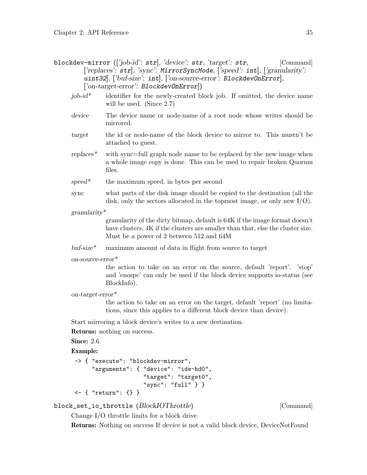- blockdev-mirror (['job-id': str], 'device': str, 'target': str, [Command] ['replaces': str], 'sync': MirrorSyncMode, ['speed': int], ['granularity': uint32], ['buf-size': int], ['on-source-error': BlockdevOnError], ['on-target-error': BlockdevOnError])
	- job-id\* identifier for the newly-created block job. If omitted, the device name will be used. (Since 2.7)
	- device The device name or node-name of a root node whose writes should be mirrored.
	- target the id or node-name of the block device to mirror to. This mustn't be attached to guest.
	- replaces\* with sync=full graph node name to be replaced by the new image when a whole image copy is done. This can be used to repair broken Quorum files.
	- $speed^*$  the maximum speed, in bytes per second
	- sync what parts of the disk image should be copied to the destination (all the disk, only the sectors allocated in the topmost image, or only new I/O).

granularity\*

granularity of the dirty bitmap, default is 64K if the image format doesn't have clusters,  $4K$  if the clusters are smaller than that, else the cluster size. Must be a power of 2 between 512 and 64M

- buf-size\* maximum amount of data in flight from source to target
- on-source-error\*

the action to take on an error on the source, default 'report'. 'stop' and 'enospc' can only be used if the block device supports io-status (see BlockInfo).

on-target-error\*

the action to take on an error on the target, default 'report' (no limitations, since this applies to a different block device than device).

Start mirroring a block device's writes to a new destination.

Returns: nothing on success.

```
Since: 2.6
```
Example:

```
-> { "execute": "blockdev-mirror",
     "arguments": { "device": "ide-hd0",
                    "target": "target0",
                    "sync": "full" } }
<- { "return": {} }
```
block\_set\_io\_throttle (BlockIOThrottle) [Command]

Change I/O throttle limits for a block drive.

Returns: Nothing on success If device is not a valid block device, DeviceNotFound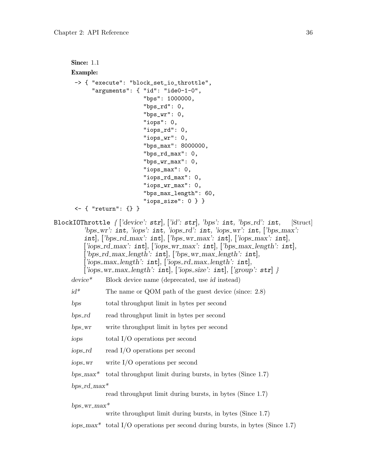```
Since: 1.1
     Example:
       -> { "execute": "block_set_io_throttle",
            "arguments": { "id": "ide0-1-0",
                              "bps": 1000000,
                              "bps_rd": 0,
                              "bps_wr": 0,
                              "iops": 0,
                             "iops_rd": 0,
                              "iops_wr": 0,
                              "bps_max": 8000000,
                              "bps_rd_max": 0,
                              "bps_wr_max": 0,
                              "iops_max": 0,
                              "iops_rd_max": 0,
                              "iops_wr_max": 0,
                              "bps_max_length": 60,
                              "iops_size": 0 } }
       <- { "return": {} }
BlockIOThrottle \int ['device': str], ['id': str], 'bps': int, 'bps_rd': int, [Struct]
          'bps_wr': int, 'iops': int, 'iops_rd': int, 'iops_wr': int, ['bps_max':
          int], [\text{bps\_rd\_max'}: \text{int}], [\text{bps\_wr\_max'}: \text{int}], [\text{bps\_max'}: \text{int}],
          ['iops_rd_max': int], ['iops_wr_max': int], ['bps_max_length': int],
          [ 'bps_rrd_max_- length': int], [ 'bps_wr_max_-length': int],['iops_max_length': int], ['iops_rd_max_length': int],
          ['iops_wr_max_length': int], ['iops_size': int], ['group': str] }
     device* Block device name (deprecated, use id instead)
     id* The name or QOM path of the guest device (since: 2.8)
     bps total throughput limit in bytes per second
     bps rd read throughput limit in bytes per second
     bps_wr write throughput limit in bytes per second
     iops total I/O operations per second
     iops\_rd read I/O operations per second
     iops\_wr write I/O operations per second
     bps\_max^* total throughput limit during bursts, in bytes (Since 1.7)
     bps\_rd\_max*read throughput limit during bursts, in bytes (Since 1.7)
     bps\_wr\_max*write throughput limit during bursts, in bytes (Since 1.7)
     iops\_max^* total I/O operations per second during bursts, in bytes (Since 1.7)
```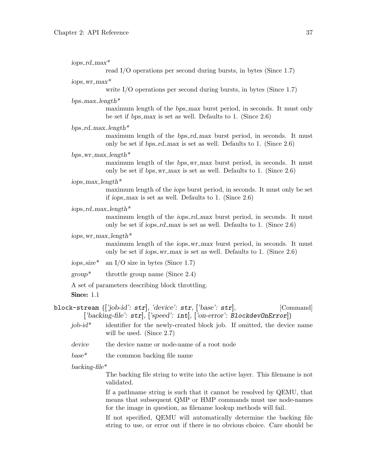| $iops\_rd\_max*$        |                                                                                                                                                         |
|-------------------------|---------------------------------------------------------------------------------------------------------------------------------------------------------|
|                         | read $I/O$ operations per second during bursts, in bytes (Since 1.7)                                                                                    |
| $iops\_wr\_max*$        |                                                                                                                                                         |
|                         | write $I/O$ operations per second during bursts, in bytes (Since 1.7)                                                                                   |
| $bps\_max\_length*$     |                                                                                                                                                         |
|                         | maximum length of the bps_max burst period, in seconds. It must only<br>be set if $bps$ max is set as well. Defaults to 1. (Since 2.6)                  |
| $bps_rrd_max_length*$   |                                                                                                                                                         |
|                         | maximum length of the bps_rd_max burst period, in seconds. It must<br>only be set if $bps_r d_{\text{max}}$ is set as well. Defaults to 1. (Since 2.6)  |
| $bps\_wr\_max\_length*$ |                                                                                                                                                         |
|                         | maximum length of the bps_wr_max burst period, in seconds. It must<br>only be set if $bps\_wr\_max$ is set as well. Defaults to 1. (Since 2.6)          |
| $iops\_max\_length*$    |                                                                                                                                                         |
|                         | maximum length of the <i>iops</i> burst period, in seconds. It must only be set<br>if iops_max is set as well. Defaults to 1. (Since $2.6$ )            |
|                         | $iops\_rd\_max\_length*$                                                                                                                                |
|                         | maximum length of the iops_rd_max burst period, in seconds. It must<br>only be set if $iops\_rd\_max$ is set as well. Defaults to 1. (Since 2.6)        |
|                         | $iops\_wr\_max\_length*$                                                                                                                                |
|                         | maximum length of the <i>iops_wr_max</i> burst period, in seconds. It must<br>only be set if $iops\_wr\_max$ is set as well. Defaults to 1. (Since 2.6) |
| $i$ ops_size $*$        | an I/O size in bytes (Since 1.7)                                                                                                                        |
| $group^*$               | throttle group name (Since $2.4$ )                                                                                                                      |
|                         | A set of parameters describing block throttling.                                                                                                        |
| Since: 1.1              |                                                                                                                                                         |
|                         | block-stream (['job-id': str], 'device': str, ['base': str],<br>[Command]<br>['backing-file': str], ['speed': int], ['on-error': BlockdevOnError])      |
| $job-id*$               | identifier for the newly-created block job. If omitted, the device name                                                                                 |
|                         |                                                                                                                                                         |

- will be used. (Since 2.7)
- device the device name or node-name of a root node
- base\* the common backing file name

 $backing\text{-file*}$ 

The backing file string to write into the active layer. This filename is not validated.

If a pathname string is such that it cannot be resolved by QEMU, that means that subsequent QMP or HMP commands must use node-names for the image in question, as filename lookup methods will fail.

If not specified, QEMU will automatically determine the backing file string to use, or error out if there is no obvious choice. Care should be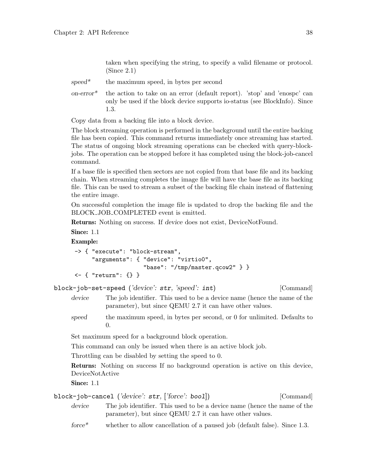taken when specifying the string, to specify a valid filename or protocol. (Since 2.1)

- $speed^*$  the maximum speed, in bytes per second
- on-error\* the action to take on an error (default report). 'stop' and 'enospc' can only be used if the block device supports io-status (see BlockInfo). Since 1.3.

Copy data from a backing file into a block device.

The block streaming operation is performed in the background until the entire backing file has been copied. This command returns immediately once streaming has started. The status of ongoing block streaming operations can be checked with query-blockjobs. The operation can be stopped before it has completed using the block-job-cancel command.

If a base file is specified then sectors are not copied from that base file and its backing chain. When streaming completes the image file will have the base file as its backing file. This can be used to stream a subset of the backing file chain instead of flattening the entire image.

On successful completion the image file is updated to drop the backing file and the BLOCK JOB COMPLETED event is emitted.

Returns: Nothing on success. If device does not exist, DeviceNotFound.

Since: 1.1

## Example:

```
-> { "execute": "block-stream",
     "arguments": { "device": "virtio0",
                    "base": "/tmp/master.qcow2" } }
<- { "return": {} }
```
block-job-set-speed ('device': str, 'speed': int) [Command]

- device The job identifier. This used to be a device name (hence the name of the parameter), but since QEMU 2.7 it can have other values.
- speed the maximum speed, in bytes per second, or 0 for unlimited. Defaults to  $\Omega$

Set maximum speed for a background block operation.

This command can only be issued when there is an active block job.

Throttling can be disabled by setting the speed to 0.

Returns: Nothing on success If no background operation is active on this device, DeviceNotActive

Since: 1.1

block-job-cancel ('device': str, ['force': bool]) [Command] device The job identifier. This used to be a device name (hence the name of the parameter), but since QEMU 2.7 it can have other values.

force\* whether to allow cancellation of a paused job (default false). Since 1.3.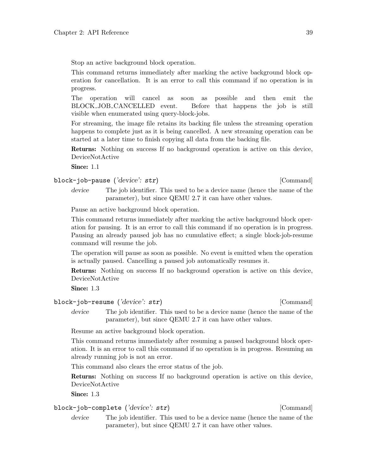Stop an active background block operation.

This command returns immediately after marking the active background block operation for cancellation. It is an error to call this command if no operation is in progress.

The operation will cancel as soon as possible and then emit the BLOCK JOB CANCELLED event. Before that happens the job is still visible when enumerated using query-block-jobs.

For streaming, the image file retains its backing file unless the streaming operation happens to complete just as it is being cancelled. A new streaming operation can be started at a later time to finish copying all data from the backing file.

Returns: Nothing on success If no background operation is active on this device, DeviceNotActive

Since: 1.1

## block-job-pause ('device': str) [Command]

device The job identifier. This used to be a device name (hence the name of the parameter), but since QEMU 2.7 it can have other values.

Pause an active background block operation.

This command returns immediately after marking the active background block operation for pausing. It is an error to call this command if no operation is in progress. Pausing an already paused job has no cumulative effect; a single block-job-resume command will resume the job.

The operation will pause as soon as possible. No event is emitted when the operation is actually paused. Cancelling a paused job automatically resumes it.

Returns: Nothing on success If no background operation is active on this device, DeviceNotActive

Since: 1.3

## block-job-resume ('device': str) [Command]

device The job identifier. This used to be a device name (hence the name of the parameter), but since QEMU 2.7 it can have other values.

Resume an active background block operation.

This command returns immediately after resuming a paused background block operation. It is an error to call this command if no operation is in progress. Resuming an already running job is not an error.

This command also clears the error status of the job.

Returns: Nothing on success If no background operation is active on this device, DeviceNotActive

Since: 1.3

## block-job-complete ('device': str) [Command]

device The job identifier. This used to be a device name (hence the name of the parameter), but since QEMU 2.7 it can have other values.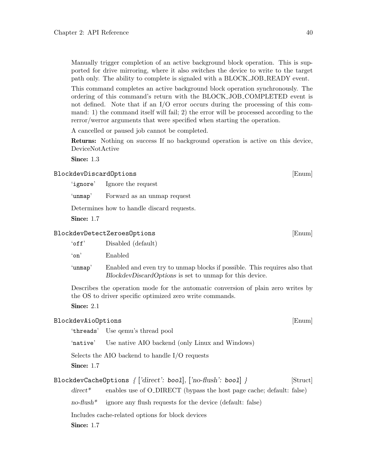Manually trigger completion of an active background block operation. This is supported for drive mirroring, where it also switches the device to write to the target path only. The ability to complete is signaled with a BLOCK JOB READY event.

This command completes an active background block operation synchronously. The ordering of this command's return with the BLOCK JOB COMPLETED event is not defined. Note that if an  $I/O$  error occurs during the processing of this command: 1) the command itself will fail; 2) the error will be processed according to the rerror/werror arguments that were specified when starting the operation.

A cancelled or paused job cannot be completed.

Returns: Nothing on success If no background operation is active on this device, DeviceNotActive

Since: 1.3

## BlockdevDiscardOptions [Enum]

'ignore' Ignore the request

'unmap' Forward as an unmap request

Determines how to handle discard requests.

Since: 1.7

## BlockdevDetectZeroesOptions [Enum]

| Disabled (default) |  |
|--------------------|--|
|                    |  |

- 'on' Enabled
- 'unmap' Enabled and even try to unmap blocks if possible. This requires also that BlockdevDiscardOptions is set to unmap for this device.

Describes the operation mode for the automatic conversion of plain zero writes by the OS to driver specific optimized zero write commands.

Since: 2.1

## BlockdevAioOptions [Enum]

'threads' Use qemu's thread pool

'native' Use native AIO backend (only Linux and Windows)

Selects the AIO backend to handle I/O requests

Since: 1.7

## BlockdevCacheOptions  $\{$  ['direct': bool], ['no-flush': bool] } [Struct]

direct\* enables use of O DIRECT (bypass the host page cache; default: false)

 $no-flush*$  ignore any flush requests for the device (default: false)

Includes cache-related options for block devices

Since: 1.7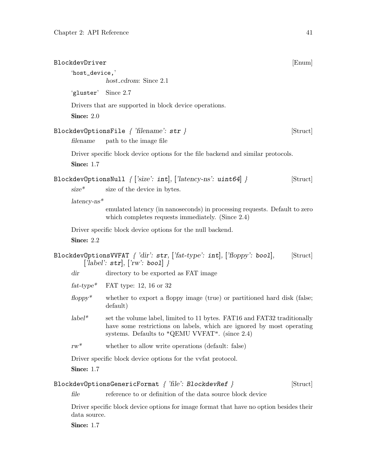| BlockdevDriver                   |                                                                                                                                                                                                     | [Enum]   |
|----------------------------------|-----------------------------------------------------------------------------------------------------------------------------------------------------------------------------------------------------|----------|
| 'host_device,'                   |                                                                                                                                                                                                     |          |
|                                  | host_cdrom: Since 2.1                                                                                                                                                                               |          |
| 'gluster' Since 2.7              |                                                                                                                                                                                                     |          |
|                                  | Drivers that are supported in block device operations.                                                                                                                                              |          |
| Since: 2.0                       |                                                                                                                                                                                                     |          |
|                                  | Blockdev0ptionsFile $\{ 'filename': str \}$                                                                                                                                                         | [Struct] |
| filename                         | path to the image file                                                                                                                                                                              |          |
| Since: 1.7                       | Driver specific block device options for the file backend and similar protocols.                                                                                                                    |          |
|                                  | BlockdevOptionsNull $\{$ ['size': int], ['latency-ns': uint64] $\}$                                                                                                                                 | [Struct] |
| $size^*$                         | size of the device in bytes.                                                                                                                                                                        |          |
| $latency-ns*$                    |                                                                                                                                                                                                     |          |
|                                  | emulated latency (in nanoseconds) in processing requests. Default to zero<br>which completes requests immediately. (Since $2.4$ )                                                                   |          |
|                                  | Driver specific block device options for the null backend.                                                                                                                                          |          |
| Since: 2.2                       |                                                                                                                                                                                                     |          |
|                                  | BlockdevOptionsVVFAT $\{ 'dir': str, ['fat-type': int], ['floppy': bool],$<br>['label': $str$ ], ['rw': bool] }                                                                                     | [Struct] |
| $\mathrm{d}\mathrm{d}\mathrm{r}$ | directory to be exported as FAT image                                                                                                                                                               |          |
| $fat-type^*$                     | FAT type: 12, 16 or 32                                                                                                                                                                              |          |
| $f\$ {doppy*}                    | whether to export a floppy image (true) or partitioned hard disk (false;<br>default)                                                                                                                |          |
| $label**$                        | set the volume label, limited to 11 bytes. FAT16 and FAT32 traditionally<br>have some restrictions on labels, which are ignored by most operating<br>systems. Defaults to "QEMU VVFAT". (since 2.4) |          |
| $rw^*$                           | whether to allow write operations (default: false)                                                                                                                                                  |          |
|                                  | Driver specific block device options for the vertal protocol.                                                                                                                                       |          |
| Since: 1.7                       |                                                                                                                                                                                                     |          |
|                                  | BlockdevOptionsGenericFormat $\{ 'file': BlockdevRef \}$                                                                                                                                            | [Struct] |

 $file$  reference to or definition of the data source block device

Driver specific block device options for image format that have no option besides their data source.

Since: 1.7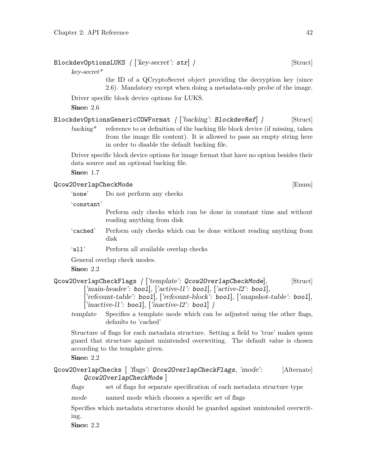# BlockdevOptionsLUKS { ['key-secret': str] } [Struct]

key-secret\*

the ID of a QCryptoSecret object providing the decryption key (since 2.6). Mandatory except when doing a metadata-only probe of the image.

Driver specific block device options for LUKS.

Since: 2.6

| BlockdevOptionsGenericCOWFormat { ['backing': BlockdevRef] }                                                              | [Struct] |
|---------------------------------------------------------------------------------------------------------------------------|----------|
| backing* reference to or definition of the backing file block device (if missing, taken                                   |          |
| from the image file content). It is allowed to pass an empty string here<br>in order to disable the default backing file. |          |
|                                                                                                                           |          |

Driver specific block device options for image format that have no option besides their data source and an optional backing file.

Since: 1.7

## Qcow2OverlapCheckMode [Enum]

'none' Do not perform any checks

'constant'

Perform only checks which can be done in constant time and without reading anything from disk

- 'cached' Perform only checks which can be done without reading anything from disk
- 'all' Perform all available overlap checks

General overlap check modes.

Since: 2.2

## Qcow2OverlapCheckFlags { ['template': Qcow2OverlapCheckMode], [Struct] ['main-header': boo1], ['active-l1': boo1], ['active-l2': boo1],

['refcount-table': bool], ['refcount-block': bool], ['snapshot-table': bool],  $\lceil \text{`inactive-}11 \rceil$ : bool,  $\lceil \text{`inactive-}12 \rceil$ : bool,  $\}$ 

template Specifies a template mode which can be adjusted using the other flags, defaults to 'cached'

Structure of flags for each metadata structure. Setting a field to 'true' makes qemu guard that structure against unintended overwriting. The default value is chosen according to the template given.

Since: 2.2

## Qcow2OverlapChecks [ 'flags': Qcow2OverlapCheckFlags, 'mode': [Alternate] Qcow2OverlapCheckMode ]

flags set of flags for separate specification of each metadata structure type

mode named mode which chooses a specific set of flags

Specifies which metadata structures should be guarded against unintended overwriting.

Since: 2.2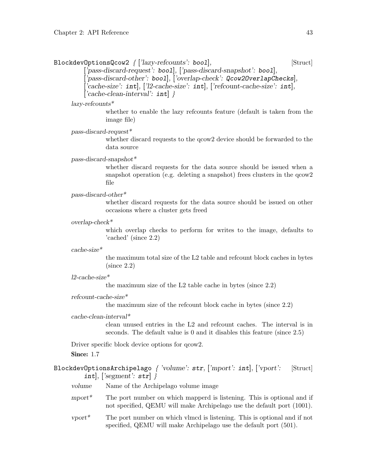```
BlockdevOptionsQcow2 { ['lazy-refcounts': bool], [Struct]
          ['pass-discard-request': bool], ['pass-discard-snapshot': bool],
           'pass-discard-other': bool], ['overlap-check': Qcow20verlapChecks],
           \text{'cache-size': int}, \{2\text{'cache-size': int}\}, \{7\text{'refound-cache-size': int}\},['cache-clean-interval': int] }
      lazy-refcounts*
                 whether to enable the lazy refcounts feature (default is taken from the
                 image file)
      pass-discard-request*
                 whether discard requests to the grow 2 device should be forwarded to the
                 data source
      pass-discard-snapshot*
                 whether discard requests for the data source should be issued when a
                 snapshot operation (e.g. deleting a snapshot) frees clusters in the q_{\text{c}}file
      pass-discard-other*
                 whether discard requests for the data source should be issued on other
                 occasions where a cluster gets freed
```

```
overlap-check*
```
which overlap checks to perform for writes to the image, defaults to 'cached' (since 2.2)

### cache-size\*

the maximum total size of the L2 table and refcount block caches in bytes (since 2.2)

## l2-cache-size\*

the maximum size of the L2 table cache in bytes (since 2.2)

## refcount-cache-size\*

the maximum size of the refcount block cache in bytes (since 2.2)

### cache-clean-interval\*

clean unused entries in the L2 and refcount caches. The interval is in seconds. The default value is 0 and it disables this feature (since 2.5)

Driver specific block device options for qcow2.

### Since: 1.7

BlockdevOptionsArchipelago { 'volume': str, ['mport': int], ['vport': [Struct] int], ['segment':  $str$ ] }

- volume Name of the Archipelago volume image
- mport<sup>\*</sup> The port number on which mapperd is listening. This is optional and if not specified, QEMU will make Archipelago use the default port (1001).
- vport $*$  The port number on which vlmcd is listening. This is optional and if not specified, QEMU will make Archipelago use the default port (501).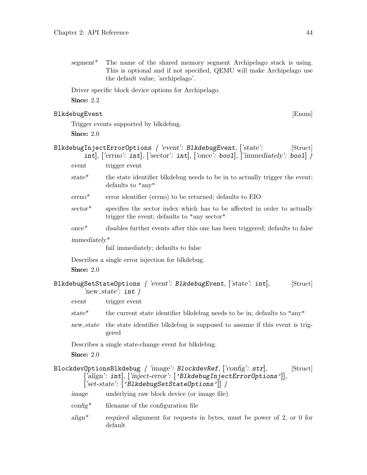segment<sup>\*</sup> The name of the shared memory segment Archipelago stack is using. This is optional and if not specified, QEMU will make Archipelago use the default value, 'archipelago'.

Driver specific block device options for Archipelago.

Since: 2.2

### BlkdebugEvent [Enum]

Trigger events supported by blkdebug.

Since: 2.0

## BlkdebugInjectErrorOptions  $\{$  'event': BlkdebugEvent,  $[$ 'state': [Struct] int], ['errno': int], ['sector': int], ['once': bool], ['immediately': bool]  $\}$

event trigger event state\* the state identifier blkdebug needs to be in to actually trigger the event; defaults to "any" errno\* error identifier (errno) to be returned; defaults to EIO sector\* specifies the sector index which has to be affected in order to actually trigger the event; defaults to "any sector" once\* disables further events after this one has been triggered; defaults to false immediately\* fail immediately; defaults to false Describes a single error injection for blkdebug. Since: 2.0

## BlkdebugSetStateOptions  $\{$  'event': BlkdebugEvent,  $[$ 'state': int], [Struct] 'new\_state':  $int \}$

event trigger event

- state\* the current state identifier blkdebug needs to be in; defaults to "any"
- new state the state identifier blkdebug is supposed to assume if this event is triggered

Describes a single state-change event for blkdebug.

**Since: 2.0** 

## BlockdevOptionsBlkdebug  $\int' \text{image}'$ : BlockdevRef,  $\text{[config]}$ : str, [Struct] ['align': int], ['inject-error': ['BlkdebugInjectErrorOptions']], ['set-state': ['BlkdebugSetStateOptions']] }

- image underlying raw block device (or image file)
- $\text{config*}$  filename of the configuration file
- align\* required alignment for requests in bytes, must be power of 2, or 0 for default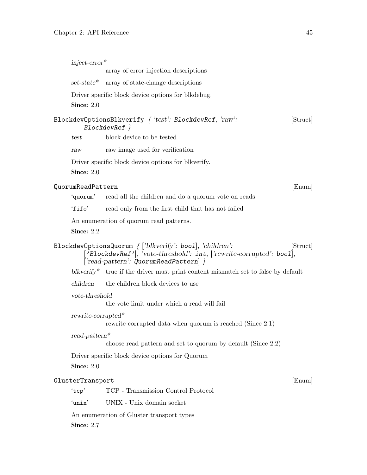inject-error\* array of error injection descriptions set-state\* array of state-change descriptions Driver specific block device options for blkdebug. **Since: 2.0** BlockdevOptionsBlkverify { 'test': BlockdevRef, 'raw': [Struct] BlockdevRef } test block device to be tested raw raw image used for verification Driver specific block device options for blkverify. **Since: 2.0** QuorumReadPattern [Enum] 'quorum' read all the children and do a quorum vote on reads 'fifo' read only from the first child that has not failed An enumeration of quorum read patterns. Since: 2.2 BlockdevOptionsQuorum { ['blkverify': bool], 'children': [Struct] ['BlockdevRef'], 'vote-threshold': int, ['rewrite-corrupted': bool], ['read-pattern': QuorumReadPattern] }  $blkverify*$  true if the driver must print content mismatch set to false by default children the children block devices to use vote-threshold the vote limit under which a read will fail rewrite-corrupted\* rewrite corrupted data when quorum is reached (Since 2.1) read-pattern\* choose read pattern and set to quorum by default (Since 2.2) Driver specific block device options for Quorum **Since: 2.0** GlusterTransport [Enum] 'tcp' TCP - Transmission Control Protocol 'unix' UNIX - Unix domain socket An enumeration of Gluster transport types Since: 2.7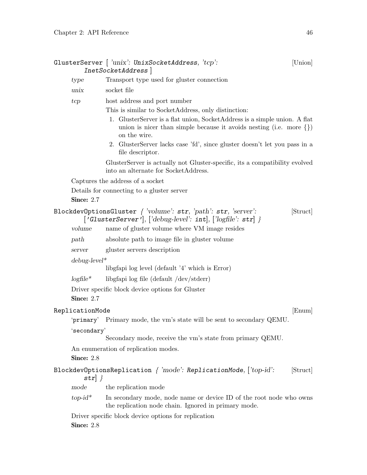|                   | GlusterServer [ 'unix': UnixSocketAddress, 'tcp':<br>InetSocketAddress                                                                                                                                                                                                  | [Union]  |
|-------------------|-------------------------------------------------------------------------------------------------------------------------------------------------------------------------------------------------------------------------------------------------------------------------|----------|
| type              | Transport type used for gluster connection                                                                                                                                                                                                                              |          |
| unix              | socket file                                                                                                                                                                                                                                                             |          |
| tcp               | host address and port number                                                                                                                                                                                                                                            |          |
|                   | This is similar to SocketAddress, only distinction:                                                                                                                                                                                                                     |          |
|                   | 1. GlusterServer is a flat union, SocketAddress is a simple union. A flat<br>union is nicer than simple because it avoids nesting (i.e. more $\{\}\$ )<br>on the wire.<br>2. GlusterServer lacks case 'fd', since gluster doesn't let you pass in a<br>file descriptor. |          |
|                   | GlusterServer is actually not Gluster-specific, its a compatibility evolved<br>into an alternate for SocketAddress.                                                                                                                                                     |          |
|                   | Captures the address of a socket                                                                                                                                                                                                                                        |          |
|                   | Details for connecting to a gluster server                                                                                                                                                                                                                              |          |
| Since: 2.7        |                                                                                                                                                                                                                                                                         |          |
|                   | BlockdevOptionsGluster { 'volume': str, 'path': str, 'server':<br>$['GlusterServer'], ['debug-level': int], ['logfile': str]$                                                                                                                                           | [Struct] |
| volume            | name of gluster volume where VM image resides                                                                                                                                                                                                                           |          |
| path              | absolute path to image file in gluster volume                                                                                                                                                                                                                           |          |
| server            | gluster servers description                                                                                                                                                                                                                                             |          |
| $debug-level*$    |                                                                                                                                                                                                                                                                         |          |
|                   | libgfapi log level (default '4' which is Error)                                                                                                                                                                                                                         |          |
| $logfile*$        | libgfapi log file (default / $dev/stderr$ )                                                                                                                                                                                                                             |          |
| Since: 2.7        | Driver specific block device options for Gluster                                                                                                                                                                                                                        |          |
| ReplicationMode   |                                                                                                                                                                                                                                                                         | [Enum]   |
|                   | 'primary' Primary mode, the vm's state will be sent to secondary QEMU.                                                                                                                                                                                                  |          |
| 'secondary'       |                                                                                                                                                                                                                                                                         |          |
|                   | Secondary mode, receive the vm's state from primary QEMU.                                                                                                                                                                                                               |          |
| Since: 2.8        | An enumeration of replication modes.                                                                                                                                                                                                                                    |          |
| $str \vert \ \}$  | Blockdev0ptionsReplication $\{ 'mode' : ReplicationMode, ['top-id':$                                                                                                                                                                                                    | [Struct] |
| mode              | the replication mode                                                                                                                                                                                                                                                    |          |
| $top-id^*$        | In secondary mode, node name or device ID of the root node who owns<br>the replication node chain. Ignored in primary mode.                                                                                                                                             |          |
| <b>Since: 2.8</b> | Driver specific block device options for replication                                                                                                                                                                                                                    |          |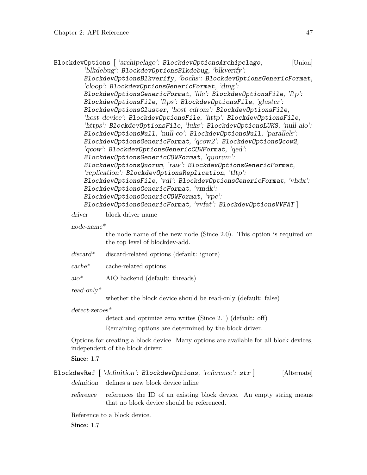```
BlockdevOptions ['archipelago': BlockdevOptionsArchipelago, [Union]
        'blkdebug': BlockdevOptionsBlkdebug, 'blkverify':
        BlockdevOptionsBlkverify, 'bochs': BlockdevOptionsGenericFormat,
        'cloop': BlockdevOptionsGenericFormat, 'dmg':
        BlockdevOptionsGenericFormat, 'file': BlockdevOptionsFile, 'ftp':BlockdevOptionsFile, 'ftps': BlockdevOptionsFile, 'gluster':
        BlockdevOptionsGluster, 'host cdrom': BlockdevOptionsFile,
        'host device': BlockdevOptionsFile, 'http': BlockdevOptionsFile,
        'https': BlockdevOptionsFile, 'luks': BlockdevOptionsLUKS, 'null-aio':
        BlockdevOptionsNull, 'null-co': BlockdevOptionsNull, 'parallels':
        BlockdevOptionsGenericFormat, 'qcow2': BlockdevOptionsQcow2,
        'qcow': BlockdevOptionsGenericCOWFormat, 'qed':
        BlockdevOptionsGenericCOWFormat, 'quorum':
        BlockdevOptionsQuorum, 'raw': BlockdevOptionsGenericFormat,
        'replication': BlockdevOptionsReplication, 'tftp':
        BlockdevOptionsFile, 'vdi': BlockdevOptionsGenericFormat, 'vhdx':
        BlockdevOptionsGenericFormat, 'vmdk':
        BlockdevOptionsGenericCOWFormat, 'vpc':
        BlockdevOptionsGenericFormat, 'vvfat': BlockdevOptionsVVFAT ]
```
driver block driver name

node-name\*

the node name of the new node (Since 2.0). This option is required on the top level of blockdev-add.

- discard\* discard-related options (default: ignore)
- cache\* cache-related options
- aio\* AIO backend (default: threads)

read-only\*

whether the block device should be read-only (default: false)

detect-zeroes\*

detect and optimize zero writes (Since 2.1) (default: off) Remaining options are determined by the block driver.

Options for creating a block device. Many options are available for all block devices, independent of the block driver:

Since: 1.7

```
BlockdevRef [ 'definition': BlockdevOptions, 'reference': str ] [Alternate]
     definition defines a new block device inline
```
reference references the ID of an existing block device. An empty string means that no block device should be referenced.

Reference to a block device.

Since: 1.7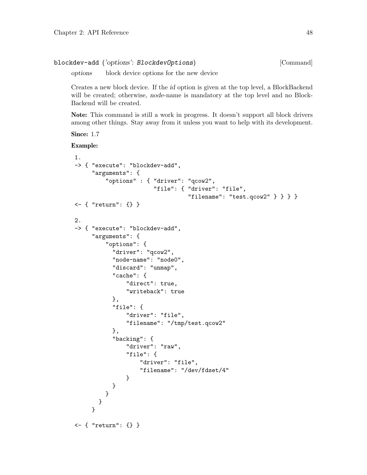## blockdev-add ('options': BlockdevOptions) [Command]

options block device options for the new device

Creates a new block device. If the id option is given at the top level, a BlockBackend will be created; otherwise, node-name is mandatory at the top level and no Block-Backend will be created.

Note: This command is still a work in progress. It doesn't support all block drivers among other things. Stay away from it unless you want to help with its development.

```
Since: 1.7
```
Example:

```
1.
-> { "execute": "blockdev-add",
     "arguments": {
         "options" : { "driver": "qcow2",
                        "file": { "driver": "file",
                                  "filename": "test.qcow2" } } } }
<- { "return": {} }
2.
-> { "execute": "blockdev-add",
     "arguments": {
         "options": {
           "driver": "qcow2",
           "node-name": "node0",
           "discard": "unmap",
           "cache": {
               "direct": true,
               "writeback": true
           },
           "file": {
               "driver": "file",
               "filename": "/tmp/test.qcow2"
           },
           "backing": {
               "driver": "raw",
               "file": {
                   "driver": "file",
                   "filename": "/dev/fdset/4"
               }
           }
         }
       }
     }
<- { "return": {} }
```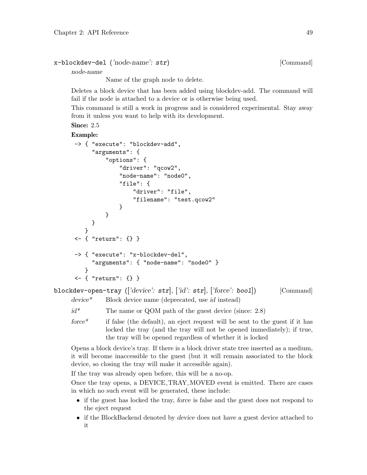## x-blockdev-del ('node-name': str) [Command]

node-name

Name of the graph node to delete.

Deletes a block device that has been added using blockdev-add. The command will fail if the node is attached to a device or is otherwise being used.

This command is still a work in progress and is considered experimental. Stay away from it unless you want to help with its development.

## Since: 2.5

## Example:

```
-> { "execute": "blockdev-add",
     "arguments": {
         "options": {
             "driver": "qcow2",
             "node-name": "node0",
             "file": {
                  "driver": "file",
                  "filename": "test.qcow2"
             }
         }
     }
   }
<- { "return": {} }
-> { "execute": "x-blockdev-del",
     "arguments": { "node-name": "node0" }
   }
<- { "return": {} }
```
blockdev-open-tray (['device': str], ['id': str], ['force': bool]) [Command]

device\* Block device name (deprecated, use id instead)

id\* The name or QOM path of the guest device (since: 2.8)

force\* if false (the default), an eject request will be sent to the guest if it has locked the tray (and the tray will not be opened immediately); if true, the tray will be opened regardless of whether it is locked

Opens a block device's tray. If there is a block driver state tree inserted as a medium, it will become inaccessible to the guest (but it will remain associated to the block device, so closing the tray will make it accessible again).

If the tray was already open before, this will be a no-op.

Once the tray opens, a DEVICE TRAY MOVED event is emitted. There are cases in which no such event will be generated, these include:

- if the guest has locked the tray, force is false and the guest does not respond to the eject request
- if the BlockBackend denoted by device does not have a guest device attached to it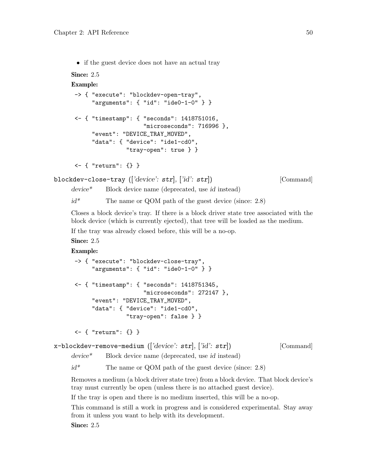• if the guest device does not have an actual tray

## Since: 2.5

### Example:

```
-> { "execute": "blockdev-open-tray",
     "arguments": { "id": "ide0-1-0" } }
<- { "timestamp": { "seconds": 1418751016,
                    "microseconds": 716996 },
     "event": "DEVICE_TRAY_MOVED",
     "data": { "device": "ide1-cd0",
               "tray-open": true } }
```
<- { "return": {} }

## blockdev-close-tray (['device': str], ['id': str]) [Command]

device\* Block device name (deprecated, use id instead)

 $id^*$  The name or QOM path of the guest device (since: 2.8)

Closes a block device's tray. If there is a block driver state tree associated with the block device (which is currently ejected), that tree will be loaded as the medium. If the tray was already closed before, this will be a no-op.

## Since: 2.5

### Example:

```
-> { "execute": "blockdev-close-tray",
     "arguments": { "id": "ide0-1-0" } }
<- { "timestamp": { "seconds": 1418751345,
                    "microseconds": 272147 },
     "event": "DEVICE_TRAY_MOVED",
     "data": { "device": "ide1-cd0",
               "tray-open": false } }
```
<- { "return": {} }

x-blockdev-remove-medium (['device': str], ['id': str]) [Command]

device\* Block device name (deprecated, use id instead)

id\* The name or QOM path of the guest device (since: 2.8)

Removes a medium (a block driver state tree) from a block device. That block device's tray must currently be open (unless there is no attached guest device).

If the tray is open and there is no medium inserted, this will be a no-op.

This command is still a work in progress and is considered experimental. Stay away from it unless you want to help with its development.

**Since: 2.5**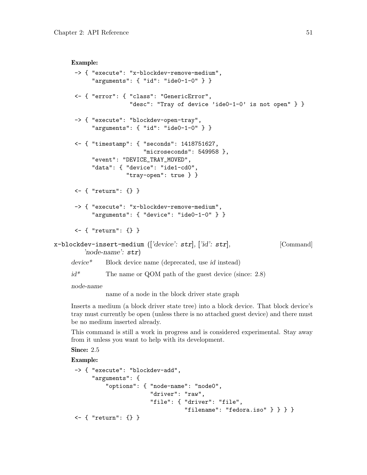## Example:

```
-> { "execute": "x-blockdev-remove-medium",
           "arguments": { "id": "ide0-1-0" } }
      <- { "error": { "class": "GenericError",
                      "desc": "Tray of device 'ide0-1-0' is not open" } }
      -> { "execute": "blockdev-open-tray",
           "arguments": { "id": "ide0-1-0" } }
      <- { "timestamp": { "seconds": 1418751627,
                          "microseconds": 549958 },
           "event": "DEVICE_TRAY_MOVED",
           "data": { "device": "ide1-cd0",
                     "tray-open": true } }
      <- { "return": {} }
      -> { "execute": "x-blockdev-remove-medium",
           "arguments": { "device": "ide0-1-0" } }
      <- { "return": {} }
x-blockdev-insert-medium (['device: str], ['id: str], [Command]
         'node-name': str)
     device* Block device name (deprecated, use id instead)
     id^* The name or QOM path of the guest device (since: 2.8)
     node-name
```
name of a node in the block driver state graph

Inserts a medium (a block driver state tree) into a block device. That block device's tray must currently be open (unless there is no attached guest device) and there must be no medium inserted already.

This command is still a work in progress and is considered experimental. Stay away from it unless you want to help with its development.

```
Since: 2.5
```
Example:

```
-> { "execute": "blockdev-add",
     "arguments": {
         "options": { "node-name": "node0",
                      "driver": "raw",
                      "file": { "driver": "file",
                                "filename": "fedora.iso" } } } }
<- { "return": {} }
```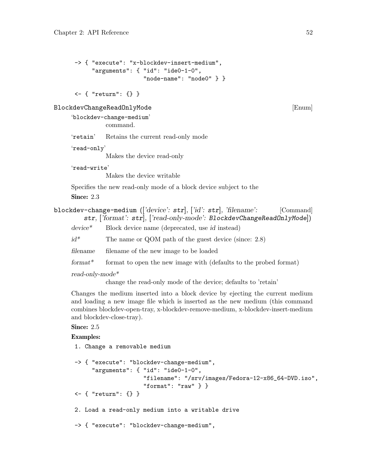```
-> { "execute": "x-blockdev-insert-medium",
     "arguments": { "id": "ide0-1-0",
                    "node-name": "node0" } }
```
<- { "return": {} }

## BlockdevChangeReadOnlyMode [Enum]

'blockdev-change-medium' command.

'retain' Retains the current read-only mode

'read-only'

Makes the device read-only

'read-write'

Makes the device writable

Specifies the new read-only mode of a block device subject to the

Since: 2.3

```
blockdev-change-medium (['device': str], ['id': str], 'filename': [Command]
         str, ['format': str], ['read-only-mode': BlockdevChangeReadOnlyMode])
```

```
device* Block device name (deprecated, use id instead)
```
 $id^*$  The name or QOM path of the guest device (since: 2.8)

filename filename of the new image to be loaded

format\* format to open the new image with (defaults to the probed format)

read-only-mode\*

change the read-only mode of the device; defaults to 'retain'

Changes the medium inserted into a block device by ejecting the current medium and loading a new image file which is inserted as the new medium (this command combines blockdev-open-tray, x-blockdev-remove-medium, x-blockdev-insert-medium and blockdev-close-tray).

## Since: 2.5

## Examples:

1. Change a removable medium

```
-> { "execute": "blockdev-change-medium",
     "arguments": { "id": "ide0-1-0",
                    "filename": "/srv/images/Fedora-12-x86_64-DVD.iso",
                    "format": "raw" } }
<- { "return": {} }
2. Load a read-only medium into a writable drive
-> { "execute": "blockdev-change-medium",
```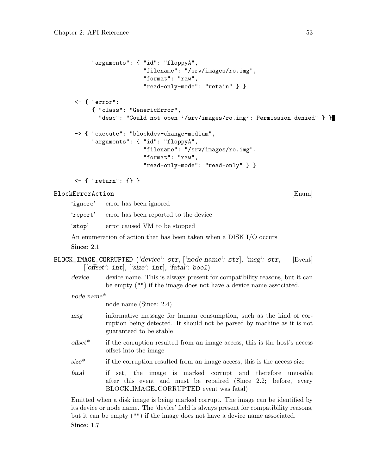```
"arguments": { "id": "floppyA",
                    "filename": "/srv/images/ro.img",
                    "format": "raw",
                    "read-only-mode": "retain" } }
<- { "error":
     { "class": "GenericError",
       "desc": "Could not open '/srv/images/ro.img': Permission denied" } }
-> { "execute": "blockdev-change-medium",
     "arguments": { "id": "floppyA",
                    "filename": "/srv/images/ro.img",
                    "format": "raw",
                    "read-only-mode": "read-only" } }
```
<- { "return": {} }

BlockErrorAction [Enum]

'ignore' error has been ignored

'report' error has been reported to the device

'stop' error caused VM to be stopped

An enumeration of action that has been taken when a DISK I/O occurs

Since: 2.1

- BLOCK\_IMAGE\_CORRUPTED ('device': str, ['node-name': str], 'msg': str, [Event]  $[ 'offset': int ], [ 'size': int ], 'fat]'.$  bool)
	- device device name. This is always present for compatibility reasons, but it can be empty ("") if the image does not have a device name associated.

node-name\*

node name (Since: 2.4)

- msg informative message for human consumption, such as the kind of corruption being detected. It should not be parsed by machine as it is not guaranteed to be stable
- $offset^*$  if the corruption resulted from an image access, this is the host's access offset into the image
- size\* if the corruption resulted from an image access, this is the access size
- fatal if set, the image is marked corrupt and therefore unusable after this event and must be repaired (Since 2.2; before, every BLOCK IMAGE CORRUPTED event was fatal)

Emitted when a disk image is being marked corrupt. The image can be identified by its device or node name. The 'device' field is always present for compatibility reasons, but it can be empty ("") if the image does not have a device name associated. Since: 1.7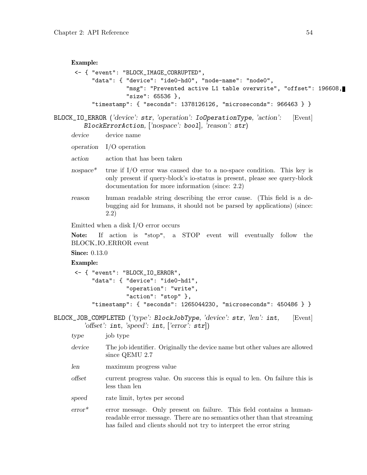## Example:

```
<- { "event": "BLOCK_IMAGE_CORRUPTED",
     "data": { "device": "ide0-hd0", "node-name": "node0",
               "msg": "Prevented active L1 table overwrite", "offset": 196608,
               "size": 65536 },
     "timestamp": { "seconds": 1378126126, "microseconds": 966463 } }
```
BLOCK\_IO\_ERROR ('device': str, 'operation': IoOperationType, 'action': [Event] BlockErrorAction, ['nospace': bool], 'reason': str)

device device name

operation I/O operation

action action that has been taken

- nospace\* true if I/O error was caused due to a no-space condition. This key is only present if query-block's io-status is present, please see query-block documentation for more information (since: 2.2)
- reason human readable string describing the error cause. (This field is a debugging aid for humans, it should not be parsed by applications) (since: 2.2)

Emitted when a disk I/O error occurs

Note: If action is "stop", a STOP event will eventually follow the BLOCK IO ERROR event

**Since:** 0.13.0

Example:

```
<- { "event": "BLOCK_IO_ERROR",
     "data": { "device": "ide0-hd1",
               "operation": "write",
               "action": "stop" },
     "timestamp": { "seconds": 1265044230, "microseconds": 450486 } }
```
BLOCK\_JOB\_COMPLETED ('type': BlockJobType, 'device': str, 'len': int, [Event] 'offset':  $int, 'speed': int, ['error': str])$ 

| type      | job type                                                                                                                                                                                                                |  |  |
|-----------|-------------------------------------------------------------------------------------------------------------------------------------------------------------------------------------------------------------------------|--|--|
| device    | The job identifier. Originally the device name but other values are allowed<br>since QEMU 2.7                                                                                                                           |  |  |
| len       | maximum progress value                                                                                                                                                                                                  |  |  |
| offset    | current progress value. On success this is equal to len. On failure this is<br>less than len                                                                                                                            |  |  |
| speed     | rate limit, bytes per second                                                                                                                                                                                            |  |  |
| $error^*$ | error message. Only present on failure. This field contains a human-<br>readable error message. There are no semantics other than that streaming<br>has failed and clients should not try to interpret the error string |  |  |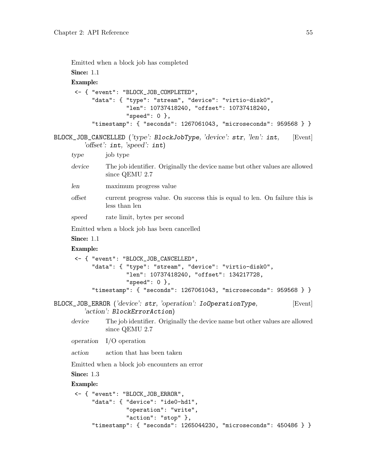```
Emitted when a block job has completed
```
less than len

Since: 1.1 Example:

Since: 1.3 Example:

speed rate limit, bytes per second

Emitted when a block job has been cancelled

<- { "event": "BLOCK\_JOB\_CANCELLED",

'action': BlockErrorAction)

since QEMU 2.7

action action that has been taken

<- { "event": "BLOCK\_JOB\_ERROR",

Emitted when a block job encounters an error

"data": { "device": "ide0-hd1",

"operation": "write", "action": "stop" },

operation I/O operation

"speed": 0 },

Since: 1.1 Example: <- { "event": "BLOCK\_JOB\_COMPLETED", "data": { "type": "stream", "device": "virtio-disk0", "len": 10737418240, "offset": 10737418240, "speed": 0 }, "timestamp": { "seconds": 1267061043, "microseconds": 959568 } } BLOCK\_JOB\_CANCELLED ('type': BlockJobType, 'device': str, 'len': int, [Event] 'offset':  $int,$  'speed':  $int$ ) type job type device The job identifier. Originally the device name but other values are allowed since QEMU 2.7 len maximum progress value offset current progress value. On success this is equal to len. On failure this is

"data": { "type": "stream", "device": "virtio-disk0",

BLOCK\_JOB\_ERROR ('device': str, 'operation': IoOperationType, [Event]

"len": 10737418240, "offset": 134217728,

device The job identifier. Originally the device name but other values are allowed

"timestamp": { "seconds": 1267061043, "microseconds": 959568 } }

"timestamp": { "seconds": 1265044230, "microseconds": 450486 } }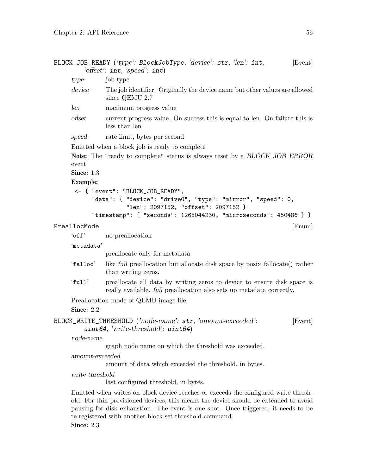|                       | BLOCK_JOB_READY ('type': BlockJobType, 'device': str, 'len': int,<br>[Event]                                                                                           |
|-----------------------|------------------------------------------------------------------------------------------------------------------------------------------------------------------------|
| type                  | 'offset': $int,$ 'speed': $int$ )<br>job type                                                                                                                          |
| device                | The job identifier. Originally the device name but other values are allowed<br>since QEMU 2.7                                                                          |
| len                   | maximum progress value                                                                                                                                                 |
| offset                | current progress value. On success this is equal to len. On failure this is<br>less than len                                                                           |
| speed                 | rate limit, bytes per second                                                                                                                                           |
|                       | Emitted when a block job is ready to complete                                                                                                                          |
| event                 | <b>Note:</b> The "ready to complete" status is always reset by a BLOCK_JOB_ERROR                                                                                       |
| Since: 1.3            |                                                                                                                                                                        |
| <b>Example:</b>       |                                                                                                                                                                        |
|                       | "data": { "device": "drive0", "type": "mirror", "speed": 0,<br>"len": 2097152, "offset": 2097152 }<br>"timestamp": { "seconds": 1265044230, "microseconds": 450486 } } |
| PreallocMode<br>'off' | [Enum]<br>no preallocation                                                                                                                                             |
|                       |                                                                                                                                                                        |
| 'metadata'            | preallocate only for metadata                                                                                                                                          |
| 'falloc'              | like full preallocation but allocate disk space by posix_fallocate() rather<br>than writing zeros.                                                                     |
| 'full'                | preallocate all data by writing zeros to device to ensure disk space is<br>really available. full preallocation also sets up metadata correctly.                       |
|                       | Preallocation mode of QEMU image file                                                                                                                                  |
| Since: 2.2            |                                                                                                                                                                        |
|                       | BLOCK_WRITE_THRESHOLD ('node-name': str, 'amount-exceeded':<br>[Event]<br>$uint64, 'write-threshold':$ $uint64)$                                                       |
| node-name             |                                                                                                                                                                        |
|                       | graph node name on which the threshold was exceeded.                                                                                                                   |
|                       |                                                                                                                                                                        |

amount-exceeded

amount of data which exceeded the threshold, in bytes.

write-threshold

last configured threshold, in bytes.

Emitted when writes on block device reaches or exceeds the configured write threshold. For thin-provisioned devices, this means the device should be extended to avoid pausing for disk exhaustion. The event is one shot. Once triggered, it needs to be re-registered with another block-set-threshold command.

**Since: 2.3**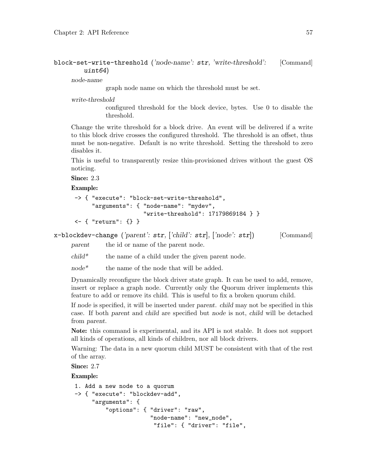```
block-set-write-threshold ('node-name': str, 'write-threshold': [Command]
        uint64)
```
node-name

graph node name on which the threshold must be set.

write-threshold

configured threshold for the block device, bytes. Use 0 to disable the threshold.

Change the write threshold for a block drive. An event will be delivered if a write to this block drive crosses the configured threshold. The threshold is an offset, thus must be non-negative. Default is no write threshold. Setting the threshold to zero disables it.

This is useful to transparently resize thin-provisioned drives without the guest OS noticing.

Since: 2.3

Example:

```
-> { "execute": "block-set-write-threshold",
     "arguments": { "node-name": "mydev",
                    "write-threshold": 17179869184 } }
<- { "return": {} }
```
x-blockdev-change ('parent': str, ['child': str], ['node': str]) [Command]

 $child^*$  the name of a child under the given parent node.

node<sup>\*</sup> the name of the node that will be added.

parent the id or name of the parent node.

Dynamically reconfigure the block driver state graph. It can be used to add, remove, insert or replace a graph node. Currently only the Quorum driver implements this feature to add or remove its child. This is useful to fix a broken quorum child.

If node is specified, it will be inserted under parent. child may not be specified in this case. If both parent and child are specified but node is not, child will be detached from parent.

Note: this command is experimental, and its API is not stable. It does not support all kinds of operations, all kinds of children, nor all block drivers.

Warning: The data in a new quorum child MUST be consistent with that of the rest of the array.

Since: 2.7

Example:

```
1. Add a new node to a quorum
-> { "execute": "blockdev-add",
     "arguments": {
         "options": { "driver": "raw",
                      "node-name": "new_node",
                       "file": { "driver": "file",
```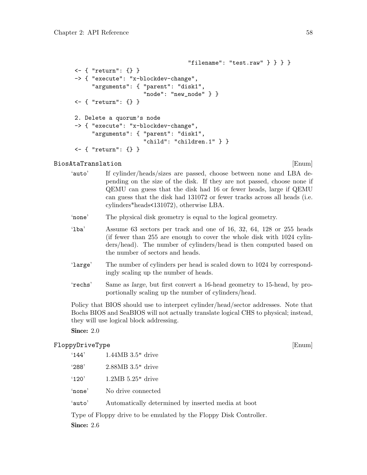```
"filename": "test.raw" \} \} \}<- { "return": {} }
-> { "execute": "x-blockdev-change",
     "arguments": { "parent": "disk1",
                    "node": "new_node" } }
<- { "return": {} }
2. Delete a quorum's node
-> { "execute": "x-blockdev-change",
     "arguments": { "parent": "disk1",
                    "child": "children.1" } }
<- { "return": {} }
```
## BiosAtaTranslation [Enum]

- 'auto' If cylinder/heads/sizes are passed, choose between none and LBA depending on the size of the disk. If they are not passed, choose none if QEMU can guess that the disk had 16 or fewer heads, large if QEMU can guess that the disk had 131072 or fewer tracks across all heads (i.e. cylinders\*heads<131072), otherwise LBA.
- 'none' The physical disk geometry is equal to the logical geometry.
- 'lba' Assume 63 sectors per track and one of 16, 32, 64, 128 or 255 heads (if fewer than 255 are enough to cover the whole disk with 1024 cylinders/head). The number of cylinders/head is then computed based on the number of sectors and heads.
- 'large' The number of cylinders per head is scaled down to 1024 by correspondingly scaling up the number of heads.
- 'rechs' Same as large, but first convert a 16-head geometry to 15-head, by proportionally scaling up the number of cylinders/head.

Policy that BIOS should use to interpret cylinder/head/sector addresses. Note that Bochs BIOS and SeaBIOS will not actually translate logical CHS to physical; instead, they will use logical block addressing.

Since: 2.0

## FloppyDriveType [Enum]

| '144'  | $1.44MB$ $3.5"$ drive                              |
|--------|----------------------------------------------------|
| '288'  | $2.88MB$ $3.5"$ drive                              |
| 120'   | $1.2MB$ 5.25" drive                                |
| 'none' | No drive connected                                 |
| 'auto' | Automatically determined by inserted media at boot |
|        |                                                    |

Type of Floppy drive to be emulated by the Floppy Disk Controller. **Since: 2.6**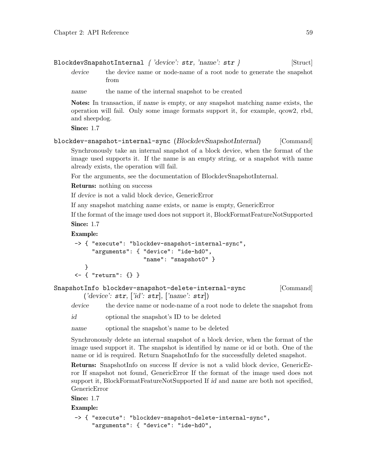| BlockdevSnapshotInternal $\{ 'device': str, 'name': str \}$ |  |  |  | [Struct] |
|-------------------------------------------------------------|--|--|--|----------|
|-------------------------------------------------------------|--|--|--|----------|

- device the device name or node-name of a root node to generate the snapshot from
- name the name of the internal snapshot to be created

Notes: In transaction, if name is empty, or any snapshot matching name exists, the operation will fail. Only some image formats support it, for example, qcow2, rbd, and sheepdog.

Since: 1.7

blockdev-snapshot-internal-sync (BlockdevSnapshotInternal) [Command] Synchronously take an internal snapshot of a block device, when the format of the image used supports it. If the name is an empty string, or a snapshot with name already exists, the operation will fail.

For the arguments, see the documentation of BlockdevSnapshotInternal.

Returns: nothing on success

If device is not a valid block device, GenericError

If any snapshot matching name exists, or name is empty, GenericError

If the format of the image used does not support it, BlockFormatFeatureNotSupported Since: 1.7

### Example:

```
-> { "execute": "blockdev-snapshot-internal-sync",
     "arguments": { "device": "ide-hd0",
                    "name": "snapshot0" }
  }
<- { "return": {} }
```

```
SnapshotInfo blockdev-snapshot-delete-internal-sync [Command]
```
 $('device': str, ['id': str], ['name': str])$ 

device the device name or node-name of a root node to delete the snapshot from

id optional the snapshot's ID to be deleted

name optional the snapshot's name to be deleted

Synchronously delete an internal snapshot of a block device, when the format of the image used support it. The snapshot is identified by name or id or both. One of the name or id is required. Return SnapshotInfo for the successfully deleted snapshot.

Returns: SnapshotInfo on success If device is not a valid block device, GenericError If snapshot not found, GenericError If the format of the image used does not support it, BlockFormatFeatureNotSupported If id and name are both not specified, GenericError

## Since: 1.7

Example:

```
-> { "execute": "blockdev-snapshot-delete-internal-sync",
     "arguments": { "device": "ide-hd0",
```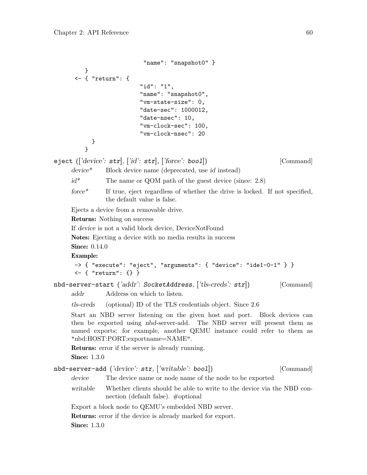```
"name": "snapshot0" }
         }
      <- { "return": {
                           "id": "1",
                           "name": "snapshot0",
                           "vm-state-size": 0,
                           "date-sec": 1000012,
                           "date-nsec": 10,
                           "vm-clock-sec": 100,
                           "vm-clock-nsec": 20
           }
         }
eject ([ 'device': str], [ 'id': str], [ 'force': bool] ) [Command]
     device* Block device name (deprecated, use id instead)
     id* The name or QOM path of the guest device (since: 2.8)
     force* If true, eject regardless of whether the drive is locked. If not specified,
                the default value is false.
     Ejects a device from a removable drive.
     Returns: Nothing on success
     If device is not a valid block device, DeviceNotFound
     Notes: Ejecting a device with no media results in success
     Since: 0.14.0
     Example:
      -> { "execute": "eject", "arguments": { "device": "ide1-0-1" } }
      <- { "return": {} }
nbd-server-start ('addr': SocketAddress, ['tls-creds': str]) [Command]
     addr Address on which to listen.
     tls-creds (optional) ID of the TLS credentials object. Since 2.6
     Start an NBD server listening on the given host and port. Block devices can
     then be exported using nbd-server-add. The NBD server will present them as
     named exports; for example, another QEMU instance could refer to them as
     "nbd:HOST:PORT:exportname=NAME".
     Returns: error if the server is already running.
     Since: 1.3.0
nbd-server-add ('device': str, ['writable': bool]) [Command]
     device The device name or node name of the node to be exported
     writable Whether clients should be able to write to the device via the NBD con-
                nection (default false). #optional
     Export a block node to QEMU's embedded NBD server.
     Returns: error if the device is already marked for export.
     Since: 1.3.0
```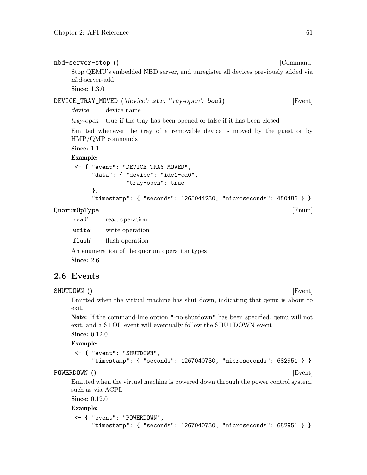```
Stop QEMU's embedded NBD server, and unregister all devices previously added via
    nbd-server-add.
    Since: 1.3.0
DEVICE_TRAY_MOVED ('device': str, 'tray-open': boo1) [Event]
    device device name
    tray-open true if the tray has been opened or false if it has been closed
    Emitted whenever the tray of a removable device is moved by the guest or by
    HMP/QMP commands
    Since: 1.1
    Example:
     <- { "event": "DEVICE_TRAY_MOVED",
          "data": { "device": "ide1-cd0",
                   "tray-open": true
          },
          "timestamp": { "seconds": 1265044230, "microseconds": 450486 } }
QuorumOpType [Enum]
```
nbd-server-stop () [Command]

'read' read operation

'write' write operation

'flush' flush operation

An enumeration of the quorum operation types **Since: 2.6** 

# 2.6 Events

```
SHUTDOWN () [Event]
```
Emitted when the virtual machine has shut down, indicating that qemu is about to exit.

Note: If the command-line option "-no-shutdown" has been specified, qemu will not exit, and a STOP event will eventually follow the SHUTDOWN event **Since:** 0.12.0

Example:

```
<- { "event": "SHUTDOWN",
     "timestamp": { "seconds": 1267040730, "microseconds": 682951 } }
```
## POWERDOWN () [Event]

Emitted when the virtual machine is powered down through the power control system, such as via ACPI.

Since: 0.12.0

## Example:

<- { "event": "POWERDOWN", "timestamp": { "seconds": 1267040730, "microseconds": 682951 } }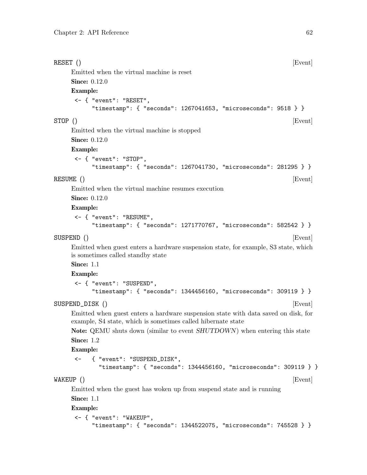```
RESET () [Event]
    Emitted when the virtual machine is reset
    Since: 0.12.0
    Example:
     <- { "event": "RESET",
         "timestamp": { "seconds": 1267041653, "microseconds": 9518 } }
\texttt{STOP } () [Event]
    Emitted when the virtual machine is stopped
    Since: 0.12.0
    Example:
     <- { "event": "STOP",
         "timestamp": { "seconds": 1267041730, "microseconds": 281295 } }
RESUME () [Event]
    Emitted when the virtual machine resumes execution
    Since: 0.12.0
    Example:
     <- { "event": "RESUME",
         "timestamp": { "seconds": 1271770767, "microseconds": 582542 } }
SUSPEND () [Event]
    Emitted when guest enters a hardware suspension state, for example, S3 state, which
    is sometimes called standby state
    Since: 1.1
    Example:
     <- { "event": "SUSPEND",
         "timestamp": { "seconds": 1344456160, "microseconds": 309119 } }
SUSPEND_DISK () [Event]
    Emitted when guest enters a hardware suspension state with data saved on disk, for
    example, S4 state, which is sometimes called hibernate state
    Note: QEMU shuts down (similar to event SHUTDOWN) when entering this state
    Since: 1.2
    Example:
     <- { "event": "SUSPEND_DISK",
           "timestamp": { "seconds": 1344456160, "microseconds": 309119 } }
WAKEUP () [Event]
    Emitted when the guest has woken up from suspend state and is running
    Since: 1.1
    Example:
     <- { "event": "WAKEUP",
         "timestamp": { "seconds": 1344522075, "microseconds": 745528 } }
```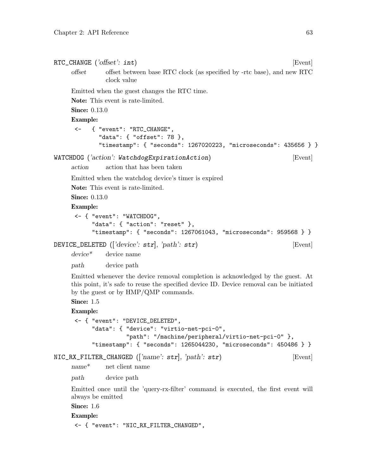RTC\_CHANGE ('offset': int) [Event] offset offset between base RTC clock (as specified by -rtc base), and new RTC clock value Emitted when the guest changes the RTC time. Note: This event is rate-limited. Since: 0.13.0 Example: <- { "event": "RTC\_CHANGE", "data": { "offset": 78 }, "timestamp": { "seconds": 1267020223, "microseconds": 435656 } } WATCHDOG ('action': WatchdogExpirationAction) [Event] action action that has been taken Emitted when the watchdog device's timer is expired Note: This event is rate-limited. Since: 0.13.0 Example: <- { "event": "WATCHDOG", "data": { "action": "reset" }, "timestamp": { "seconds": 1267061043, "microseconds": 959568 } } DEVICE\_DELETED (['device': str], 'path': str) [Event] device\* device name path device path

Emitted whenever the device removal completion is acknowledged by the guest. At this point, it's safe to reuse the specified device ID. Device removal can be initiated by the guest or by HMP/QMP commands.

Since: 1.5

## Example:

```
<- { "event": "DEVICE_DELETED",
     "data": { "device": "virtio-net-pci-0",
               "path": "/machine/peripheral/virtio-net-pci-0" },
     "timestamp": { "seconds": 1265044230, "microseconds": 450486 } }
```
NIC\_RX\_FILTER\_CHANGED (['name': str], 'path': str) [Event]

name\* net client name

path device path

Emitted once until the 'query-rx-filter' command is executed, the first event will always be emitted

Since: 1.6

## Example:

<- { "event": "NIC\_RX\_FILTER\_CHANGED",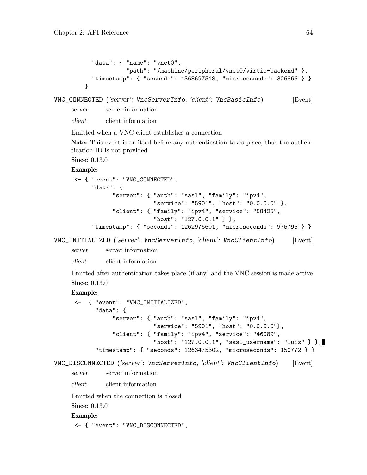```
"data": { "name": "vnet0",
            "path": "/machine/peripheral/vnet0/virtio-backend" },
  "timestamp": { "seconds": 1368697518, "microseconds": 326866 } }
}
```
VNC\_CONNECTED ('server': VncServerInfo, 'client': VncBasicInfo) [Event]

server server information

client client information

Emitted when a VNC client establishes a connection

Note: This event is emitted before any authentication takes place, thus the authentication ID is not provided

**Since:** 0.13.0

## Example:

```
<- { "event": "VNC_CONNECTED",
     "data": {
           "server": { "auth": "sasl", "family": "ipv4",
                       "service": "5901", "host": "0.0.0.0" },
           "client": { "family": "ipv4", "service": "58425",
                       "host": "127.0.0.1" } },
     "timestamp": { "seconds": 1262976601, "microseconds": 975795 } }
```

```
VNC_INITIALIZED ('server': VncServerInfo, 'client': VncClientInfo) [Event]
```
server server information

client client information

Emitted after authentication takes place (if any) and the VNC session is made active Since: 0.13.0

### Example:

```
<- { "event": "VNC_INITIALIZED",
      "data": {
           "server": { "auth": "sasl", "family": "ipv4",
                       "service": "5901", "host": "0.0.0.0"},
           "client": { "family": "ipv4", "service": "46089",
                       "host": "127.0.0.1", "sasl_username": "luiz" } },
      "timestamp": { "seconds": 1263475302, "microseconds": 150772 } }
```
VNC\_DISCONNECTED ('server': VncServerInfo, 'client': VncClientInfo) [Event]

server server information

client client information

Emitted when the connection is closed

**Since:** 0.13.0

Example:

<- { "event": "VNC\_DISCONNECTED",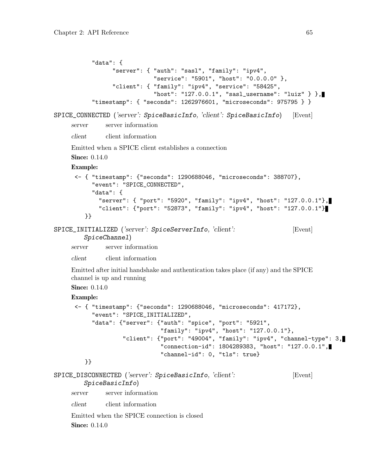```
"data": {
                 "server": { "auth": "sasl", "family": "ipv4",
                             "service": "5901", "host": "0.0.0.0" },
                 "client": { "family": "ipv4", "service": "58425",
                             "host": "127.0.0.1", "sasl_username": "luiz" } },
           "timestamp": { "seconds": 1262976601, "microseconds": 975795 } }
SPICE_CONNECTED ('server': SpiceBasicInfo, 'client': SpiceBasicInfo) [Event]
     server server information
     client client information
     Emitted when a SPICE client establishes a connection
     Since: 0.14.0
     Example:
      <- { "timestamp": {"seconds": 1290688046, "microseconds": 388707},
           "event": "SPICE_CONNECTED",
           "data": {
             "server": { "port": "5920", "family": "ipv4", "host": "127.0.0.1"},
             "client": {"port": "52873", "family": "ipv4", "host": "127.0.0.1"}
         }}
SPICE_INITIALIZED ('server': SpiceServerInfo, 'client': [Event]
        SpiceChannel)
     server server information
     client client information
     Emitted after initial handshake and authentication takes place (if any) and the SPICE
     channel is up and running
     Since: 0.14.0
     Example:
      <- { "timestamp": {"seconds": 1290688046, "microseconds": 417172},
           "event": "SPICE_INITIALIZED",
           "data": {"server": {"auth": "spice", "port": "5921",
                               "family": "ipv4", "host": "127.0.0.1"},
                    "client": {"port": "49004", "family": "ipv4", "channel-type": 3,
                               "connection-id": 1804289383, "host": "127.0.0.1",
                               "channel-id": 0, "tls": true}
         }}
SPICE_DISCONNECTED ('server': SpiceBasicInfo, 'client': [Event]
        SpiceBasicInfo)
     server server information
     client client information
     Emitted when the SPICE connection is closed
     Since: 0.14.0
```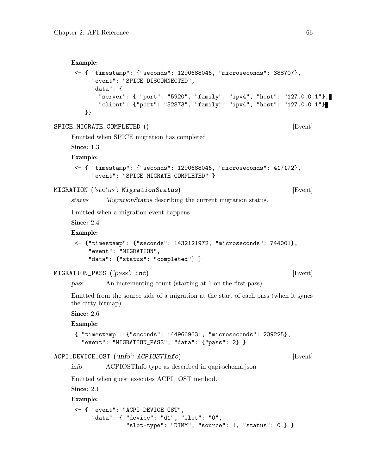```
Example:
     <- { "timestamp": {"seconds": 1290688046, "microseconds": 388707},
          "event": "SPICE_DISCONNECTED",
          "data": {
            "server": { "port": "5920", "family": "ipv4", "host": "127.0.0.1"},
            "client": {"port": "52873", "family": "ipv4", "host": "127.0.0.1"}
        }}
SPICE_MIGRATE_COMPLETED () [Event]
    Emitted when SPICE migration has completed
    Since: 1.3
    Example:
     <- { "timestamp": {"seconds": 1290688046, "microseconds": 417172},
          "event": "SPICE_MIGRATE_COMPLETED" }
MIGRATION ('status': MigrationStatus) [Event]
    status MigrationStatus describing the current migration status.
    Emitted when a migration event happens
    Since: 2.4
    Example:
     <- {"timestamp": {"seconds": 1432121972, "microseconds": 744001},
         "event": "MIGRATION",
         "data": {"status": "completed"} }
MIGRATION_PASS ('pass': int) [Event]
    pass An incrementing count (starting at 1 on the first pass)
    Emitted from the source side of a migration at the start of each pass (when it syncs
    the dirty bitmap)
    Since: 2.6
    Example:
     { "timestamp": {"seconds": 1449669631, "microseconds": 239225},
       "event": "MIGRATION_PASS", "data": {"pass": 2} }
ACPI_DEVICE_OST ('info': ACPIOSTInfo) [Event]
    info ACPIOSTInfo type as described in qapi-schema.json
    Emitted when guest executes ACPI <sub>-</sub>OST method.
    Since: 2.1
    Example:
     <- { "event": "ACPI_DEVICE_OST",
          "data": { "device": "d1", "slot": "0",
                    "slot-type": "DIMM", "source": 1, "status": 0 } }
```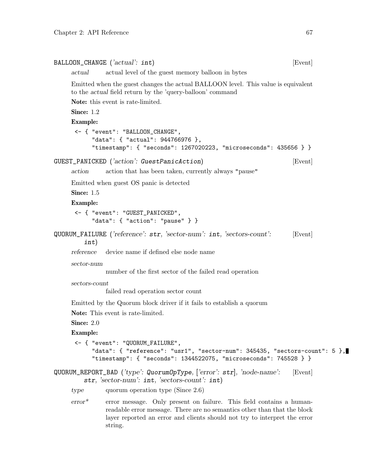```
BALLOON_CHANGE ('actual': int) [Event]
     actual actual level of the guest memory balloon in bytes
     Emitted when the guest changes the actual BALLOON level. This value is equivalent
     to the actual field return by the 'query-balloon' command
     Note: this event is rate-limited.
     Since: 1.2
     Example:
      <- { "event": "BALLOON_CHANGE",
           "data": { "actual": 944766976 },
           "timestamp": { "seconds": 1267020223, "microseconds": 435656 } }
GUEST_PANICKED ('action': GuestPanicAction) [Event]
     action action that has been taken, currently always "pause"
     Emitted when guest OS panic is detected
     Since: 1.5
     Example:
      <- { "event": "GUEST_PANICKED",
           "data": { "action": "pause" } }
QUORUM_FAILURE ('reference': str, 'sector-num': int, 'sectors-count': [Event]
         int)
     reference device name if defined else node name
     sector-num
               number of the first sector of the failed read operation
     sectors-count
               failed read operation sector count
     Emitted by the Quorum block driver if it fails to establish a quorum
     Note: This event is rate-limited.
     Since: 2.0
     Example:
      <- { "event": "QUORUM_FAILURE",
           "data": { "reference": "usr1", "sector-num": 345435, "sectors-count": 5 },
           "timestamp": { "seconds": 1344522075, "microseconds": 745528 } }
QUORUM\_REPORT\_BAD ('type': QuorumOpType, ['error': str], 'node-name': [Event]
         str, 'sector-num': int, 'sectors-count': int)
     type quorum operation type (Since 2.6)
     error* error message. Only present on failure. This field contains a human-
               readable error message. There are no semantics other than that the block
               layer reported an error and clients should not try to interpret the error
               string.
```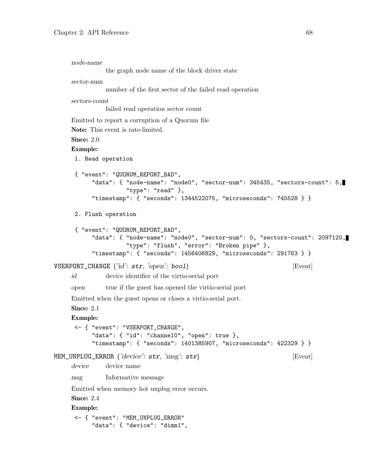```
node-name
               the graph node name of the block driver state
     sector-num
               number of the first sector of the failed read operation
     sectors-count
               failed read operation sector count
     Emitted to report a corruption of a Quorum file
     Note: This event is rate-limited.
     Since: 2.0
     Example:
      1. Read operation
      { "event": "QUORUM_REPORT_BAD",
           "data": { "node-name": "node0", "sector-num": 345435, "sectors-count": 5,
                     "type": "read" },
           "timestamp": { "seconds": 1344522075, "microseconds": 745528 } }
      2. Flush operation
      { "event": "QUORUM_REPORT_BAD",
           "data": { "node-name": "node0", "sector-num": 0, "sectors-count": 2097120,
                     "type": "flush", "error": "Broken pipe" },
           "timestamp": { "seconds": 1456406829, "microseconds": 291763 } }
VSERPORT_CHANGE ('id': str, 'open': boo1) [Event]
     id device identifier of the virtio-serial port
     open true if the guest has opened the virtio-serial port
     Emitted when the guest opens or closes a virtio-serial port.
     Since: 2.1
     Example:
      <- { "event": "VSERPORT_CHANGE",
           "data": { "id": "channel0", "open": true },
           "timestamp": { "seconds": 1401385907, "microseconds": 422329 } }
MEM_UNPLUG_ERROR ('device': str, 'msg': str) [Event]
     device device name
     msg Informative message
     Emitted when memory hot unplug error occurs.
     Since: 2.4
     Example:
      <- { "event": "MEM_UNPLUG_ERROR"
           "data": { "device": "dimm1",
```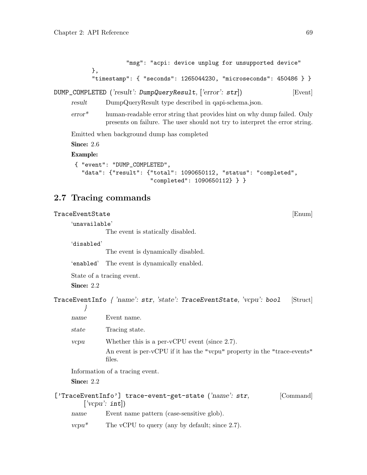```
"msg": "acpi: device unplug for unsupported device"
},
"timestamp": { "seconds": 1265044230, "microseconds": 450486 } }
```
DUMP\_COMPLETED ('result': DumpQueryResult, ['error': str]) [Event]

result DumpQueryResult type described in qapi-schema.json.

error\* human-readable error string that provides hint on why dump failed. Only presents on failure. The user should not try to interpret the error string.

Emitted when background dump has completed

Since: 2.6

## Example:

```
{ "event": "DUMP_COMPLETED",
  "data": {"result": {"total": 1090650112, "status": "completed",
                      "completed": 1090650112} } }
```
# 2.7 Tracing commands

```
TraceEventState [Enum]
    'unavailable'
              The event is statically disabled.
    'disabled'
              The event is dynamically disabled.
    'enabled' The event is dynamically enabled.
    State of a tracing event.
    Since: 2.2
TraceEventInfo { 'name': str, 'state': TraceEventState, 'vcpu': bool [Struct]
        }
    name Event name.
    state Tracing state.
    vcpu Whether this is a per-vCPU event (since 2.7).
              An event is per-vCPU if it has the "vcpu" property in the "trace-events"
              files.
    Information of a tracing event.
    Since: 2.2
['TraceEventInfo'] trace-event-get-state ('name': str, [Command]
        ['vcpu': int]name Event name pattern (case-sensitive glob).
```
vcpu<sup>\*</sup> The vCPU to query (any by default; since  $2.7$ ).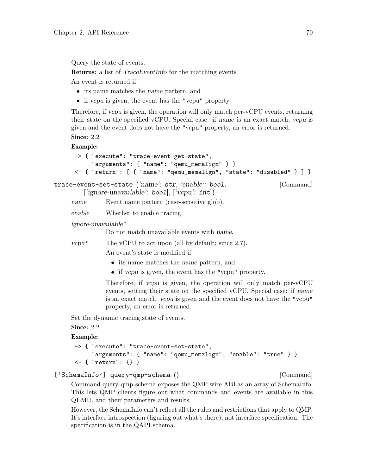Query the state of events.

Returns: a list of TraceEventInfo for the matching events

An event is returned if:

- its name matches the name pattern, and
- if vcpu is given, the event has the "vcpu" property.

Therefore, if vcpu is given, the operation will only match per-vCPU events, returning their state on the specified vCPU. Special case: if name is an exact match, vcpu is given and the event does not have the "vcpu" property, an error is returned.

Since: 2.2

### Example:

```
-> { "execute": "trace-event-get-state",
     "arguments": { "name": "qemu_memalign" } }
<- { "return": [ { "name": "qemu_memalign", "state": "disabled" } ] }
```

```
trace-event-set-state ('name': str, 'enable': bool, [Command]
       ['ignore-unavailable': bool], ['vcpu': int])
```
name Event name pattern (case-sensitive glob).

```
enable Whether to enable tracing.
```
ignore-unavailable\*

Do not match unavailable events with name.

vcpu<sup>\*</sup> The vCPU to act upon (all by default; since  $2.7$ ).

An event's state is modified if:

- its name matches the name pattern, and
- if vcpu is given, the event has the "vcpu" property.

Therefore, if vcpu is given, the operation will only match per-vCPU events, setting their state on the specified vCPU. Special case: if name is an exact match, vcpu is given and the event does not have the "vcpu" property, an error is returned.

Set the dynamic tracing state of events.

Since: 2.2

## Example:

```
-> { "execute": "trace-event-set-state",
     "arguments": { "name": "qemu_memalign", "enable": "true" } }
<- { "return": {} }
```
## ['SchemaInfo'] query-qmp-schema () [Command]

Command query-qmp-schema exposes the QMP wire ABI as an array of SchemaInfo. This lets QMP clients figure out what commands and events are available in this QEMU, and their parameters and results.

However, the SchemaInfo can't reflect all the rules and restrictions that apply to QMP. It's interface introspection (figuring out what's there), not interface specification. The specification is in the QAPI schema.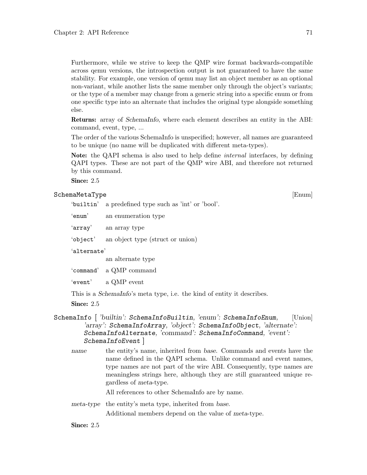Furthermore, while we strive to keep the QMP wire format backwards-compatible across qemu versions, the introspection output is not guaranteed to have the same stability. For example, one version of qemu may list an object member as an optional non-variant, while another lists the same member only through the object's variants; or the type of a member may change from a generic string into a specific enum or from one specific type into an alternate that includes the original type alongside something else.

Returns: array of SchemaInfo, where each element describes an entity in the ABI: command, event, type, ...

The order of the various SchemaInfo is unspecified; however, all names are guaranteed to be unique (no name will be duplicated with different meta-types).

Note: the QAPI schema is also used to help define *internal* interfaces, by defining QAPI types. These are not part of the QMP wire ABI, and therefore not returned by this command.

Since: 2.5

## SchemaMetaType [Enum]

'builtin' a predefined type such as 'int' or 'bool'.

'array' an array type

'object' an object type (struct or union)

'alternate'

an alternate type

'command' a QMP command

'event' a QMP event

This is a SchemaInfo's meta type, i.e. the kind of entity it describes.

Since: 2.5

## SchemaInfo [ 'builtin': SchemaInfoBuiltin, 'enum': SchemaInfoEnum, [Union] 'array': SchemaInfoArray, 'object': SchemaInfoObject, 'alternate': SchemaInfoAlternate, 'command': SchemaInfoCommand, 'event': SchemaInfoEvent ]

name the entity's name, inherited from base. Commands and events have the name defined in the QAPI schema. Unlike command and event names, type names are not part of the wire ABI. Consequently, type names are meaningless strings here, although they are still guaranteed unique regardless of meta-type.

All references to other SchemaInfo are by name.

meta-type the entity's meta type, inherited from base. Additional members depend on the value of meta-type.

Since: 2.5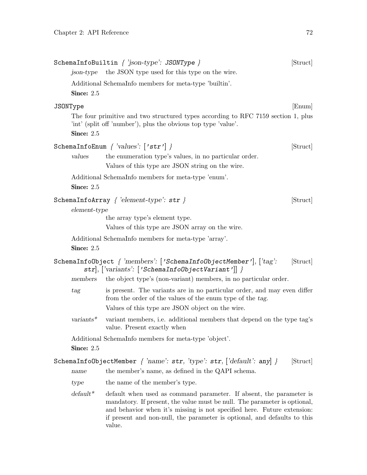|                 | json-type    | SchemaInfoBuiltin $\{ 'json-type': JSONType \}$<br>the JSON type used for this type on the wire.                                                                                                                                                                                                                  | [Struct] |
|-----------------|--------------|-------------------------------------------------------------------------------------------------------------------------------------------------------------------------------------------------------------------------------------------------------------------------------------------------------------------|----------|
|                 | Since: 2.5   | Additional SchemaInfo members for meta-type 'builtin'.                                                                                                                                                                                                                                                            |          |
| <b>JSONType</b> | Since: $2.5$ | The four primitive and two structured types according to RFC 7159 section 1, plus<br>'int' (split off 'number'), plus the obvious top type 'value'.                                                                                                                                                               | [Enum]   |
|                 | values       | SchemaInfoEnum { 'values': $['str']$ }<br>the enumeration type's values, in no particular order.<br>Values of this type are JSON string on the wire.                                                                                                                                                              | [Struct] |
|                 | Since: 2.5   | Additional SchemaInfo members for meta-type 'enum'.                                                                                                                                                                                                                                                               |          |
|                 | element-type | SchemaInfoArray { 'element-type': $str$ }<br>the array type's element type.<br>Values of this type are JSON array on the wire.                                                                                                                                                                                    | [Struct] |
|                 | Since: 2.5   | Additional SchemaInfo members for meta-type 'array'.                                                                                                                                                                                                                                                              |          |
|                 |              | SchemaInfoObject { 'members': ['SchemaInfoObjectMember'], ['tag':<br>$str],$ ['variants': ['SchemaInfoObjectVariant']] }                                                                                                                                                                                          | [Struct] |
|                 | members      | the object type's (non-variant) members, in no particular order.                                                                                                                                                                                                                                                  |          |
|                 | tag          | is present. The variants are in no particular order, and may even differ<br>from the order of the values of the enum type of the tag.                                                                                                                                                                             |          |
|                 |              | Values of this type are JSON object on the wire.                                                                                                                                                                                                                                                                  |          |
|                 | variants*    | variant members, i.e. additional members that depend on the type tag's<br>value. Present exactly when                                                                                                                                                                                                             |          |
|                 | Since: 2.5   | Additional SchemaInfo members for meta-type 'object'.                                                                                                                                                                                                                                                             |          |
|                 |              | SchemaInfoObjectMember { 'name': str, 'type': str, ['default': any] }                                                                                                                                                                                                                                             | [Struct] |
|                 | name         | the member's name, as defined in the QAPI schema.                                                                                                                                                                                                                                                                 |          |
|                 | type         | the name of the member's type.                                                                                                                                                                                                                                                                                    |          |
|                 | $default*$   | default when used as command parameter. If absent, the parameter is<br>mandatory. If present, the value must be null. The parameter is optional,<br>and behavior when it's missing is not specified here. Future extension:<br>if present and non-null, the parameter is optional, and defaults to this<br>value. |          |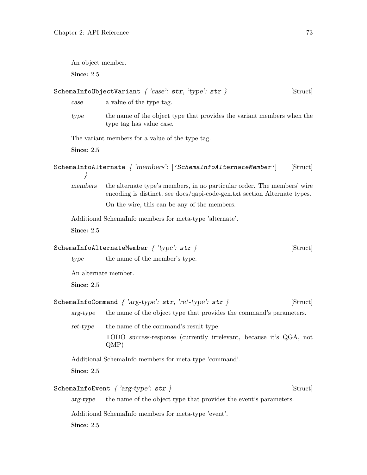An object member.

**Since: 2.5** 

|                      | SchemaInfoObjectVariant $\{ 'case': str, 'type': str \}$                                                                                                                                             | [Struct] |
|----------------------|------------------------------------------------------------------------------------------------------------------------------------------------------------------------------------------------------|----------|
| case                 | a value of the type tag.                                                                                                                                                                             |          |
| type                 | the name of the object type that provides the variant members when the<br>type tag has value case.                                                                                                   |          |
|                      | The variant members for a value of the type tag.                                                                                                                                                     |          |
| Since: 2.5           |                                                                                                                                                                                                      |          |
| }                    | SchemaInfoAlternate { 'members': ['SchemaInfoAlternateMember']                                                                                                                                       | [Struct] |
| members              | the alternate type's members, in no particular order. The members' wire<br>encoding is distinct, see docs/qapi-code-gen.txt section Alternate types.<br>On the wire, this can be any of the members. |          |
|                      | Additional SchemaInfo members for meta-type 'alternate'.                                                                                                                                             |          |
| Since: 2.5           |                                                                                                                                                                                                      |          |
|                      | SchemaInfoAlternateMember $\{ 'type': str \}$                                                                                                                                                        | [Struct] |
| type                 | the name of the member's type.                                                                                                                                                                       |          |
| An alternate member. |                                                                                                                                                                                                      |          |
| Since: 2.5           |                                                                                                                                                                                                      |          |
|                      | SchemaInfoCommand { 'arg-type': $str$ , 'ret-type': $str$ }                                                                                                                                          | [Struct] |
| $arg-type$           | the name of the object type that provides the command's parameters.                                                                                                                                  |          |
| $ret-type$           | the name of the command's result type.                                                                                                                                                               |          |
|                      | TODO success-response (currently irrelevant, because it's QGA, not<br>QMP)                                                                                                                           |          |
|                      | Additional SchemaInfo members for meta-type 'command'.                                                                                                                                               |          |
| Since: 2.5           |                                                                                                                                                                                                      |          |
|                      | SchemaInfoEvent $\{ 'arg-type': str \}$                                                                                                                                                              | [Struct] |
| $arg-type$           | the name of the object type that provides the event's parameters.                                                                                                                                    |          |
|                      | Additional SchemaInfo members for meta-type 'event'.                                                                                                                                                 |          |
| Since: 2.5           |                                                                                                                                                                                                      |          |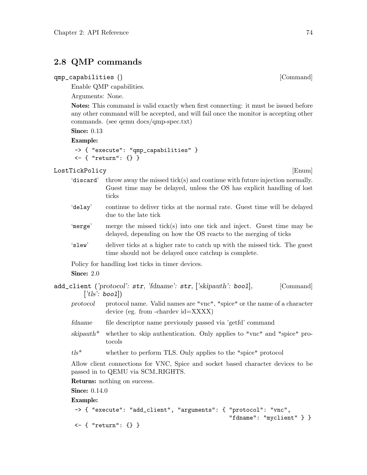## 2.8 QMP commands

#### qmp\_capabilities () [Command]

Enable QMP capabilities.

Arguments: None.

Notes: This command is valid exactly when first connecting: it must be issued before any other command will be accepted, and will fail once the monitor is accepting other commands. (see qemu docs/qmp-spec.txt)

**Since: 0.13** 

#### Example:

```
-> { "execute": "qmp_capabilities" }
<- { "return": {} }
```
#### LostTickPolicy [Enum]

- 'discard' throw away the missed tick(s) and continue with future injection normally. Guest time may be delayed, unless the OS has explicit handling of lost ticks
- 'delay' continue to deliver ticks at the normal rate. Guest time will be delayed due to the late tick
- 'merge' merge the missed tick(s) into one tick and inject. Guest time may be delayed, depending on how the OS reacts to the merging of ticks
- 'slew' deliver ticks at a higher rate to catch up with the missed tick. The guest time should not be delayed once catchup is complete.

Policy for handling lost ticks in timer devices.

## Since: 2.0

- add\_client ('protocol': str, 'fdname': str, ['skipauth': bool], [Command]  $['tls':$  bool])
	- protocol protocol name. Valid names are "vnc", "spice" or the name of a character device (eg. from -chardev id=XXXX)
	- fdname file descriptor name previously passed via 'getfd' command
	- skipauth\* whether to skip authentication. Only applies to "vnc" and "spice" protocols

tls\* whether to perform TLS. Only applies to the "spice" protocol

Allow client connections for VNC, Spice and socket based character devices to be passed in to QEMU via SCM RIGHTS.

Returns: nothing on success.

**Since:** 0.14.0

```
-> { "execute": "add_client", "arguments": { "protocol": "vnc",
                                             "fdname": "myclient" } }
<- { "return": {} }
```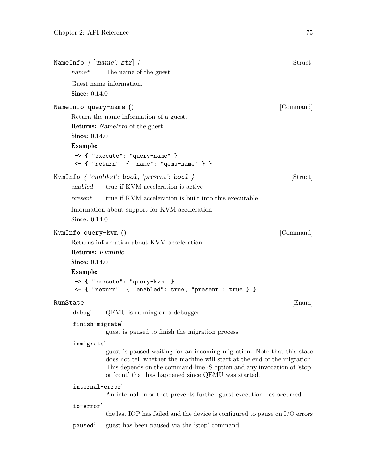| NameInfo $\{ \, \lceil \, \textit{'name'}: \, \texttt{str} \rceil \, \, \}$<br>$name^*$ | The name of the guest                                                                                                                                                                                                                                                                  | [Struct]  |
|-----------------------------------------------------------------------------------------|----------------------------------------------------------------------------------------------------------------------------------------------------------------------------------------------------------------------------------------------------------------------------------------|-----------|
|                                                                                         | Guest name information.                                                                                                                                                                                                                                                                |           |
| <b>Since:</b> 0.14.0                                                                    |                                                                                                                                                                                                                                                                                        |           |
| NameInfo query-name ()                                                                  |                                                                                                                                                                                                                                                                                        | [Command] |
|                                                                                         | Return the name information of a guest.                                                                                                                                                                                                                                                |           |
|                                                                                         | <b>Returns:</b> NameInfo of the guest                                                                                                                                                                                                                                                  |           |
| <b>Since:</b> 0.14.0                                                                    |                                                                                                                                                                                                                                                                                        |           |
| Example:                                                                                |                                                                                                                                                                                                                                                                                        |           |
|                                                                                         | -> { "execute": "query-name" }<br><- { "return": { "name": "qemu-name" } }                                                                                                                                                                                                             |           |
|                                                                                         | KvmInfo $\{$ 'enabled': bool, 'present': bool $\}$                                                                                                                                                                                                                                     | [Struct]  |
| enabled                                                                                 | true if KVM acceleration is active                                                                                                                                                                                                                                                     |           |
| present                                                                                 | true if KVM acceleration is built into this executable                                                                                                                                                                                                                                 |           |
|                                                                                         | Information about support for KVM acceleration                                                                                                                                                                                                                                         |           |
| <b>Since:</b> 0.14.0                                                                    |                                                                                                                                                                                                                                                                                        |           |
| KvmInfo query-kvm ()                                                                    |                                                                                                                                                                                                                                                                                        | [Command] |
|                                                                                         | Returns information about KVM acceleration                                                                                                                                                                                                                                             |           |
| Returns: KvmInfo                                                                        |                                                                                                                                                                                                                                                                                        |           |
| <b>Since:</b> 0.14.0                                                                    |                                                                                                                                                                                                                                                                                        |           |
| Example:                                                                                |                                                                                                                                                                                                                                                                                        |           |
|                                                                                         | -> { "execute": "query-kvm" }<br><- { "return": { "enabled": true, "present": true } }                                                                                                                                                                                                 |           |
| RunState                                                                                |                                                                                                                                                                                                                                                                                        | [Enum]    |
|                                                                                         | 'debug' QEMU is running on a debugger                                                                                                                                                                                                                                                  |           |
| 'finish-migrate'                                                                        | guest is paused to finish the migration process                                                                                                                                                                                                                                        |           |
| 'inmigrate'                                                                             |                                                                                                                                                                                                                                                                                        |           |
|                                                                                         | guest is paused waiting for an incoming migration. Note that this state<br>does not tell whether the machine will start at the end of the migration.<br>This depends on the command-line -S option and any invocation of 'stop'<br>or 'cont' that has happened since QEMU was started. |           |
| 'internal-error'                                                                        |                                                                                                                                                                                                                                                                                        |           |
|                                                                                         | An internal error that prevents further guest execution has occurred                                                                                                                                                                                                                   |           |
| 'io-error'                                                                              | the last IOP has failed and the device is configured to pause on $I/O$ errors                                                                                                                                                                                                          |           |
|                                                                                         |                                                                                                                                                                                                                                                                                        |           |
| 'paused'                                                                                | guest has been paused via the 'stop' command                                                                                                                                                                                                                                           |           |
|                                                                                         |                                                                                                                                                                                                                                                                                        |           |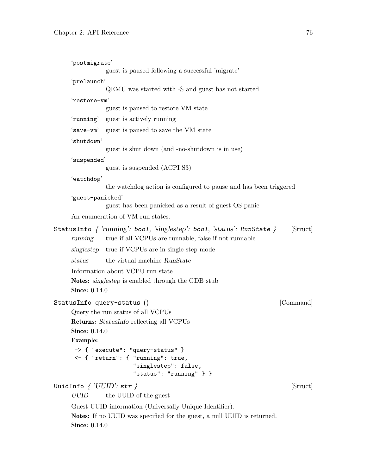```
'postmigrate'
                guest is paused following a successful 'migrate'
     'prelaunch'
                QEMU was started with -S and guest has not started
     'restore-vm'
                guest is paused to restore VM state
     'running' guest is actively running
     'save-vm' guest is paused to save the VM state
     'shutdown'
                guest is shut down (and -no-shutdown is in use)
     'suspended'
                guest is suspended (ACPI S3)
     'watchdog'
                the watchdog action is configured to pause and has been triggered
     'guest-panicked'
                guest has been panicked as a result of guest OS panic
     An enumeration of VM run states.
StatusInfo \{ 'running': bool, 'singlestep': bool, 'status': RunState \} [Struct]
     running true if all VCPUs are runnable, false if not runnable
     singlestep true if VCPUs are in single-step mode
     status the virtual machine RunState
     Information about VCPU run state
     Notes: singlestep is enabled through the GDB stub
     Since: 0.14.0
StatusInfo query-status () [Command]
     Query the run status of all VCPUs
     Returns: StatusInfo reflecting all VCPUs
     Since: 0.14.0
     Example:
      -> { "execute": "query-status" }
      <- { "return": { "running": true,
                        "singlestep": false,
                        "status": "running" } }
UuidInfo \{ 'UUID' : str \} [Struct]
     UUID the UUID of the guest
     Guest UUID information (Universally Unique Identifier).
     Notes: If no UUID was specified for the guest, a null UUID is returned.
```
**Since: 0.14.0**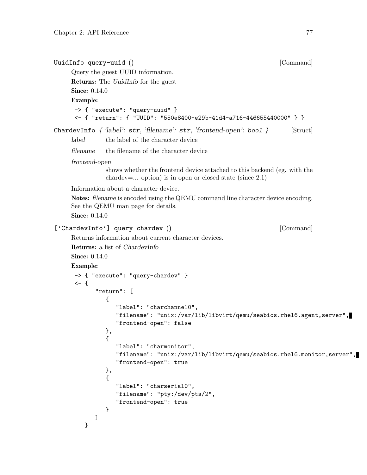```
UuidInfo query-uuid () [Command]
     Query the guest UUID information.
     Returns: The UuidInfo for the guest
     Since: 0.14.0
     Example:
      -> { "execute": "query-uuid" }
      <- { "return": { "UUID": "550e8400-e29b-41d4-a716-446655440000" } }
ChardevInfo \{ 'label': str, 'filename': str, 'frontend-open': bool \} [Struct]
     label the label of the character device
     filename the filename of the character device
     frontend-open
               shows whether the frontend device attached to this backend (eg. with the
               chardev=... option) is in open or closed state (since 2.1)
     Information about a character device.
     Notes: filename is encoded using the QEMU command line character device encoding.
     See the QEMU man page for details.
     Since: 0.14.0
['ChardevInfo'] query-chardev () [Command]
     Returns information about current character devices.
     Returns: a list of ChardevInfo
     Since: 0.14.0
     Example:
      -> { "execute": "query-chardev" }
      <- {
            "return": [
               {
                  "label": "charchannel0",
                  "filename": "unix:/var/lib/libvirt/qemu/seabios.rhel6.agent,server",
                  "frontend-open": false
               },
               {
                  "label": "charmonitor",
                  "filename": "unix:/var/lib/libvirt/qemu/seabios.rhel6.monitor,server",
                  "frontend-open": true
               },
               {
                  "label": "charserial0",
                  "filename": "pty:/dev/pts/2",
                  "frontend-open": true
               }
            ]
         }
```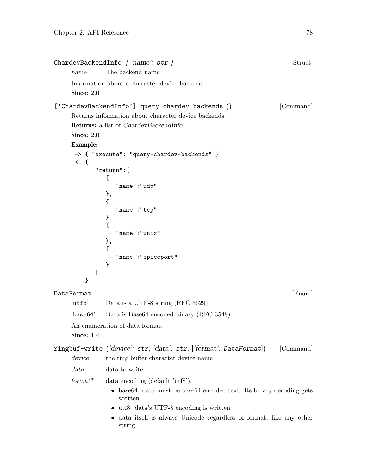```
ChardevBackendInfo \{ 'name': str \} [Struct]
     name The backend name
     Information about a character device backend
     Since: 2.0
['ChardevBackendInfo'] query-chardev-backends () [Command]
     Returns information about character device backends.
     Returns: a list of ChardevBackendInfo
     Since: 2.0
     Example:
     -> { "execute": "query-chardev-backends" }
     \leftarrow {
           "return":[
              {
                 "name":"udp"
              },
              {
                 "name":"tcp"
              },
              {
                 "name":"unix"
              },
              {
                 "name":"spiceport"
              }
           ]
        }
DataFormat [Enum]
    'utf8' Data is a UTF-8 string (RFC 3629)
     'base64' Data is Base64 encoded binary (RFC 3548)
     An enumeration of data format.
     Since: 1.4
ringbuf-write ('device': str, 'data': str, ['format': DataFormat]) [Command]
     device the ring buffer character device name
     data data to write
     format^* data encoding (default 'utf8').
                • base64: data must be base64 encoded text. Its binary decoding gets
                  written.
                • utf8: data's UTF-8 encoding is written
                • data itself is always Unicode regardless of format, like any other
                  string.
```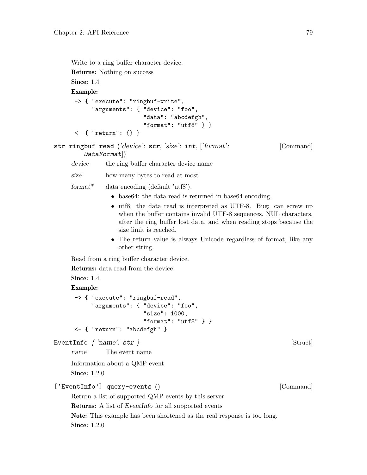```
Write to a ring buffer character device.
     Returns: Nothing on success
     Since: 1.4
     Example:
      -> { "execute": "ringbuf-write",
           "arguments": { "device": "foo",
                          "data": "abcdefgh",
                          "format": "utf8" } }
      <- { "return": {} }
str ringbuf-read ('device': str, 'size': int, ['format': [Command]
        DataFormat])
     device the ring buffer character device name
     size how many bytes to read at most
     format^* data encoding (default 'utf8').
                 • base64: the data read is returned in base64 encoding.
                 • utf8: the data read is interpreted as UTF-8. Bug: can screw up
                   when the buffer contains invalid UTF-8 sequences, NUL characters,
                   after the ring buffer lost data, and when reading stops because the
                   size limit is reached.
                 • The return value is always Unicode regardless of format, like any
                   other string.
     Read from a ring buffer character device.
     Returns: data read from the device
     Since: 1.4
     Example:
      -> { "execute": "ringbuf-read",
           "arguments": { "device": "foo",
                          "size": 1000,
                          "format": "utf8" } }
      <- { "return": "abcdefgh" }
EventInfo \{ 'name': str \}name The event name
     Information about a QMP event
     Since: 1.2.0
['EventInfo'] query-events () [Command]
     Return a list of supported QMP events by this server
     Returns: A list of EventInfo for all supported events
     Note: This example has been shortened as the real response is too long.
     Since: 1.2.0
```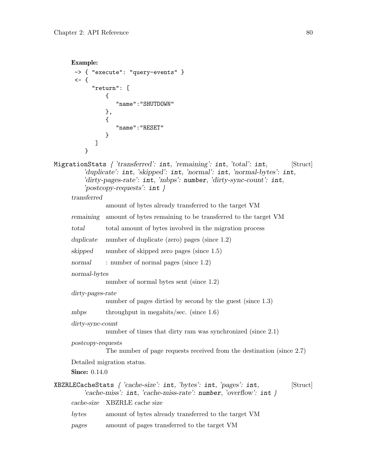```
Example:
      -> { "execute": "query-events" }
      \leftarrow {
            "return": [
                {
                    "name":"SHUTDOWN"
                },
                {
                    "name":"RESET"
                }
             ]
          }
MigrationStats \{ 'transferred': int, 'remaining': int, 'total': int, [Struct]
          'duplicate': int, 'skipped': int, 'normal': int, 'normal-bytes': int,
          'dirty-pages-rate': int, 'mbps': number, 'dirty-sync-count': int,
          'postcopy-requests': int }
     transferred
                amount of bytes already transferred to the target VM
     remaining amount of bytes remaining to be transferred to the target VM
     total total amount of bytes involved in the migration process
     duplicate number of duplicate (zero) pages (since 1.2)
     skipped number of skipped zero pages (since 1.5)
     normal : number of normal pages (since 1.2)
     normal-bytes
                number of normal bytes sent (since 1.2)
     dirty-pages-rate
                number of pages dirtied by second by the guest (since 1.3)
     mbps throughput in megabits/sec. (since 1.6)
     dirty-sync-count
                number of times that dirty ram was synchronized (since 2.1)
     postcopy-requests
                The number of page requests received from the destination (since 2.7)
     Detailed migration status.
     Since: 0.14.0
XBZRLECacheStats { 'cache-size': int, 'bytes': int, 'pages': int, [Struct]
         'cache-miss': int, 'cache-miss-rate': number, 'overflow': int }
     cache-size XBZRLE cache size
     bytes amount of bytes already transferred to the target VM
     pages amount of pages transferred to the target VM
```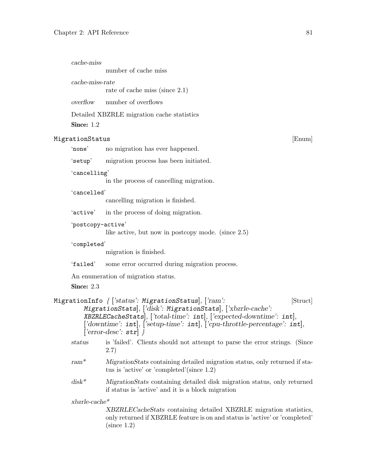| cache-miss        | number of cache miss                                                                                                                                                                                                                                                                                             |  |
|-------------------|------------------------------------------------------------------------------------------------------------------------------------------------------------------------------------------------------------------------------------------------------------------------------------------------------------------|--|
| cache-miss-rate   |                                                                                                                                                                                                                                                                                                                  |  |
|                   | rate of cache miss (since $2.1$ )                                                                                                                                                                                                                                                                                |  |
| overflow          | number of overflows                                                                                                                                                                                                                                                                                              |  |
|                   | Detailed XBZRLE migration cache statistics                                                                                                                                                                                                                                                                       |  |
| Since: 1.2        |                                                                                                                                                                                                                                                                                                                  |  |
| MigrationStatus   | [Enum]                                                                                                                                                                                                                                                                                                           |  |
| 'none'            | no migration has ever happened.                                                                                                                                                                                                                                                                                  |  |
| 'setup'           | migration process has been initiated.                                                                                                                                                                                                                                                                            |  |
| 'cancelling'      | in the process of cancelling migration.                                                                                                                                                                                                                                                                          |  |
| 'cancelled'       |                                                                                                                                                                                                                                                                                                                  |  |
|                   | cancelling migration is finished.                                                                                                                                                                                                                                                                                |  |
| 'active'          | in the process of doing migration.                                                                                                                                                                                                                                                                               |  |
| 'postcopy-active' | like active, but now in postcopy mode. (since 2.5)                                                                                                                                                                                                                                                               |  |
| 'completed'       | migration is finished.                                                                                                                                                                                                                                                                                           |  |
| 'failed'          | some error occurred during migration process.                                                                                                                                                                                                                                                                    |  |
|                   | An enumeration of migration status.                                                                                                                                                                                                                                                                              |  |
| Since: 2.3        |                                                                                                                                                                                                                                                                                                                  |  |
|                   | MigrationInfo $\int$ ['status': MigrationStatus], ['ram':<br>[Struct]<br>MigrationStats, ['disk': MigrationStats, ['xbzrle-cache':<br>XBZRLECacheStats, ['total-time': int], ['expected-downtime': int],<br>['downtime': int], ['setup-time': int], ['cpu-throttle-percentage': int],<br>$['error-desc': str]$ } |  |
| status            | is 'failed'. Clients should not attempt to parse the error strings. (Since<br>(2.7)                                                                                                                                                                                                                              |  |
| $ram^*$           | Migration States containing detailed migration status, only returned if sta-<br>tus is 'active' or 'completed'(since $1.2$ )                                                                                                                                                                                     |  |
| $disk*$           | Migration States containing detailed disk migration status, only returned<br>if status is 'active' and it is a block migration                                                                                                                                                                                   |  |
| $xbzrle-cache*$   |                                                                                                                                                                                                                                                                                                                  |  |
|                   | XBZRLECacheStats containing detailed XBZRLE migration statistics,<br>only returned if XBZRLE feature is on and status is 'active' or 'completed'                                                                                                                                                                 |  |

(since 1.2)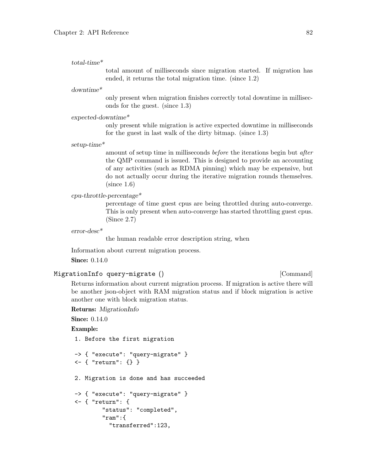#### total-time\*

total amount of milliseconds since migration started. If migration has ended, it returns the total migration time. (since 1.2)

#### downtime\*

only present when migration finishes correctly total downtime in milliseconds for the guest. (since 1.3)

#### expected-downtime\*

only present while migration is active expected downtime in milliseconds for the guest in last walk of the dirty bitmap. (since 1.3)

setup-time\*

amount of setup time in milliseconds before the iterations begin but after the QMP command is issued. This is designed to provide an accounting of any activities (such as RDMA pinning) which may be expensive, but do not actually occur during the iterative migration rounds themselves. (since 1.6)

```
cpu-throttle-percentage*
```
percentage of time guest cpus are being throttled during auto-converge. This is only present when auto-converge has started throttling guest cpus. (Since 2.7)

```
error-desc*
```
the human readable error description string, when

Information about current migration process. **Since: 0.14.0** 

```
MigrationInfo query-migrate () [Command]
```
Returns information about current migration process. If migration is active there will be another json-object with RAM migration status and if block migration is active another one with block migration status.

Returns: MigrationInfo

```
Since: 0.14.0
```

```
1. Before the first migration
-> { "execute": "query-migrate" }
<- { "return": {} }
2. Migration is done and has succeeded
-> { "execute": "query-migrate" }
<- { "return": {
        "status": "completed",
        "ram":{
          "transferred":123,
```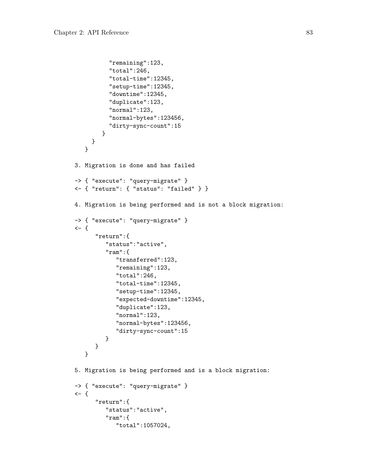```
"remaining":123,
          "total":246,
          "total-time":12345,
          "setup-time":12345,
          "downtime":12345,
          "duplicate":123,
          "normal":123,
          "normal-bytes":123456,
          "dirty-sync-count":15
        }
     }
   }
3. Migration is done and has failed
-> { "execute": "query-migrate" }
<- { "return": { "status": "failed" } }
4. Migration is being performed and is not a block migration:
-> { "execute": "query-migrate" }
<- {
      "return":{
         "status":"active",
         "ram":{
            "transferred":123,
            "remaining":123,
            "total":246,
            "total-time":12345,
            "setup-time":12345,
            "expected-downtime":12345,
            "duplicate":123,
            "normal":123,
            "normal-bytes":123456,
            "dirty-sync-count":15
         }
     }
  }
5. Migration is being performed and is a block migration:
-> { "execute": "query-migrate" }
<- {
      "return":{
         "status":"active",
         "ram":{
            "total":1057024,
```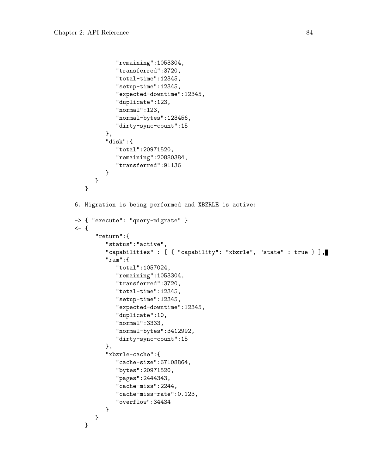```
"remaining":1053304,
            "transferred":3720,
            "total-time":12345,
            "setup-time":12345,
            "expected-downtime":12345,
            "duplicate":123,
            "normal":123,
            "normal-bytes":123456,
            "dirty-sync-count":15
         },
         "disk":{
            "total":20971520,
            "remaining":20880384,
            "transferred":91136
         }
      }
   }
6. Migration is being performed and XBZRLE is active:
-> { "execute": "query-migrate" }
<- {
      "return":{
         "status":"active",
         "capabilities" : [ { "capability": "xbzrle", "state" : true } ],
         "ram":{
            "total":1057024,
            "remaining":1053304,
            "transferred":3720,
            "total-time":12345,
            "setup-time":12345,
            "expected-downtime":12345,
            "duplicate":10,
            "normal":3333,
            "normal-bytes":3412992,
            "dirty-sync-count":15
         },
         "xbzrle-cache":{
            "cache-size":67108864,
            "bytes":20971520,
            "pages":2444343,
            "cache-miss":2244,
            "cache-miss-rate":0.123,
            "overflow":34434
         }
     }
  }
```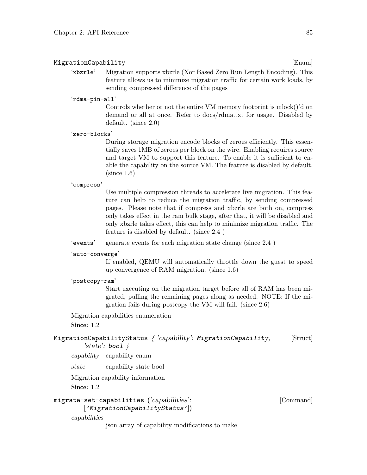## MigrationCapability [Enum]

- 'xbzrle' Migration supports xbzrle (Xor Based Zero Run Length Encoding). This feature allows us to minimize migration traffic for certain work loads, by sending compressed difference of the pages
- 'rdma-pin-all'

Controls whether or not the entire VM memory footprint is mlock()'d on demand or all at once. Refer to docs/rdma.txt for usage. Disabled by default. (since 2.0)

```
'zero-blocks'
```
During storage migration encode blocks of zeroes efficiently. This essentially saves 1MB of zeroes per block on the wire. Enabling requires source and target VM to support this feature. To enable it is sufficient to enable the capability on the source VM. The feature is disabled by default. (since 1.6)

#### 'compress'

Use multiple compression threads to accelerate live migration. This feature can help to reduce the migration traffic, by sending compressed pages. Please note that if compress and xbzrle are both on, compress only takes effect in the ram bulk stage, after that, it will be disabled and only xbzrle takes effect, this can help to minimize migration traffic. The feature is disabled by default. (since 2.4 )

'events' generate events for each migration state change (since 2.4 )

## 'auto-converge'

If enabled, QEMU will automatically throttle down the guest to speed up convergence of RAM migration. (since 1.6)

#### 'postcopy-ram'

Start executing on the migration target before all of RAM has been migrated, pulling the remaining pages along as needed. NOTE: If the migration fails during postcopy the VM will fail. (since 2.6)

Migration capabilities enumeration

Since: 1.2

## MigrationCapabilityStatus  $\int 'capability'$ : MigrationCapability, [Struct] 'state': bool  $\}$

capability capability enum

state capability state bool

Migration capability information

Since: 1.2

## migrate-set-capabilities ('capabilities': [Command] ['MigrationCapabilityStatus'])

capabilities

json array of capability modifications to make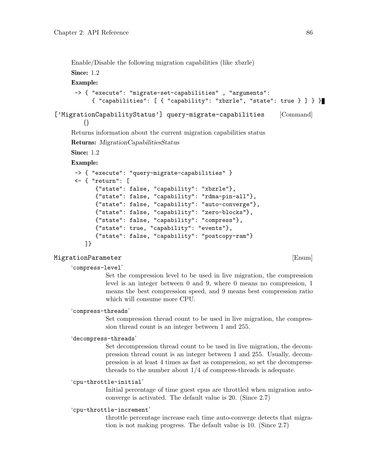Enable/Disable the following migration capabilities (like xbzrle)

# Since: 1.2 Example: -> { "execute": "migrate-set-capabilities" , "arguments": { "capabilities": [ { "capability": "xbzrle", "state": true } ] } }

```
['MigrationCapabilityStatus'] query-migrate-capabilities [Command]
```
()

Returns information about the current migration capabilities status

Returns: MigrationCapabilitiesStatus

Since: 1.2

#### Example:

```
-> { "execute": "query-migrate-capabilities" }
<- { "return": [
      {"state": false, "capability": "xbzrle"},
      {"state": false, "capability": "rdma-pin-all"},
      {"state": false, "capability": "auto-converge"},
      {"state": false, "capability": "zero-blocks"},
      {"state": false, "capability": "compress"},
      {"state": true, "capability": "events"},
      {"state": false, "capability": "postcopy-ram"}
  ]}
```
#### MigrationParameter [Enum]

'compress-level'

Set the compression level to be used in live migration, the compression level is an integer between 0 and 9, where 0 means no compression, 1 means the best compression speed, and 9 means best compression ratio which will consume more CPU.

#### 'compress-threads'

Set compression thread count to be used in live migration, the compression thread count is an integer between 1 and 255.

#### 'decompress-threads'

Set decompression thread count to be used in live migration, the decompression thread count is an integer between 1 and 255. Usually, decompression is at least 4 times as fast as compression, so set the decompressthreads to the number about 1/4 of compress-threads is adequate.

#### 'cpu-throttle-initial'

Initial percentage of time guest cpus are throttled when migration autoconverge is activated. The default value is 20. (Since 2.7)

## 'cpu-throttle-increment'

throttle percentage increase each time auto-converge detects that migration is not making progress. The default value is 10. (Since 2.7)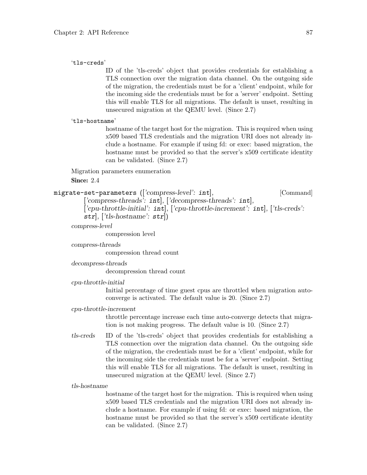#### 'tls-creds'

ID of the 'tls-creds' object that provides credentials for establishing a TLS connection over the migration data channel. On the outgoing side of the migration, the credentials must be for a 'client' endpoint, while for the incoming side the credentials must be for a 'server' endpoint. Setting this will enable TLS for all migrations. The default is unset, resulting in unsecured migration at the QEMU level. (Since 2.7)

#### 'tls-hostname'

hostname of the target host for the migration. This is required when using x509 based TLS credentials and the migration URI does not already include a hostname. For example if using fd: or exec: based migration, the hostname must be provided so that the server's x509 certificate identity can be validated. (Since 2.7)

Migration parameters enumeration

Since: 2.4

```
migrate-set-parameters (['compress-level': int], [Command]
         ['compress-threads': int], ['decompress-threads': int],
         ['cpu-throttle-initial': int], ['cpu-throttle-increment': int], ['tls-creds':
```

```
str], ['tls-hostname': str])
```
compress-level

compression level

```
compress-threads
```
compression thread count

```
decompress-threads
```
decompression thread count

```
cpu-throttle-initial
```
Initial percentage of time guest cpus are throttled when migration autoconverge is activated. The default value is 20. (Since 2.7)

## cpu-throttle-increment

throttle percentage increase each time auto-converge detects that migration is not making progress. The default value is 10. (Since 2.7)

tls-creds ID of the 'tls-creds' object that provides credentials for establishing a TLS connection over the migration data channel. On the outgoing side of the migration, the credentials must be for a 'client' endpoint, while for the incoming side the credentials must be for a 'server' endpoint. Setting this will enable TLS for all migrations. The default is unset, resulting in unsecured migration at the QEMU level. (Since 2.7)

tls-hostname

hostname of the target host for the migration. This is required when using x509 based TLS credentials and the migration URI does not already include a hostname. For example if using fd: or exec: based migration, the hostname must be provided so that the server's x509 certificate identity can be validated. (Since 2.7)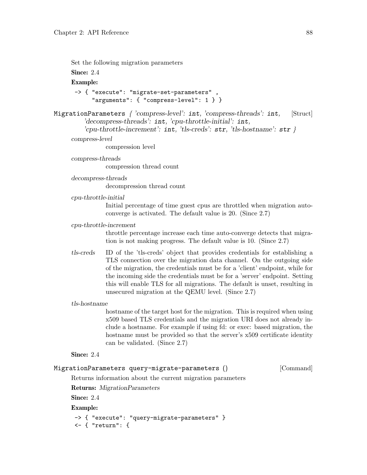Set the following migration parameters

Since: 2.4

## Example:

```
-> { "execute": "migrate-set-parameters" ,
     "arguments": { "compress-level": 1 } }
```

```
MigrationParameters { 'compress-level': int, 'compress-threads': int, [Struct]
         'decompress-threads': int, 'cpu-throttle-initial': int,
```
'cpu-throttle-increment': int, 'tls-creds': str, 'tls-hostname': str }

compress-level

compression level

compress-threads compression thread count

- decompress-threads decompression thread count
- cpu-throttle-initial

Initial percentage of time guest cpus are throttled when migration autoconverge is activated. The default value is 20. (Since 2.7)

#### cpu-throttle-increment

throttle percentage increase each time auto-converge detects that migration is not making progress. The default value is 10. (Since 2.7)

tls-creds ID of the 'tls-creds' object that provides credentials for establishing a TLS connection over the migration data channel. On the outgoing side of the migration, the credentials must be for a 'client' endpoint, while for the incoming side the credentials must be for a 'server' endpoint. Setting this will enable TLS for all migrations. The default is unset, resulting in unsecured migration at the QEMU level. (Since 2.7)

#### tls-hostname

hostname of the target host for the migration. This is required when using x509 based TLS credentials and the migration URI does not already include a hostname. For example if using fd: or exec: based migration, the hostname must be provided so that the server's x509 certificate identity can be validated. (Since 2.7)

## **Since: 2.4**

```
MigrationParameters query-migrate-parameters () [Command]
```
Returns information about the current migration parameters

Returns: MigrationParameters

Since: 2.4

```
-> { "execute": "query-migrate-parameters" }
<- { "return": {
```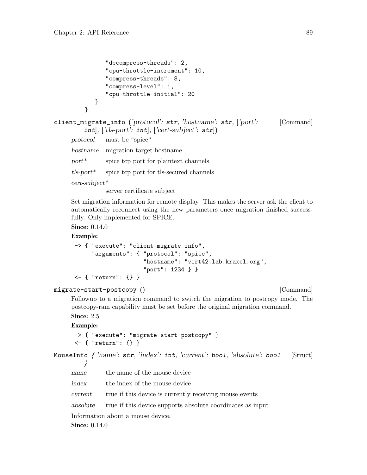```
"decompress-threads": 2,
                "cpu-throttle-increment": 10,
                "compress-threads": 8,
                "compress-level": 1,
                "cpu-throttle-initial": 20
             }
         }
client_migrate_info ('protocol: str, 'hostname': str, ['port]': [Command]
         int], ['tls-port': int], ['cert-subject': str]protocol must be "spice"
     hostname migration target hostname
     port* spice tcp port for plaintext channels
     tls-port<sup>*</sup> spice tcp port for tls-secured channels
     cert-subject*server certificate subject
```
Set migration information for remote display. This makes the server ask the client to automatically reconnect using the new parameters once migration finished successfully. Only implemented for SPICE.

```
Since: 0.14.0
```

```
Example:
```

```
-> { "execute": "client_migrate_info",
     "arguments": { "protocol": "spice",
                    "hostname": "virt42.lab.kraxel.org",
                    "port": 1234 } }
<- { "return": {} }
```

```
migrate-start-postcopy () [Command]
```
Followup to a migration command to switch the migration to postcopy mode. The postcopy-ram capability must be set before the original migration command. **Since: 2.5** 

Example:

-> { "execute": "migrate-start-postcopy" } <- { "return": {} }

```
MouseInfo \int'name': str, 'index': int, 'current': boo1, 'absolute': boo1 [Struct]
          }
```
name the name of the mouse device

index the index of the mouse device

current true if this device is currently receiving mouse events

absolute true if this device supports absolute coordinates as input

Information about a mouse device.

**Since:** 0.14.0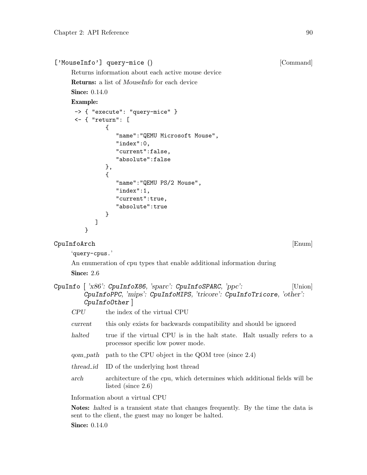```
['MouseInfo'] query-mice () [Command]
       Returns information about each active mouse device
       Returns: a list of MouseInfo for each device
       Since: 0.14.0
       Example:
        -> { "execute": "query-mice" }
        <- { "return": [
                     {
                         "name":"QEMU Microsoft Mouse",
                         "index":0,
                         "current":false,
                         "absolute":false
                     },
                     {
                         "name":"QEMU PS/2 Mouse",
                         "index":1,
                         "current":true,
                         "absolute":true
                     }
                ]
            }
CpuInfoArch [Enum]
       'query-cpus.'
       An enumeration of cpu types that enable additional information during
       Since: 2.6
CpuInfo \left[ \right. \left. \left. \right. \left. \left. \right. \right. \left. \left. \right. \right. \left. \left. \right. \left. \right. \left. \left. \right. \right. \left. \left. \right. \left. \left. \right. \right. \left. \left. \right. \left. \right. \left. \left. \right. \right. \left. \left. \left. \right. \right. \left. \left. \right. \right. \left. \left. \right. \right. \left. \left. \right. \right. \left. \left. \left. \right. \right. \left. \left. \right. \right. \left. \left. \right. \right. \left. \left. \right.CpuInfoPPC, 'mips': CpuInfoMIPS, 'tricore': CpuInfoTricore, 'other':
            CpuInfoOther ]
       CPU the index of the virtual CPU
       current this only exists for backwards compatibility and should be ignored
       halted true if the virtual CPU is in the halt state. Halt usually refers to a
                     processor specific low power mode.
       qom path path to the CPU object in the QOM tree (since 2.4)
       thread id ID of the underlying host thread
       arch architecture of the cpu, which determines which additional fields will be
                     listed (since 2.6)
       Information about a virtual CPU
       Notes: halted is a transient state that changes frequently. By the time the data is
       sent to the client, the guest may no longer be halted.
       Since: 0.14.0
```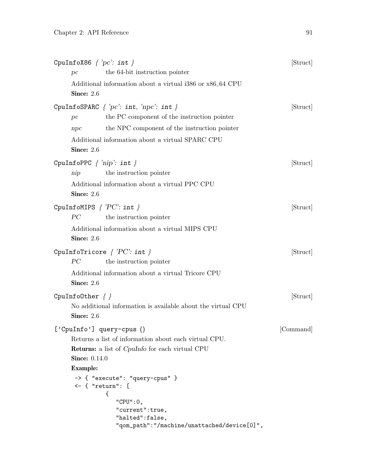| CpuInfoX86 $\{$ 'pc': int $\}$                                    |                                                                | [Struct]  |
|-------------------------------------------------------------------|----------------------------------------------------------------|-----------|
| pc                                                                | the 64-bit instruction pointer                                 |           |
| Since: 2.6                                                        | Additional information about a virtual i386 or $x86.64$ CPU    |           |
| CpuInfoSPARC $\{$ 'pc': int, 'npc': int $\}$                      |                                                                | [Struct]  |
| pc                                                                | the PC component of the instruction pointer                    |           |
| $_{\rm npc}$                                                      | the NPC component of the instruction pointer                   |           |
| Since: 2.6                                                        | Additional information about a virtual SPARC CPU               |           |
| CpuInfoPPC $\{ 'nip'; int \}$                                     |                                                                | [Struct]  |
| $\dot{np}$                                                        | the instruction pointer                                        |           |
| Since: $2.6$                                                      | Additional information about a virtual PPC CPU                 |           |
| CpuInfoMIPS $\{$ 'PC': int $\}$                                   |                                                                | [Struct]  |
| PC                                                                | the instruction pointer                                        |           |
| Since: 2.6                                                        | Additional information about a virtual MIPS CPU                |           |
| CpuInfoTricore $\{$ 'PC': int $\}$                                |                                                                | [Struct]  |
| PC                                                                | the instruction pointer                                        |           |
| Since: 2.6                                                        | Additional information about a virtual Tricore CPU             |           |
| CpuInfoOther $\{\}$                                               |                                                                | [Struct]  |
| Since: 2.6                                                        | No additional information is available about the virtual CPU   |           |
| ['CpuInfo'] query-cpus ()                                         |                                                                | [Command] |
|                                                                   | Returns a list of information about each virtual CPU.          |           |
|                                                                   | <b>Returns:</b> a list of <i>CpuInfo</i> for each virtual CPU  |           |
| <b>Since:</b> 0.14.0                                              |                                                                |           |
| Example:                                                          |                                                                |           |
| -> { "execute": "query-cpus" }<br>$\leftarrow$ { "return": [<br>€ |                                                                |           |
|                                                                   | "CPU":0,                                                       |           |
|                                                                   | "current":true,                                                |           |
|                                                                   | "halted":false,<br>"qom_path":"/machine/unattached/device[0]", |           |
|                                                                   |                                                                |           |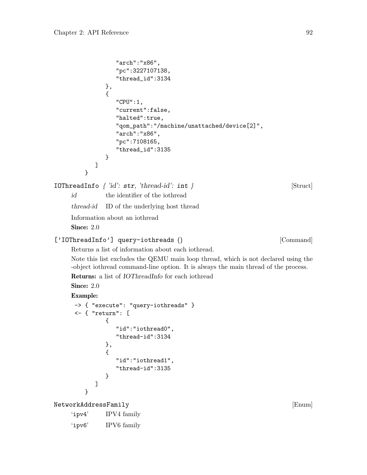```
"arch":"x86",
                  "pc":3227107138,
                  "thread_id":3134
               },
               {
                  "CPU":1,
                  "current":false,
                  "halted":true,
                  "qom_path":"/machine/unattached/device[2]",
                  "arch":"x86",
                  "pc":7108165,
                  "thread_id":3135
               }
            ]
         }
IOThreadInfo \{ 'id': str, 'thread-id': int \} [Struct]
     id the identifier of the iothread
     thread-id ID of the underlying host thread
     Information about an iothread
     Since: 2.0
['IOThreadInfo'] query-iothreads () [Command]
     Returns a list of information about each iothread.
     Note this list excludes the QEMU main loop thread, which is not declared using the
     -object iothread command-line option. It is always the main thread of the process.
     Returns: a list of IOThreadInfo for each iothread
     Since: 2.0
     Example:
      -> { "execute": "query-iothreads" }
      <- { "return": [
               {
                  "id":"iothread0",
                  "thread-id":3134
```

```
},
         {
           "id":"iothread1",
           "thread-id":3135
         }
       ]
     }
NetworkAddressFamily [Enum]
```

| ʻipv4' | IPV4 family |
|--------|-------------|
| ʻipv6' | IPV6 family |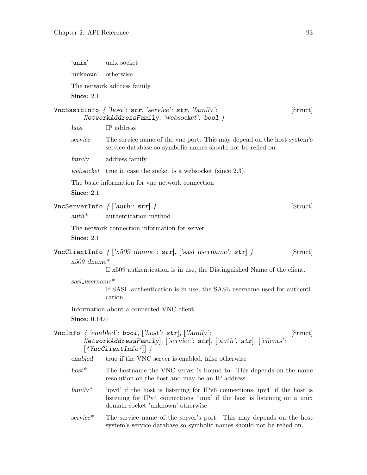| $'$ unix'                  | unix socket                                                                                                                                                                                 |          |
|----------------------------|---------------------------------------------------------------------------------------------------------------------------------------------------------------------------------------------|----------|
| 'unknown' otherwise        |                                                                                                                                                                                             |          |
|                            | The network address family                                                                                                                                                                  |          |
| Since: 2.1                 |                                                                                                                                                                                             |          |
|                            | VncBasicInfo $\{ 'host': str, 'service': str, 'family':$<br>NetworkAddressFamily, 'websocket': bool }                                                                                       | [Struct] |
| host                       | IP address                                                                                                                                                                                  |          |
| service                    | The service name of the vnc port. This may depend on the host system's<br>service database so symbolic names should not be relied on.                                                       |          |
| family                     | address family                                                                                                                                                                              |          |
|                            | websocket true in case the socket is a websocket (since 2.3).                                                                                                                               |          |
| Since: $2.1$               | The basic information for vnc network connection                                                                                                                                            |          |
| $auth^*$                   | VncServerInfo $\{$ ['auth': str] $\}$<br>authentication method                                                                                                                              | [Struct] |
| Since: 2.1                 | The network connection information for server                                                                                                                                               |          |
| $x509$ <sub>-</sub> dname* | VncClientInfo $\{$ ['x509_dname': str], ['sasl_username': str] $\}$<br>If x509 authentication is in use, the Distinguished Name of the client.                                              | [Struct] |
| sasl_username*             | If SASL authentication is in use, the SASL username used for authenti-<br>cation.                                                                                                           |          |
| <b>Since: 0.14.0</b>       | Information about a connected VNC client.                                                                                                                                                   |          |
|                            | VncInfo $\{$ 'enabled': bool, $[\text{'host': str}]$ , $[\text{'family':}$<br>NetworkAddressFamily], ['service': str], ['auth': str], ['clients':<br>$['UncClientInfo']$ }                  | [Struct] |
| enabled                    | true if the VNC server is enabled, false otherwise                                                                                                                                          |          |
| $host*$                    | The hostname the VNC server is bound to. This depends on the name<br>resolution on the host and may be an IP address.                                                                       |          |
| $family^*$                 | 'ipv6' if the host is listening for IPv6 connections 'ipv4' if the host is<br>listening for IPv4 connections 'unix' if the host is listening on a unix<br>domain socket 'unknown' otherwise |          |
| service*                   | The service name of the server's port. This may depends on the host<br>system's service database so symbolic names should not be relied on.                                                 |          |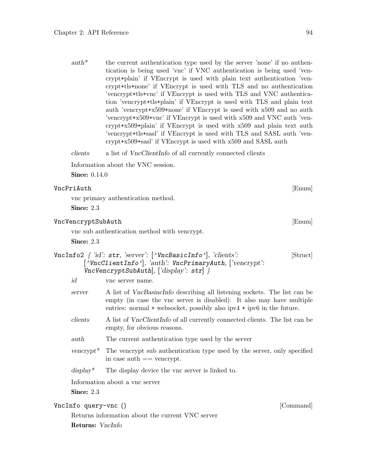$auth*$  the current authentication type used by the server 'none' if no authentication is being used 'vnc' if VNC authentication is being used 'vencrypt+plain' if VEncrypt is used with plain text authentication 'vencrypt+tls+none' if VEncrypt is used with TLS and no authentication 'vencrypt+tls+vnc' if VEncrypt is used with TLS and VNC authentication 'vencrypt+tls+plain' if VEncrypt is used with TLS and plain text auth 'vencrypt+x509+none' if VEncrypt is used with x509 and no auth 'vencrypt+x509+vnc' if VEncrypt is used with x509 and VNC auth 'vencrypt+x509+plain' if VEncrypt is used with x509 and plain text auth 'vencrypt+tls+sasl' if VEncrypt is used with TLS and SASL auth 'vencrypt+x509+sasl' if VEncrypt is used with x509 and SASL auth

#### clients a list of VncClientInfo of all currently connected clients

Information about the VNC session.

Since: 0.14.0

#### VncPriAuth [Enum]

vnc primary authentication method.

Since: 2.3

## VncVencryptSubAuth [Enum]

vnc sub authentication method with vencrypt.

Since: 2.3

| $VncInfo2$ { 'id': str, 'server': [' $VncBasicInfo$ '], 'clients':    | [Struct] |
|-----------------------------------------------------------------------|----------|
| $[\cdot$ VncClientInfo', 'auth': VncPrimaryAuth, $[\cdot]$ vencrypt': |          |
| VncVencyptSubAuth, [ 'display': str]                                  |          |

| id | vnc server name. |  |
|----|------------------|--|
|    |                  |  |

- server A list of VncBasincInfo describing all listening sockets. The list can be empty (in case the vnc server is disabled). It also may have multiple entries: normal + websocket, possibly also ipv4 + ipv6 in the future.
- clients A list of VncClientInfo of all currently connected clients. The list can be empty, for obvious reasons.
- auth The current authentication type used by the server
- vencrypt $*$  The vencrypt sub authentication type used by the server, only specified in case auth  $==$  vencrypt.
- display\* The display device the vnc server is linked to.

Information about a vnc server

Since: 2.3

## VncInfo query-vnc () [Command]

Returns information about the current VNC server Returns: VncInfo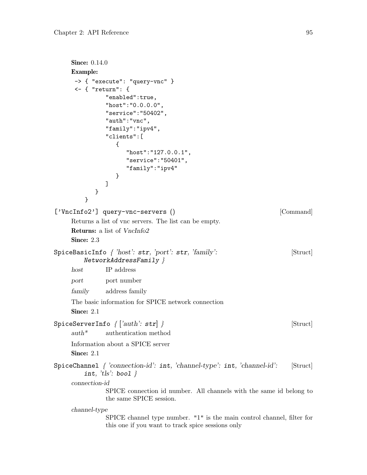```
Since: 0.14.0
     Example:
      -> { "execute": "query-vnc" }
      <- { "return": {
               "enabled":true,
               "host":"0.0.0.0",
               "service":"50402",
               "auth":"vnc",
               "family":"ipv4",
               "clients":[
                  {
                     "host":"127.0.0.1",
                     "service":"50401",
                     "family":"ipv4"
                  }
               ]
            }
         }
['VncInfo2'] query-vnc-servers () [Command]
     Returns a list of vnc servers. The list can be empty.
     Returns: a list of VncInfo2
     Since: 2.3
SpiceBasicInfo \{ 'host': str, 'port': str, 'family': \ [Struct]
        NetworkAddressFamily }
     host IP address
     port port number
     family address family
     The basic information for SPICE network connection
     Since: 2.1
SpiceServerInfo \{'auth': str\} } [Struct]
     auth* authentication method
     Information about a SPICE server
     Since: 2.1
SpiceChannel { 'connection-id': int, 'channel-type': int, 'channel-id': [Struct]
        int, 'tls': bool \}connection-id
               SPICE connection id number. All channels with the same id belong to
               the same SPICE session.
     channel-type
               SPICE channel type number. "1" is the main control channel, filter for
               this one if you want to track spice sessions only
```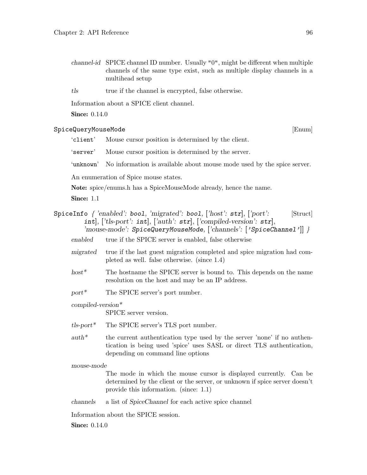- channel-id SPICE channel ID number. Usually "0", might be different when multiple channels of the same type exist, such as multiple display channels in a multihead setup
- tls true if the channel is encrypted, false otherwise.

Information about a SPICE client channel.

**Since:** 0.14.0

## SpiceQueryMouseMode [Enum]

'client' Mouse cursor position is determined by the client.

'server' Mouse cursor position is determined by the server.

'unknown' No information is available about mouse mode used by the spice server.

An enumeration of Spice mouse states.

Note: spice/enums.h has a SpiceMouseMode already, hence the name.

Since: 1.1

| SpiceInfo { 'enabled': bool, 'migrated': bool, ['host': $str]$ , ['port': | [Struct] |
|---------------------------------------------------------------------------|----------|
| int ,  'tls-port': int , ['auth': $str$ ], ['compiled-version': $str$ ],  |          |
| 'mouse-mode': SpiceQueryMouseMode, ['channels': ['SpiceChannel']] }       |          |

enabled true if the SPICE server is enabled, false otherwise

- migrated true if the last guest migration completed and spice migration had completed as well. false otherwise. (since 1.4)
- host<sup>\*</sup> The hostname the SPICE server is bound to. This depends on the name resolution on the host and may be an IP address.
- port\* The SPICE server's port number.

compiled-version\*

SPICE server version.

- tls-port\* The SPICE server's TLS port number.
- $auth*$  the current authentication type used by the server 'none' if no authentication is being used 'spice' uses SASL or direct TLS authentication, depending on command line options

mouse-mode

The mode in which the mouse cursor is displayed currently. Can be determined by the client or the server, or unknown if spice server doesn't provide this information. (since: 1.1)

channels a list of SpiceChannel for each active spice channel

Information about the SPICE session.

**Since:** 0.14.0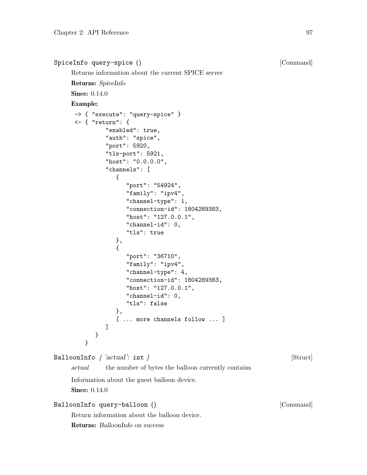```
SpiceInfo query-spice () [Command]
    Returns information about the current SPICE server
    Returns: SpiceInfo
    Since: 0.14.0
    Example:
     -> { "execute": "query-spice" }
     <- { "return": {
              "enabled": true,
              "auth": "spice",
              "port": 5920,
              "tls-port": 5921,
              "host": "0.0.0.0",
              "channels": [
                 {
                   "port": "54924",
                   "family": "ipv4",
                   "channel-type": 1,
                   "connection-id": 1804289383,
                   "host": "127.0.0.1",
                   "channel-id": 0,
                   "tls": true
                 },
                 {
                   "port": "36710",
                   "family": "ipv4",
                   "channel-type": 4,
                   "connection-id": 1804289383,
                   "host": "127.0.0.1",
                   "channel-id": 0,
                   "tls": false
                 },
                 [ ... more channels follow ... ]
              ]
           }
        }
BalloonInfo \{ 'actual': int \} [Struct]
    actual the number of bytes the balloon currently contains
    Information about the guest balloon device.
    Since: 0.14.0
BalloonInfo query-balloon () [Command]
    Return information about the balloon device.
    Returns: BalloonInfo on success
```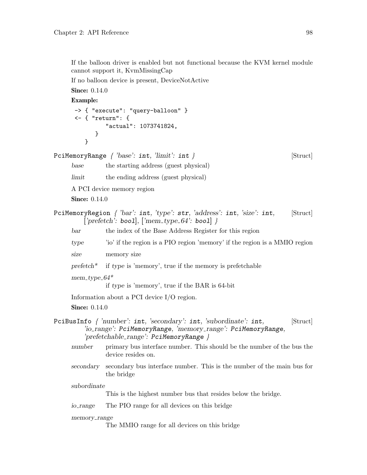If the balloon driver is enabled but not functional because the KVM kernel module cannot support it, KvmMissingCap If no balloon device is present, DeviceNotActive **Since:** 0.14.0 Example: -> { "execute": "query-balloon" } <- { "return": { "actual": 1073741824, } } PciMemoryRange { 'base': int, 'limit': int } [Struct] base the starting address (guest physical) limit the ending address (guest physical) A PCI device memory region **Since:** 0.14.0 PciMemoryRegion { 'bar': int, 'type': str, 'address': int, 'size': int, [Struct] ['prefetch': boo1], ['mem\_type\_64': boo1] } bar the index of the Base Address Register for this region type 'io' if the region is a PIO region 'memory' if the region is a MMIO region size memory size  $prefetch*$  if type is 'memory', true if the memory is prefetchable mem\_type\_ $64*$ if type is 'memory', true if the BAR is 64-bit Information about a PCI device I/O region. **Since:** 0.14.0 PciBusInfo { 'number': int, 'secondary': int, 'subordinate': int, [Struct] 'io\_range': PciMemoryRange, 'memory\_range': PciMemoryRange, 'prefetchable range': PciMemoryRange } number primary bus interface number. This should be the number of the bus the device resides on. secondary secondary bus interface number. This is the number of the main bus for the bridge subordinate This is the highest number bus that resides below the bridge. io range The PIO range for all devices on this bridge memory\_range The MMIO range for all devices on this bridge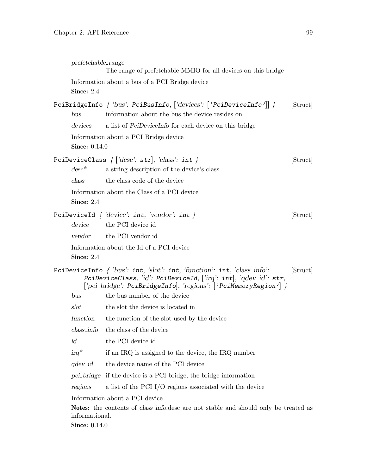| prefetchable_range<br>The range of prefetchable MMIO for all devices on this bridge |                                                                                                                                                                                                                   |          |  |
|-------------------------------------------------------------------------------------|-------------------------------------------------------------------------------------------------------------------------------------------------------------------------------------------------------------------|----------|--|
| Information about a bus of a PCI Bridge device                                      |                                                                                                                                                                                                                   |          |  |
| Since: 2.4                                                                          |                                                                                                                                                                                                                   |          |  |
|                                                                                     | PciBridgeInfo { 'bus': PciBusInfo, ['devices': ['PciDeviceInfo']] }                                                                                                                                               | [Struct] |  |
| bus                                                                                 | information about the bus the device resides on                                                                                                                                                                   |          |  |
| devices                                                                             | a list of <i>PciDeviceInfo</i> for each device on this bridge                                                                                                                                                     |          |  |
| <b>Since:</b> 0.14.0                                                                | Information about a PCI Bridge device                                                                                                                                                                             |          |  |
|                                                                                     | PciDeviceClass $\{ [ 'desc': str], 'class': int \}$                                                                                                                                                               | [Struct] |  |
| $desc^*$                                                                            | a string description of the device's class                                                                                                                                                                        |          |  |
| class                                                                               | the class code of the device                                                                                                                                                                                      |          |  |
|                                                                                     | Information about the Class of a PCI device                                                                                                                                                                       |          |  |
| Since: 2.4                                                                          |                                                                                                                                                                                                                   |          |  |
|                                                                                     | PciDeviceId { 'device': int, 'vendor': int }                                                                                                                                                                      | [Struct] |  |
| device                                                                              | the PCI device id                                                                                                                                                                                                 |          |  |
| vendor                                                                              | the PCI vendor id                                                                                                                                                                                                 |          |  |
|                                                                                     | Information about the Id of a PCI device                                                                                                                                                                          |          |  |
| <b>Since: 2.4</b>                                                                   |                                                                                                                                                                                                                   |          |  |
|                                                                                     | PciDeviceInfo $\{$ 'bus': int, 'slot': int, 'function': int, 'class_info':<br>PciDeviceClass, 'id': PciDeviceId, ['irq': int], 'qdev_id': str,<br>['pci_bridge': PciBridgeInfo], 'regions': ['PciMemoryRegion'] } | [Struct] |  |
| bus                                                                                 | the bus number of the device                                                                                                                                                                                      |          |  |
| slot                                                                                | the slot the device is located in                                                                                                                                                                                 |          |  |
| function                                                                            | the function of the slot used by the device                                                                                                                                                                       |          |  |
|                                                                                     | class_info the class of the device                                                                                                                                                                                |          |  |
| id                                                                                  | the PCI device id                                                                                                                                                                                                 |          |  |
| $irq^*$                                                                             | if an IRQ is assigned to the device, the IRQ number                                                                                                                                                               |          |  |
| qdev <sub>-</sub> id                                                                | the device name of the PCI device                                                                                                                                                                                 |          |  |
|                                                                                     | pci-bridge if the device is a PCI bridge, the bridge information                                                                                                                                                  |          |  |
| regions                                                                             | a list of the PCI I/O regions associated with the device                                                                                                                                                          |          |  |
|                                                                                     | Information about a PCI device                                                                                                                                                                                    |          |  |
| informational.                                                                      | Notes: the contents of <i>class_info.desc</i> are not stable and should only be treated as                                                                                                                        |          |  |
| <b>Since: 0.14.0</b>                                                                |                                                                                                                                                                                                                   |          |  |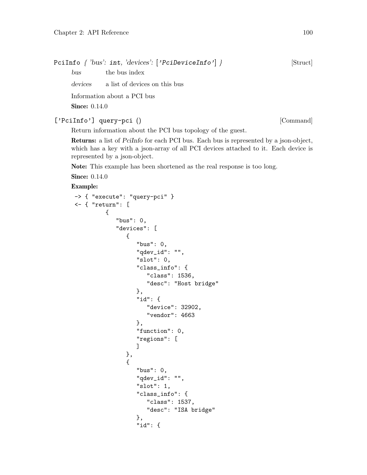PciInfo { 'bus': int, 'devices': ['PciDeviceInfo'] } [Struct] bus the bus index devices a list of devices on this bus Information about a PCI bus **Since:** 0.14.0

['PciInfo'] query-pci () [Command]

Return information about the PCI bus topology of the guest.

Returns: a list of PciInfo for each PCI bus. Each bus is represented by a json-object, which has a key with a json-array of all PCI devices attached to it. Each device is represented by a json-object.

Note: This example has been shortened as the real response is too long.

```
-> { "execute": "query-pci" }
<- { "return": [
         {
             "bus": 0,
             "devices": [
                {
                   "bus": 0,
                   "qdev_id": "",
                   "slot": 0,
                   "class_info": {
                      "class": 1536,
                      "desc": "Host bridge"
                   },
                   "id": {
                      "device": 32902,
                      "vendor": 4663
                   },
                   "function": 0,
                   "regions": [
                   \mathbf{I}},
                {
                   "bus": 0,
                   "qdev_id": "",
                   "slot": 1,
                   "class_info": {
                      "class": 1537,
                      "desc": "ISA bridge"
                   },
                   "id": {
```
Since: 0.14.0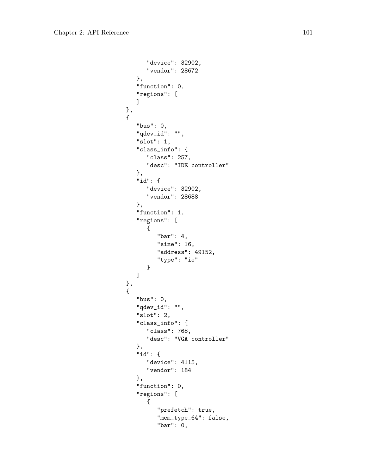```
"device": 32902,
      "vendor": 28672
   },
   "function": 0,
   "regions": [
   ]
},
{
   "bus": 0,
   "qdev_id": "",
   "slot": 1,
   "class_info": {
      "class": 257,
      "desc": "IDE controller"
   },
   "id": {
      "device": 32902,
      "vendor": 28688
   },
   "function": 1,
   "regions": [
      {
         "bar": 4,
         "size": 16,
         "address": 49152,
         "type": "io"
      }
   ]
},
{
   "bus": 0,
   "qdev_id": "",
   "slot": 2,
   "class_info": {
      "class": 768,
      "desc": "VGA controller"
   },
   "id": {
      "device": 4115,
      "vendor": 184
   },
   "function": 0,
   "regions": [
      {
         "prefetch": true,
         "mem_type_64": false,
         "bar": 0,
```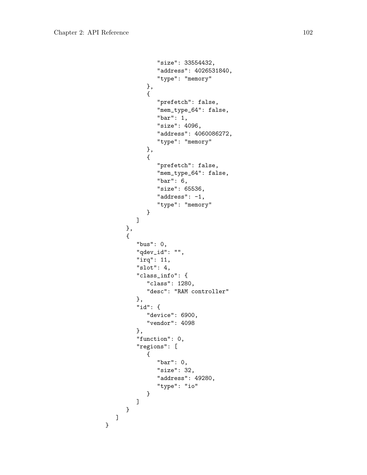}

```
"size": 33554432,
            "address": 4026531840,
            "type": "memory"
         },
         {
            "prefetch": false,
            "mem_type_64": false,
            "bar": 1,
            "size": 4096,
            "address": 4060086272,
            "type": "memory"
         },
         {
            "prefetch": false,
            "mem_type_64": false,
            "bar": 6,
            "size": 65536,
            "address": -1,
            "type": "memory"
         }
      ]
   },
   {
      "bus": 0,
      "qdev_id": "",
      "irq": 11,
      "slot": 4,
      "class_info": {
         "class": 1280,
         "desc": "RAM controller"
      },
      "id": {
         "device": 6900,
         "vendor": 4098
      },
      "function": 0,
      "regions": [
         {
            "bar": 0,
            "size": 32,
            "address": 49280,
            "type": "io"
         }
      ]
   }
]
```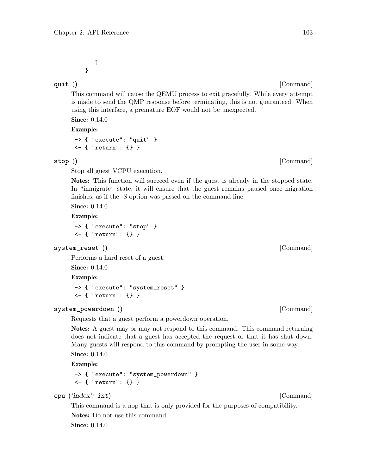] }

## quit () [Command]

This command will cause the QEMU process to exit gracefully. While every attempt is made to send the QMP response before terminating, this is not guaranteed. When using this interface, a premature EOF would not be unexpected.

**Since:** 0.14.0

### Example:

```
-> { "execute": "quit" }
<- { "return": {} }
```
Stop all guest VCPU execution.

Notes: This function will succeed even if the guest is already in the stopped state. In "inmigrate" state, it will ensure that the guest remains paused once migration finishes, as if the -S option was passed on the command line.

**Since:** 0.14.0

#### Example:

-> { "execute": "stop" } <- { "return": {} }

system\_reset () [Command]

Performs a hard reset of a guest.

**Since:** 0.14.0

## Example:

```
-> { "execute": "system_reset" }
<- { "return": {} }
```
## system\_powerdown () [Command]

Requests that a guest perform a powerdown operation.

Notes: A guest may or may not respond to this command. This command returning does not indicate that a guest has accepted the request or that it has shut down. Many guests will respond to this command by prompting the user in some way.

**Since:** 0.14.0

Example:

```
-> { "execute": "system_powerdown" }
<- { "return": {} }
```
cpu ('index': int) [Command]

This command is a nop that is only provided for the purposes of compatibility. Notes: Do not use this command. **Since:** 0.14.0

stop () [Command]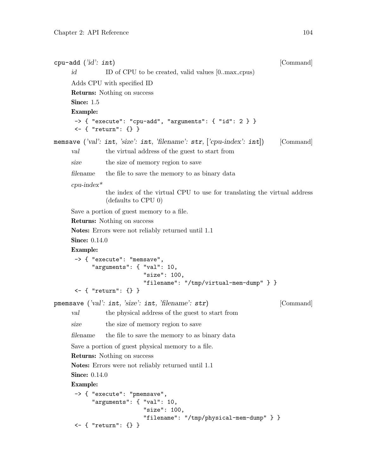```
cpu-add ('id': int) [Command]
     id ID of CPU to be created, valid values [0..max_cpus]
     Adds CPU with specified ID
     Returns: Nothing on success
     Since: 1.5
     Example:
      -> { "execute": "cpu-add", "arguments": { "id": 2 } }
      <- { "return": {} }
memsave ('val': int, 'size': int, 'filename': str, ['cpu-index': int]) [Command]
     val the virtual address of the guest to start from
     size the size of memory region to save
     filename the file to save the memory to as binary data
     cpu-index*
               the index of the virtual CPU to use for translating the virtual address
               (defaults to CPU 0)
     Save a portion of guest memory to a file.
     Returns: Nothing on success
     Notes: Errors were not reliably returned until 1.1
     Since: 0.14.0
     Example:
      -> { "execute": "memsave",
           "arguments": { "val": 10,
                           "size": 100,
                           "filename": "/tmp/virtual-mem-dump" } }
      <- { "return": {} }
pmemsave ('val': int, 'size': int, 'filename': str) [Command]
     val the physical address of the guest to start from
     size the size of memory region to save
     filename the file to save the memory to as binary data
     Save a portion of guest physical memory to a file.
     Returns: Nothing on success
     Notes: Errors were not reliably returned until 1.1
     Since: 0.14.0
     Example:
      -> { "execute": "pmemsave",
           "arguments": { "val": 10,
                           "size": 100,
                           "filename": "/tmp/physical-mem-dump" } }
      <- { "return": {} }
```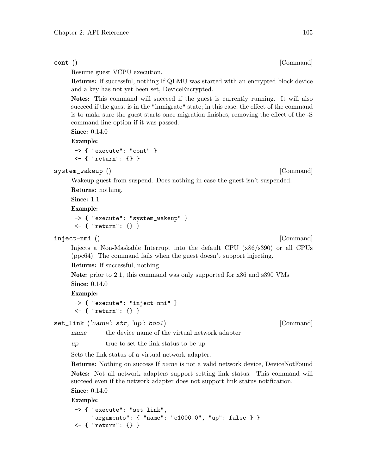## cont () [Command]

Resume guest VCPU execution.

Returns: If successful, nothing If QEMU was started with an encrypted block device and a key has not yet been set, DeviceEncrypted.

Notes: This command will succeed if the guest is currently running. It will also succeed if the guest is in the "inmigrate" state; in this case, the effect of the command is to make sure the guest starts once migration finishes, removing the effect of the -S command line option if it was passed.

**Since: 0.14.0** 

## Example:

```
-> { "execute": "cont" }
<- { "return": {} }
```
### system\_wakeup () [Command]

Wakeup guest from suspend. Does nothing in case the guest isn't suspended.

Returns: nothing.

Since: 1.1

#### Example:

```
-> { "execute": "system_wakeup" }
<- { "return": {} }
```
#### inject-nmi () [Command]

Injects a Non-Maskable Interrupt into the default CPU (x86/s390) or all CPUs (ppc64). The command fails when the guest doesn't support injecting.

Returns: If successful, nothing

Note: prior to 2.1, this command was only supported for x86 and s390 VMs Since: 0.14.0

#### Example:

```
-> { "execute": "inject-nmi" }
<- { "return": {} }
```
set\_link ('name': str, 'up': bool) [Command]

name the device name of the virtual network adapter

up true to set the link status to be up

Sets the link status of a virtual network adapter.

Returns: Nothing on success If name is not a valid network device, DeviceNotFound Notes: Not all network adapters support setting link status. This command will succeed even if the network adapter does not support link status notification.

**Since:** 0.14.0

```
-> { "execute": "set_link",
     "arguments": { "name": "e1000.0", "up": false } }
<- { "return": {} }
```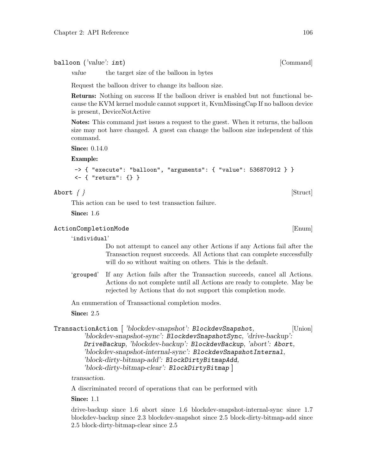balloon ('value': int) [Command]

value the target size of the balloon in bytes

Request the balloon driver to change its balloon size.

Returns: Nothing on success If the balloon driver is enabled but not functional because the KVM kernel module cannot support it, KvmMissingCap If no balloon device is present, DeviceNotActive

Notes: This command just issues a request to the guest. When it returns, the balloon size may not have changed. A guest can change the balloon size independent of this command.

Since: 0.14.0

## Example:

```
-> { "execute": "balloon", "arguments": { "value": 536870912 } }
<- { "return": {} }
```
## Abort  $\{\}$  [Struct]

This action can be used to test transaction failure.

Since: 1.6

#### ActionCompletionMode [Enum]

'individual'

Do not attempt to cancel any other Actions if any Actions fail after the Transaction request succeeds. All Actions that can complete successfully will do so without waiting on others. This is the default.

'grouped' If any Action fails after the Transaction succeeds, cancel all Actions. Actions do not complete until all Actions are ready to complete. May be rejected by Actions that do not support this completion mode.

An enumeration of Transactional completion modes.

Since: 2.5

TransactionAction [ 'blockdev-snapshot': BlockdevSnapshot, [Union] 'blockdev-snapshot-sync': BlockdevSnapshotSync, 'drive-backup': DriveBackup, 'blockdev-backup': BlockdevBackup, 'abort': Abort, 'blockdev-snapshot-internal-sync': BlockdevSnapshotInternal, 'block-dirty-bitmap-add': BlockDirtyBitmapAdd, 'block-dirty-bitmap-clear': BlockDirtyBitmap ]

transaction.

A discriminated record of operations that can be performed with

#### Since: 1.1

drive-backup since 1.6 abort since 1.6 blockdev-snapshot-internal-sync since 1.7 blockdev-backup since 2.3 blockdev-snapshot since 2.5 block-dirty-bitmap-add since 2.5 block-dirty-bitmap-clear since 2.5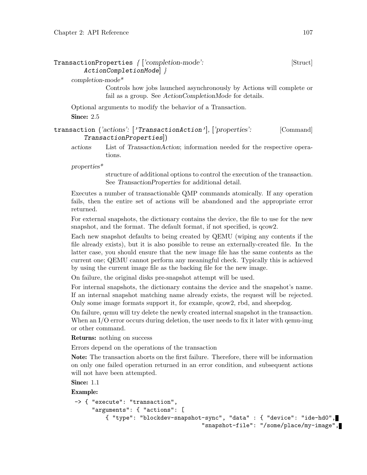| TransactionProperties $\int$ ['completion-mode': | [Struct] |
|--------------------------------------------------|----------|
| ActionCompletionMode                             |          |

#### completion-mode\*

Controls how jobs launched asynchronously by Actions will complete or fail as a group. See ActionCompletionMode for details.

Optional arguments to modify the behavior of a Transaction.

Since: 2.5

```
transaction ('actions': ['TransactionAction'], ['properties': [Command]
        TransactionProperties])
```
actions List of TransactionAction; information needed for the respective operations.

properties\*

structure of additional options to control the execution of the transaction. See TransactionProperties for additional detail.

Executes a number of transactionable QMP commands atomically. If any operation fails, then the entire set of actions will be abandoned and the appropriate error returned.

For external snapshots, the dictionary contains the device, the file to use for the new snapshot, and the format. The default format, if not specified, is  $q_{\text{row}}$ 2.

Each new snapshot defaults to being created by QEMU (wiping any contents if the file already exists), but it is also possible to reuse an externally-created file. In the latter case, you should ensure that the new image file has the same contents as the current one; QEMU cannot perform any meaningful check. Typically this is achieved by using the current image file as the backing file for the new image.

On failure, the original disks pre-snapshot attempt will be used.

For internal snapshots, the dictionary contains the device and the snapshot's name. If an internal snapshot matching name already exists, the request will be rejected. Only some image formats support it, for example, qcow2, rbd, and sheepdog.

On failure, qemu will try delete the newly created internal snapshot in the transaction. When an  $I/O$  error occurs during deletion, the user needs to fix it later with qemu-img or other command.

Returns: nothing on success

Errors depend on the operations of the transaction

Note: The transaction aborts on the first failure. Therefore, there will be information on only one failed operation returned in an error condition, and subsequent actions will not have been attempted.

Since: 1.1

## Example:

```
-> { "execute": "transaction",
    "arguments": { "actions": [
        { "type": "blockdev-snapshot-sync", "data" : { "device": "ide-hd0",
                                     "snapshot-file": "/some/place/my-image",
```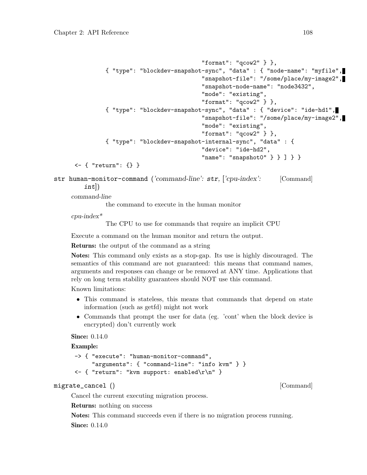```
"format": "q\text{row2" }} },
         { "type": "blockdev-snapshot-sync", "data" : { "node-name": "myfile",
                                      "snapshot-file": "/some/place/my-image2",
                                      "snapshot-node-name": "node3432",
                                      "mode": "existing",
                                      "format": "qcov2" } },
         { "type": "blockdev-snapshot-sync", "data" : { "device": "ide-hd1",
                                      "snapshot-file": "/some/place/my-image2",
                                      "mode": "existing",
                                      "format": "qcov2" } },
         { "type": "blockdev-snapshot-internal-sync", "data" : {
                                      "device": "ide-hd2",
                                      "name": "snapshot0" } } ] } }
<- { "return": {} }
```

```
str human-monitor-command ('command-line': str, ['cpu-index': [Command]
        int()
```
command-line

the command to execute in the human monitor

cpu-index\*

The CPU to use for commands that require an implicit CPU

Execute a command on the human monitor and return the output.

Returns: the output of the command as a string

Notes: This command only exists as a stop-gap. Its use is highly discouraged. The semantics of this command are not guaranteed: this means that command names, arguments and responses can change or be removed at ANY time. Applications that rely on long term stability guarantees should NOT use this command.

Known limitations:

- This command is stateless, this means that commands that depend on state information (such as getfd) might not work
- Commands that prompt the user for data (eg. 'cont' when the block device is encrypted) don't currently work

**Since:** 0.14.0

Example:

```
-> { "execute": "human-monitor-command",
     "arguments": { "command-line": "info kvm" } }
<- { "return": "kvm support: enabled\r\n" }
```
## migrate\_cancel () [Command]

Cancel the current executing migration process.

Returns: nothing on success

Notes: This command succeeds even if there is no migration process running. **Since:** 0.14.0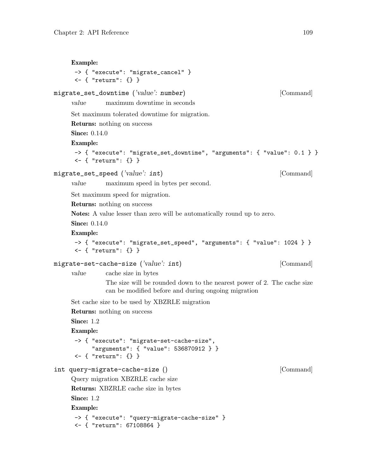```
Example:
     -> { "execute": "migrate_cancel" }
     <- { "return": {} }
migrate_set_downtime ('value': number) [Command]
     value maximum downtime in seconds
     Set maximum tolerated downtime for migration.
     Returns: nothing on success
     Since: 0.14.0
     Example:
     -> { "execute": "migrate_set_downtime", "arguments": { "value": 0.1 } }
     <- { "return": {} }
migrate_set_speed ('value': int) [Command]
     value maximum speed in bytes per second.
     Set maximum speed for migration.
     Returns: nothing on success
     Notes: A value lesser than zero will be automatically round up to zero.
     Since: 0.14.0
     Example:
     -> { "execute": "migrate_set_speed", "arguments": { "value": 1024 } }
     <- { "return": {} }
migrate-set-cache-size ('value': int) [Command]
     value cache size in bytes
              The size will be rounded down to the nearest power of 2. The cache size
              can be modified before and during ongoing migration
     Set cache size to be used by XBZRLE migration
     Returns: nothing on success
     Since: 1.2
     Example:
     -> { "execute": "migrate-set-cache-size",
          "arguments": { "value": 536870912 } }
      <- { "return": {} }
int query-migrate-cache-size () [Command]
     Query migration XBZRLE cache size
     Returns: XBZRLE cache size in bytes
     Since: 1.2
     Example:
     -> { "execute": "query-migrate-cache-size" }
     <- { "return": 67108864 }
```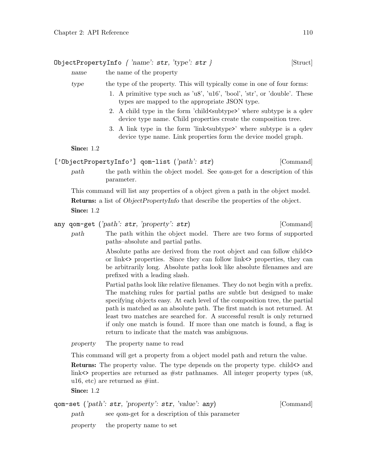# ObjectPropertyInfo  $\{ 'name': str, 'type': str \}$  [Struct] name the name of the property type the type of the property. This will typically come in one of four forms: 1. A primitive type such as 'u8', 'u16', 'bool', 'str', or 'double'. These types are mapped to the appropriate JSON type. 2. A child type in the form 'child $\langle \text{subtype}\rangle$ ' where subtype is a qdev device type name. Child properties create the composition tree. 3. A link type in the form 'link<subtype>' where subtype is a qdev device type name. Link properties form the device model graph. Since: 1.2 ['ObjectPropertyInfo'] qom-list ('path': str) [Command] path the path within the object model. See *qom*-get for a description of this parameter. This command will list any properties of a object given a path in the object model. Returns: a list of ObjectPropertyInfo that describe the properties of the object. Since: 1.2 any qom-get ('path': str, 'property': str) [Command] path The path within the object model. There are two forms of supported paths–absolute and partial paths. Absolute paths are derived from the root object and can follow child<> or link<> properties. Since they can follow link<> properties, they can be arbitrarily long. Absolute paths look like absolute filenames and are prefixed with a leading slash. Partial paths look like relative filenames. They do not begin with a prefix. The matching rules for partial paths are subtle but designed to make specifying objects easy. At each level of the composition tree, the partial path is matched as an absolute path. The first match is not returned. At least two matches are searched for. A successful result is only returned if only one match is found. If more than one match is found, a flag is return to indicate that the match was ambiguous. property The property name to read This command will get a property from a object model path and return the value. Returns: The property value. The type depends on the property type. child<> and link<> properties are returned as  $\#$ str pathnames. All integer property types (u8, u16, etc) are returned as  $\#int.$ Since: 1.2 qom-set ('path': str, 'property': str, 'value': any) [Command]

path see qom-get for a description of this parameter property the property name to set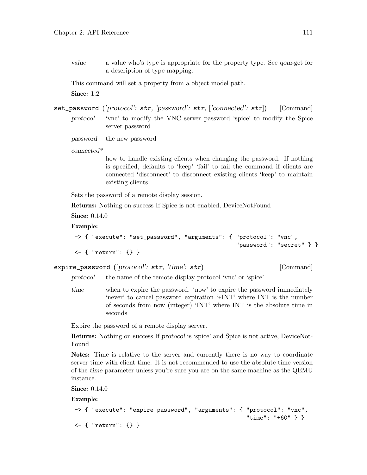value a value who's type is appropriate for the property type. See qom-get for a description of type mapping.

This command will set a property from a object model path.

Since: 1.2

- set\_password ('protocol': str, 'password': str, ['connected': str]) [Command] protocol 'vnc' to modify the VNC server password 'spice' to modify the Spice server password
	- password the new password

connected\*

how to handle existing clients when changing the password. If nothing is specified, defaults to 'keep' 'fail' to fail the command if clients are connected 'disconnect' to disconnect existing clients 'keep' to maintain existing clients

Sets the password of a remote display session.

Returns: Nothing on success If Spice is not enabled, DeviceNotFound

**Since:** 0.14.0

#### Example:

```
-> { "execute": "set_password", "arguments": { "protocol": "vnc",
                                                "password": "secret" } }
<- { "return": {} }
```
expire\_password ('protocol': str, 'time': str) [Command]

protocol the name of the remote display protocol 'vnc' or 'spice'

time when to expire the password. 'now' to expire the password immediately 'never' to cancel password expiration '+INT' where INT is the number of seconds from now (integer) 'INT' where INT is the absolute time in seconds

Expire the password of a remote display server.

Returns: Nothing on success If protocol is 'spice' and Spice is not active, DeviceNot-Found

Notes: Time is relative to the server and currently there is no way to coordinate server time with client time. It is not recommended to use the absolute time version of the time parameter unless you're sure you are on the same machine as the QEMU instance.

Since: 0.14.0

## Example:

```
-> { "execute": "expire_password", "arguments": { "protocol": "vnc",
                                                  "time": "+60" } }
<- { "return": {} }
```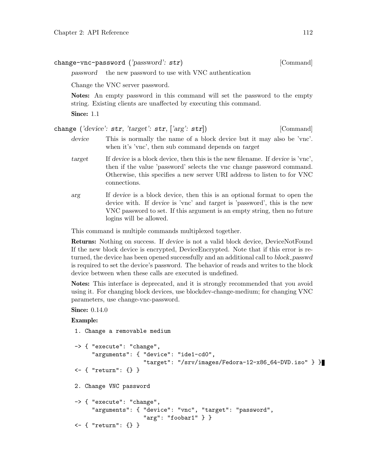```
change-vnc-password ('password': str) [Command]
```
password the new password to use with VNC authentication

Change the VNC server password.

Notes: An empty password in this command will set the password to the empty string. Existing clients are unaffected by executing this command.

Since: 1.1

change ('device': str, 'target': str, ['arg': str]) [Command]

- device This is normally the name of a block device but it may also be 'vnc'. when it's 'vnc', then sub command depends on target
- target If device is a block device, then this is the new filename. If device is 'vnc', then if the value 'password' selects the vnc change password command. Otherwise, this specifies a new server URI address to listen to for VNC connections.
- arg If device is a block device, then this is an optional format to open the device with. If device is 'vnc' and target is 'password', this is the new VNC password to set. If this argument is an empty string, then no future logins will be allowed.

This command is multiple commands multiplexed together.

Returns: Nothing on success. If device is not a valid block device, DeviceNotFound If the new block device is encrypted, DeviceEncrypted. Note that if this error is returned, the device has been opened successfully and an additional call to block passwd is required to set the device's password. The behavior of reads and writes to the block device between when these calls are executed is undefined.

Notes: This interface is deprecated, and it is strongly recommended that you avoid using it. For changing block devices, use blockdev-change-medium; for changing VNC parameters, use change-vnc-password.

Since: 0.14.0

#### Example:

1. Change a removable medium

```
-> { "execute": "change",
     "arguments": { "device": "ide1-cd0",
                    "target": "/srv/images/Fedora-12-x86_64-DVD.iso" } }
<- { "return": {} }
2. Change VNC password
-> { "execute": "change",
     "arguments": { "device": "vnc", "target": "password",
                    "arg": "foobar1" } } }
<- { "return": {} }
```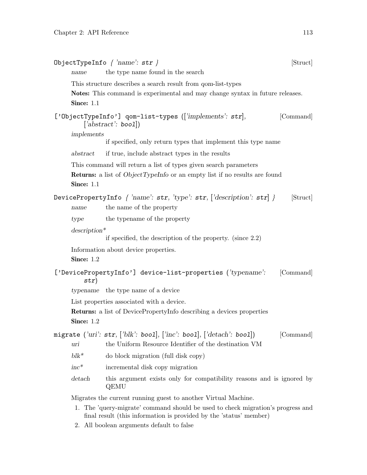|                | ObjectTypeInfo $\{ 'name': str \}$                                                                                                                           | [Struct]  |
|----------------|--------------------------------------------------------------------------------------------------------------------------------------------------------------|-----------|
| name           | the type name found in the search                                                                                                                            |           |
|                | This structure describes a search result from <i>qom</i> -list-types                                                                                         |           |
| Since: 1.1     | <b>Notes:</b> This command is experimental and may change syntax in future releases.                                                                         |           |
|                | ['ObjectTypeInfo'] qom-list-types ( 'implements': str],<br>['abstract': bool]                                                                                | [Command] |
| implements     |                                                                                                                                                              |           |
|                | if specified, only return types that implement this type name                                                                                                |           |
| abstract       | if true, include abstract types in the results                                                                                                               |           |
| Since: 1.1     | This command will return a list of types given search parameters<br><b>Returns:</b> a list of <i>ObjectTypeInfo</i> or an empty list if no results are found |           |
| name           | DevicePropertyInfo { 'name': str, 'type': str, ['description': str] }<br>the name of the property                                                            | [Struct]  |
| type           | the typename of the property                                                                                                                                 |           |
| $description*$ | if specified, the description of the property. (since $2.2$ )                                                                                                |           |
|                | Information about device properties.                                                                                                                         |           |
| Since: 1.2     |                                                                                                                                                              |           |
| str)           | ['DevicePropertyInfo'] device-list-properties ('typename':                                                                                                   | [Command] |
| typename       | the type name of a device                                                                                                                                    |           |
|                | List properties associated with a device.                                                                                                                    |           |
|                | <b>Returns:</b> a list of DevicePropertyInfo describing a devices properties                                                                                 |           |
| Since: 1.2     |                                                                                                                                                              |           |
|                | migrate ('uri': $str$ , ['blk': bool], ['inc': bool], ['detach': bool])                                                                                      | [Command] |
| uri            | the Uniform Resource Identifier of the destination VM                                                                                                        |           |
| $blk^*$        | do block migration (full disk copy)                                                                                                                          |           |
| $inc*$         | incremental disk copy migration                                                                                                                              |           |
| detach         | this argument exists only for compatibility reasons and is ignored by<br>QEMU                                                                                |           |
|                | Migrates the current running guest to another Virtual Machine.                                                                                               |           |
|                | 1. The 'query-migrate' command should be used to check migration's progress and<br>final result (this information is provided by the 'status' member)        |           |
|                | 2. All boolean arguments default to false                                                                                                                    |           |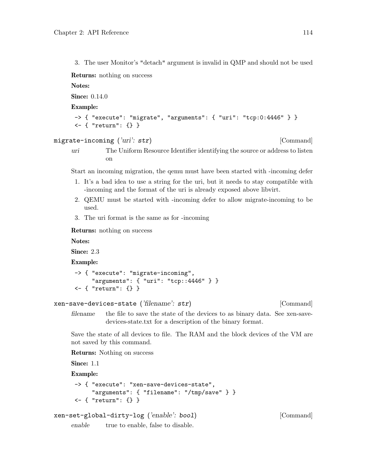3. The user Monitor's "detach" argument is invalid in QMP and should not be used

Returns: nothing on success

Notes:

Since: 0.14.0

Example:

```
-> { "execute": "migrate", "arguments": { "uri": "tcp:0:4446" } }
<- { "return": {} }
```
migrate-incoming ('uri': str) [Command]

uri The Uniform Resource Identifier identifying the source or address to listen on

Start an incoming migration, the qemu must have been started with -incoming defer

- 1. It's a bad idea to use a string for the uri, but it needs to stay compatible with -incoming and the format of the uri is already exposed above libvirt.
- 2. QEMU must be started with -incoming defer to allow migrate-incoming to be used.
- 3. The uri format is the same as for -incoming

Returns: nothing on success

Notes:

Since: 2.3

Example:

```
-> { "execute": "migrate-incoming",
     "arguments": { "uri": "tcp::4446" } }
<- { "return": {} }
```

```
xen-save-devices-state ('filename': str) [Command]
```
filename the file to save the state of the devices to as binary data. See xen-savedevices-state.txt for a description of the binary format.

Save the state of all devices to file. The RAM and the block devices of the VM are not saved by this command.

Returns: Nothing on success

Since: 1.1

Example:

```
-> { "execute": "xen-save-devices-state",
     "arguments": { "filename": "/tmp/save" } }
<- { "return": {} }
```

```
xen-set-global-dirty-log ('enable': bool) [Command]
```
enable true to enable, false to disable.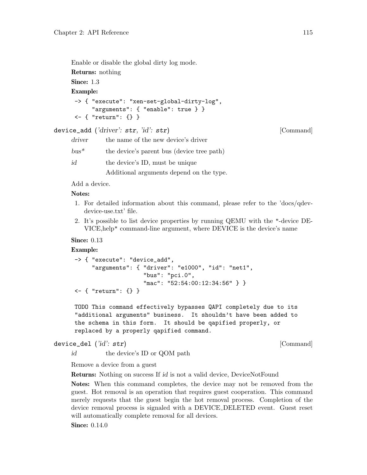Enable or disable the global dirty log mode. Returns: nothing Since: 1.3 Example: -> { "execute": "xen-set-global-dirty-log", "arguments": { "enable": true } } <- { "return": {} } device\_add ('driver': str, 'id': str) [Command] driver the name of the new device's driver bus\* the device's parent bus (device tree path) id the device's ID, must be unique Additional arguments depend on the type.

Add a device.

## Notes:

- 1. For detailed information about this command, please refer to the 'docs/qdevdevice-use.txt' file.
- 2. It's possible to list device properties by running QEMU with the "-device DE-VICE,help" command-line argument, where DEVICE is the device's name

## **Since: 0.13**

#### Example:

```
-> { "execute": "device_add",
     "arguments": { "driver": "e1000", "id": "net1",
                    "bus": "pci.0",
                    "mac": "52:54:00:12:34:56" } }
<- { "return": {} }
```
TODO This command effectively bypasses QAPI completely due to its "additional arguments" business. It shouldn't have been added to the schema in this form. It should be qapified properly, or replaced by a properly qapified command.

## device\_del ('id': str) [Command]

Remove a device from a guest

id the device's ID or QOM path

Returns: Nothing on success If id is not a valid device, DeviceNotFound

Notes: When this command completes, the device may not be removed from the guest. Hot removal is an operation that requires guest cooperation. This command merely requests that the guest begin the hot removal process. Completion of the device removal process is signaled with a DEVICE DELETED event. Guest reset will automatically complete removal for all devices.

**Since:** 0.14.0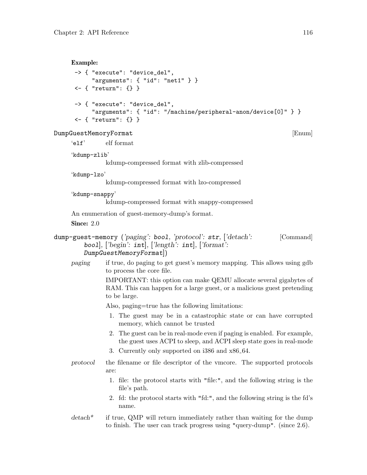```
Example:
 -> { "execute": "device_del",
      "arguments": { "id": "net1" } }
 <- { "return": {} }
 -> { "execute": "device_del",
      "arguments": { "id": "/machine/peripheral-anon/device[0]" } }
 <- { "return": {} }
```
## $\boxed{\text{DumpGuestMemoryFormat}} \tag{Enum}$

'elf' elf format

'kdump-zlib'

kdump-compressed format with zlib-compressed

'kdump-lzo'

kdump-compressed format with lzo-compressed

'kdump-snappy'

kdump-compressed format with snappy-compressed

An enumeration of guest-memory-dump's format.

Since: 2.0

| dump-guest-memory ('paging': bool, 'protocol': str, ['detach': | [Command] |
|----------------------------------------------------------------|-----------|
| bool, ['begin': $int$ ], ['length': $int$ ], ['format':        |           |
| DumpGuestMemoryFormat )                                        |           |

paging if true, do paging to get guest's memory mapping. This allows using gdb to process the core file.

> IMPORTANT: this option can make QEMU allocate several gigabytes of RAM. This can happen for a large guest, or a malicious guest pretending to be large.

Also, paging=true has the following limitations:

- 1. The guest may be in a catastrophic state or can have corrupted memory, which cannot be trusted
- 2. The guest can be in real-mode even if paging is enabled. For example, the guest uses ACPI to sleep, and ACPI sleep state goes in real-mode
- 3. Currently only supported on i386 and x86 64.
- protocol the filename or file descriptor of the vmcore. The supported protocols are:
	- 1. file: the protocol starts with "file:", and the following string is the file's path.
	- 2. fd: the protocol starts with "fd:", and the following string is the fd's name.
- $\text{detach*}$  if true, QMP will return immediately rather than waiting for the dump to finish. The user can track progress using "query-dump". (since 2.6).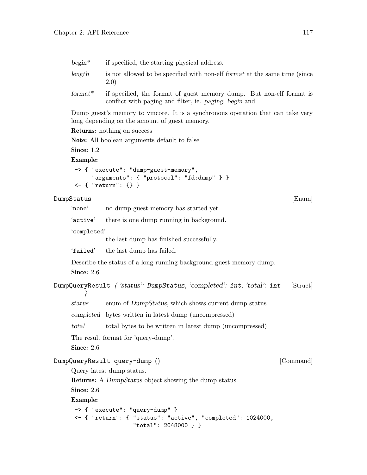| $begin*}$         | if specified, the starting physical address.                                                                                     |  |
|-------------------|----------------------------------------------------------------------------------------------------------------------------------|--|
| length            | is not allowed to be specified with non-elf format at the same time (since<br>(2.0)                                              |  |
| $format*$         | if specified, the format of guest memory dump. But non-elf format is<br>conflict with paging and filter, ie. paging, begin and   |  |
|                   | Dump guest's memory to vmcore. It is a synchronous operation that can take very<br>long depending on the amount of guest memory. |  |
|                   | <b>Returns:</b> nothing on success                                                                                               |  |
|                   | <b>Note:</b> All boolean arguments default to false                                                                              |  |
| <b>Since: 1.2</b> |                                                                                                                                  |  |
| <b>Example:</b>   |                                                                                                                                  |  |
|                   | -> { "execute": "dump-guest-memory",<br>"arguments": { "protocol": "fd:dump" } }<br>$\leftarrow \{$ "return": $\{\}$ }           |  |
| DumpStatus        | [Enum]                                                                                                                           |  |
| 'none'            | no dump-guest-memory has started yet.                                                                                            |  |
| 'active'          | there is one dump running in background.                                                                                         |  |
| 'completed'       |                                                                                                                                  |  |
|                   | the last dump has finished successfully.                                                                                         |  |
| 'failed'          | the last dump has failed.                                                                                                        |  |
|                   | Describe the status of a long-running background guest memory dump.                                                              |  |
| <b>Since: 2.6</b> |                                                                                                                                  |  |
|                   | DumpQueryResult { 'status': DumpStatus, 'completed': int, 'total': int<br>[Struct]                                               |  |
| status            | enum of DumpStatus, which shows current dump status                                                                              |  |
|                   | completed bytes written in latest dump (uncompressed)                                                                            |  |
| total             | total bytes to be written in latest dump (uncompressed)                                                                          |  |
|                   | The result format for 'query-dump'.                                                                                              |  |
| Since: 2.6        |                                                                                                                                  |  |
|                   | DumpQueryResult query-dump ()<br>[Command]                                                                                       |  |
|                   | Query latest dump status.                                                                                                        |  |
|                   | <b>Returns:</b> A <i>DumpStatus</i> object showing the dump status.                                                              |  |
| <b>Since: 2.6</b> |                                                                                                                                  |  |
| <b>Example:</b>   |                                                                                                                                  |  |
|                   | -> { "execute": "query-dump" }                                                                                                   |  |
|                   | <- { "return": { "status": "active", "completed": 1024000,<br>"total": 2048000 } }                                               |  |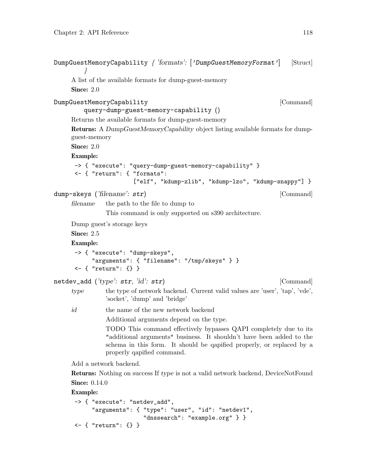```
DumpGuestMemoryCapability { 'formats': ['DumpGuestMemoryFormat'] [Struct]
         }
     A list of the available formats for dump-guest-memory
     Since: 2.0
DumpGuestMemoryCapability [Command]
        query-dump-guest-memory-capability ()
     Returns the available formats for dump-guest-memory
     Returns: A DumpGuestMemoryCapability object listing available formats for dump-
     guest-memory
     Since: 2.0
     Example:
      -> { "execute": "query-dump-guest-memory-capability" }
      <- { "return": { "formats":
                       ["elf", "kdump-zlib", "kdump-lzo", "kdump-snappy"] }
dump-skeys ('filename': str) [Command]
     filename the path to the file to dump to
               This command is only supported on s390 architecture.
     Dump guest's storage keys
     Since: 2.5
     Example:
      -> { "execute": "dump-skeys",
           "arguments": { "filename": "/tmp/skeys" } }
      <- { "return": {} }
netdev_add ('type': str, 'id': str) [Command]
     type the type of network backend. Current valid values are 'user', 'tap', 'vde',
               'socket', 'dump' and 'bridge'
     id the name of the new network backend
               Additional arguments depend on the type.
               TODO This command effectively bypasses QAPI completely due to its
               "additional arguments" business. It shouldn't have been added to the
               schema in this form. It should be qapified properly, or replaced by a
               properly qapified command.
     Add a network backend.
     Returns: Nothing on success If type is not a valid network backend, DeviceNotFound
     Since: 0.14.0
     Example:
      -> { "execute": "netdev_add",
           "arguments": { "type": "user", "id": "netdev1",
                          "dnssearch": "example.org" } }
      <- { "return": {} }
```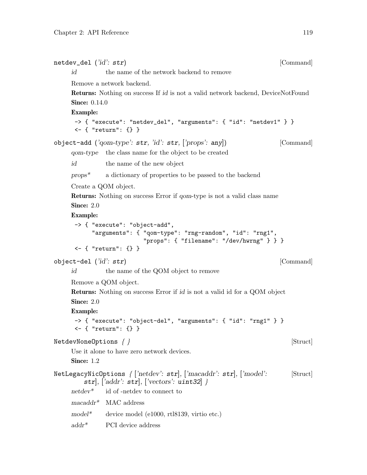```
netdev_del ('id': str) [Command]
     id the name of the network backend to remove
     Remove a network backend.
     Returns: Nothing on success If id is not a valid network backend, DeviceNotFound
     Since: 0.14.0
     Example:
      -> { "execute": "netdev_del", "arguments": { "id": "netdev1" } }
      <- { "return": {} }
object-add ('qom-type': str, 'id': str, ['props': any]) [Command]
     qom-type the class name for the object to be created
     id the name of the new object
     props* a dictionary of properties to be passed to the backend
     Create a QOM object.
     Returns: Nothing on success Error if gom-type is not a valid class name
     Since: 2.0
     Example:
      -> { "execute": "object-add",
           "arguments": { "qom-type": "rng-random", "id": "rng1",
                           "props": { "filename": "/dev/hwrng" } } }
      <- { "return": {} }
object-del ('id': str) [Command]
     id the name of the QOM object to remove
     Remove a QOM object.
     Returns: Nothing on success Error if id is not a valid id for a QOM object
     Since: 2.0
     Example:
      -> { "execute": "object-del", "arguments": { "id": "rng1" } }
      <- { "return": {} }
NetdevNoneOptions \{ \}Use it alone to have zero network devices.
     Since: 1.2
NetLegacyNicOptions \int [ \cdot \text{netdev} : \text{str}], [\cdot \text{macaddr} : \text{str}], [\cdot \text{model} : [Struct]
         str, \lceil \cdot \frac{\cdot}{\cdot} \cdot \cdot \cdot \cdot \rceil, \lceil \cdot \cdot \cdot \cdot \cdot \cdot \cdot \cdot \cdot \cdot \rceilnetdev* id of -netdev to connect to
     macaddr* MAC address
     model* device model (e1000, rtl8139, virtio etc.)
     addr* PCI device address
```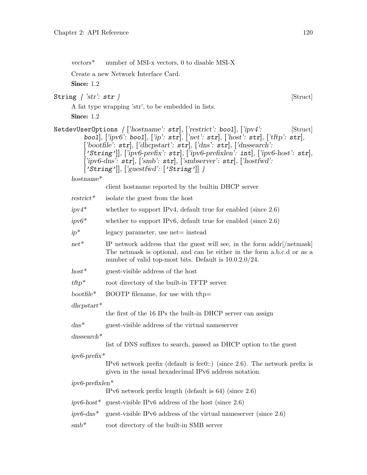| $vectors^*$                          | number of MSI-x vectors, 0 to disable MSI-X                                                                                                                                                                                                                                                                                                                                                                                                                                                                              |
|--------------------------------------|--------------------------------------------------------------------------------------------------------------------------------------------------------------------------------------------------------------------------------------------------------------------------------------------------------------------------------------------------------------------------------------------------------------------------------------------------------------------------------------------------------------------------|
|                                      | Create a new Network Interface Card.                                                                                                                                                                                                                                                                                                                                                                                                                                                                                     |
| Since: 1.2                           |                                                                                                                                                                                                                                                                                                                                                                                                                                                                                                                          |
| String $\{ 'str': str \}$            | [Struct]                                                                                                                                                                                                                                                                                                                                                                                                                                                                                                                 |
|                                      | A fat type wrapping 'str', to be embedded in lists.                                                                                                                                                                                                                                                                                                                                                                                                                                                                      |
| Since: $1.2$                         |                                                                                                                                                                                                                                                                                                                                                                                                                                                                                                                          |
|                                      | NetdevUserOptions $\{ \, [\, 'hostname': \, str], \, [\, 'restrict': \, bool], \, [\, 'ipv4': \,$<br>[Struct]<br>bool], ['ipv6': bool], ['ip': str], ['net': str], ['host': str], ['tftp': str],<br>['bootfile': $\texttt{str}$ ], ['dhcpstart': $\texttt{str}$ ], ['dns': $\texttt{str}$ ], ['dnssearch':<br>$['String']], ['ipv6-prefix': str], ['ipv6-prefixlen': int], ['ipv6-host': str],$<br>['ipv6-dns': $str$ ], ['smb': $str$ ], ['smbserver': $str$ ], ['hostfwd':<br>$['String']], ['guestfwd': ['String']']$ |
| $hostname*$                          | client hostname reported by the builtin DHCP server                                                                                                                                                                                                                                                                                                                                                                                                                                                                      |
| $\text{restrict*}$                   | isolate the guest from the host                                                                                                                                                                                                                                                                                                                                                                                                                                                                                          |
| $ipv4*$                              | whether to support IPv4, default true for enabled (since $2.6$ )                                                                                                                                                                                                                                                                                                                                                                                                                                                         |
| $ipv6*$                              | whether to support IPv6, default true for enabled (since $2.6$ )                                                                                                                                                                                                                                                                                                                                                                                                                                                         |
| $ip^*$                               |                                                                                                                                                                                                                                                                                                                                                                                                                                                                                                                          |
|                                      | legacy parameter, use net= instead                                                                                                                                                                                                                                                                                                                                                                                                                                                                                       |
| $net*$                               | IP network address that the guest will see, in the form addr [/netmask]<br>The netmask is optional, and can be either in the form a.b.c.d or as a<br>number of valid top-most bits. Default is $10.0.2.0/24$ .                                                                                                                                                                                                                                                                                                           |
| $host*$                              | guest-visible address of the host                                                                                                                                                                                                                                                                                                                                                                                                                                                                                        |
| $tttp*$                              | root directory of the built-in TFTP server                                                                                                                                                                                                                                                                                                                                                                                                                                                                               |
| $bootfile*$                          | BOOTP filename, for use with tftp=                                                                                                                                                                                                                                                                                                                                                                                                                                                                                       |
| $\text{d} \text{h} \text{c}$ pstart* |                                                                                                                                                                                                                                                                                                                                                                                                                                                                                                                          |
|                                      | the first of the 16 IPs the built-in DHCP server can assign                                                                                                                                                                                                                                                                                                                                                                                                                                                              |
| $\text{dns}^*$                       | guest-visible address of the virtual names erver                                                                                                                                                                                                                                                                                                                                                                                                                                                                         |
| $d$ nssearch*                        |                                                                                                                                                                                                                                                                                                                                                                                                                                                                                                                          |
|                                      | list of DNS suffixes to search, passed as DHCP option to the guest                                                                                                                                                                                                                                                                                                                                                                                                                                                       |
| $ipv6-prefix*$                       | IPv6 network prefix (default is fec0::) (since $2.6$ ). The network prefix is<br>given in the usual hexadecimal IPv6 address notation.                                                                                                                                                                                                                                                                                                                                                                                   |
| $ipv6-prefixlen*$                    |                                                                                                                                                                                                                                                                                                                                                                                                                                                                                                                          |
|                                      | IPv6 network prefix length (default is $64$ ) (since $2.6$ )                                                                                                                                                                                                                                                                                                                                                                                                                                                             |
| $ipv6\text{-}host*$                  | guest-visible IPv6 address of the host (since $2.6$ )                                                                                                                                                                                                                                                                                                                                                                                                                                                                    |
| $ipv6-dns*$                          | guest-visible IPv6 address of the virtual names erver (since $2.6$ )                                                                                                                                                                                                                                                                                                                                                                                                                                                     |
| $smb*$                               | root directory of the built-in SMB server                                                                                                                                                                                                                                                                                                                                                                                                                                                                                |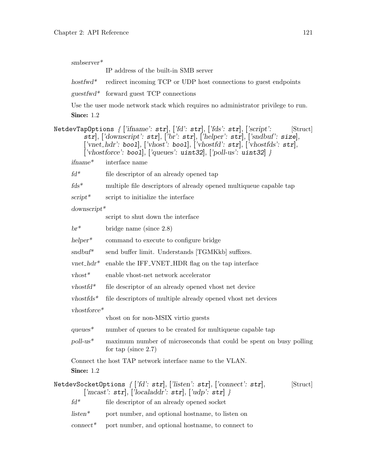$\mbox{smbserver}^*$ 

|                    | IP address of the built-in SMB server                                                                                                                                                                                                                                                                                            |
|--------------------|----------------------------------------------------------------------------------------------------------------------------------------------------------------------------------------------------------------------------------------------------------------------------------------------------------------------------------|
| $hostwd*$          | redirect incoming TCP or UDP host connections to guest endpoints                                                                                                                                                                                                                                                                 |
|                    | $guestfwd^*$ forward guest TCP connections                                                                                                                                                                                                                                                                                       |
| Since: $1.2$       | Use the user mode network stack which requires no administrator privilege to run.                                                                                                                                                                                                                                                |
|                    | NetdevTapOptions $\{$ ['ifname': str], ['fd': str], ['fds': str], ['script':<br>[Struct]<br>$str],$ ['downscript': $str],$ ['br': $str],$ ['helper': $str],$ ['sndbuf': $size],$<br>['vnet_hdr': boo1], ['vhost': boo1], ['vhostfd': str], ['vhostfds': str],<br>['vhostforce': bool], ['queues': uint32], ['poll-us': uint32] } |
| $if name*$         | interface name                                                                                                                                                                                                                                                                                                                   |
| $fd^*$             | file descriptor of an already opened tap                                                                                                                                                                                                                                                                                         |
| $fds^*$            | multiple file descriptors of already opened multiqueue capable tap                                                                                                                                                                                                                                                               |
| $script*$          | script to initialize the interface                                                                                                                                                                                                                                                                                               |
| $downscript*$      |                                                                                                                                                                                                                                                                                                                                  |
|                    | script to shut down the interface                                                                                                                                                                                                                                                                                                |
| $br^*$             | bridge name (since $2.8$ )                                                                                                                                                                                                                                                                                                       |
| $helper^*$         | command to execute to configure bridge                                                                                                                                                                                                                                                                                           |
| $\text{sndbuf*}$   | send buffer limit. Understands [TGMKkb] suffixes.                                                                                                                                                                                                                                                                                |
| $vnet\_hdr*$       | enable the IFF_VNET_HDR flag on the tap interface                                                                                                                                                                                                                                                                                |
| $v$ host $*$       | enable vhost-net network accelerator                                                                                                                                                                                                                                                                                             |
| $v$ hostfd $*$     | file descriptor of an already opened vhost net device                                                                                                                                                                                                                                                                            |
| $v$ hostfds*       | file descriptors of multiple already opened vhost net devices                                                                                                                                                                                                                                                                    |
| vhostforce*        |                                                                                                                                                                                                                                                                                                                                  |
|                    | vhost on for non-MSIX virtio guests                                                                                                                                                                                                                                                                                              |
| $queues*$          | number of queues to be created for multiqueue capable tap                                                                                                                                                                                                                                                                        |
| $\text{pol-lus}^*$ | maximum number of microseconds that could be spent on busy polling<br>for tap (since $2.7$ )                                                                                                                                                                                                                                     |
|                    | Connect the host TAP network interface name to the VLAN.                                                                                                                                                                                                                                                                         |
| Since: 1.2         |                                                                                                                                                                                                                                                                                                                                  |
|                    | NetdevSocketOptions $\{$ ['fd': str], ['listen': str], ['connect': str],<br>[Struct]<br>['mcast': $str$ ], ['localaddr': $str$ ], ['udp': $str$ ] }                                                                                                                                                                              |
| $fd^*$             | file descriptor of an already opened socket                                                                                                                                                                                                                                                                                      |
| $\text{listen}^*$  | port number, and optional hostname, to listen on                                                                                                                                                                                                                                                                                 |
| $connect*$         | port number, and optional hostname, to connect to                                                                                                                                                                                                                                                                                |
|                    |                                                                                                                                                                                                                                                                                                                                  |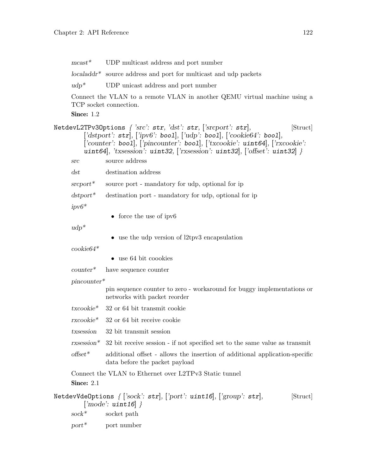$\it{mcast}^*$   $\quad$  UDP multicast address and port number

|                        | localaddr <sup>*</sup> source address and port for multicast and udp packets                                                                                                                                                                                                                                                                                 |
|------------------------|--------------------------------------------------------------------------------------------------------------------------------------------------------------------------------------------------------------------------------------------------------------------------------------------------------------------------------------------------------------|
| $udp^*$                | UDP unicast address and port number                                                                                                                                                                                                                                                                                                                          |
|                        | Connect the VLAN to a remote VLAN in another QEMU virtual machine using a<br>TCP socket connection.                                                                                                                                                                                                                                                          |
| Since: 1.2             |                                                                                                                                                                                                                                                                                                                                                              |
|                        | NetdevL2TPv30ptions $\{ 'src' : \textit{str}, 'dst': \textit{str}, \, [ 'sreport': \textit{str}],$<br>[Struct]<br>['dstport': $\text{str}$ ], ['ipv6': boo1], ['udp': boo1], ['cookie64': boo1],<br>['counter': boo1], ['pincounter': boo1], ['txcookie': uint64], ['rxcookie':<br>uint64], 'txsession': uint32, ['rxsession': uint32], ['offset': uint32] } |
| src                    | source address                                                                                                                                                                                                                                                                                                                                               |
| $\, \mathrm{dst}$      | destination address                                                                                                                                                                                                                                                                                                                                          |
| $s$ rc $port^*$        | source port - mandatory for udp, optional for ip                                                                                                                                                                                                                                                                                                             |
| $dstport*$             | destination port - mandatory for udp, optional for ip                                                                                                                                                                                                                                                                                                        |
| $ipv6*$                |                                                                                                                                                                                                                                                                                                                                                              |
|                        | $\bullet$ force the use of ipv6                                                                                                                                                                                                                                                                                                                              |
| $udp*$                 |                                                                                                                                                                                                                                                                                                                                                              |
|                        | $\bullet$ use the udp version of l2tpv3 encapsulation                                                                                                                                                                                                                                                                                                        |
| cookie64*              |                                                                                                                                                                                                                                                                                                                                                              |
|                        | $\bullet$ use 64 bit coookies                                                                                                                                                                                                                                                                                                                                |
| $counter^*$            | have sequence counter                                                                                                                                                                                                                                                                                                                                        |
| $pincounter*$          | pin sequence counter to zero - workaround for buggy implementations or<br>networks with packet reorder                                                                                                                                                                                                                                                       |
|                        | txcookie* 32 or 64 bit transmit cookie                                                                                                                                                                                                                                                                                                                       |
| rxcookie*              | 32 or 64 bit receive cookie                                                                                                                                                                                                                                                                                                                                  |
| txsession              | 32 bit transmit session                                                                                                                                                                                                                                                                                                                                      |
|                        | $rxsession*$ 32 bit receive session - if not specified set to the same value as transmit                                                                                                                                                                                                                                                                     |
| $offset*$              | additional offset - allows the insertion of additional application-specific<br>data before the packet payload                                                                                                                                                                                                                                                |
| Since: 2.1             | Connect the VLAN to Ethernet over L2TPv3 Static tunnel                                                                                                                                                                                                                                                                                                       |
|                        | NetdevVdeOptions $\{$ [' $sock$ ': $\texttt{str}]$ , [' $port$ ': $\texttt{uint16}]$ , [' $group$ ': $\texttt{str}]$ ,<br>[Struct]<br>$\lceil \text{'mode'}: \text{uint16} \rceil$                                                                                                                                                                           |
| $\operatorname{sock*}$ | socket path                                                                                                                                                                                                                                                                                                                                                  |
| $port^*$               | port number                                                                                                                                                                                                                                                                                                                                                  |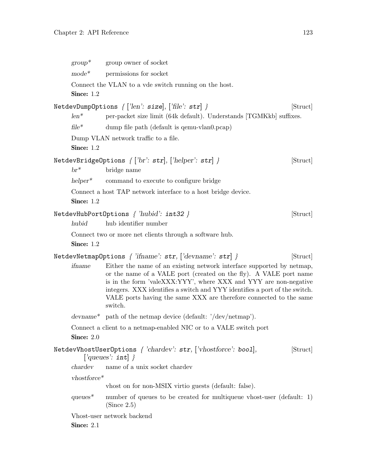|                   | $group^*$ group owner of socket                                                                                                                                                                                                                                                                                                                                               |
|-------------------|-------------------------------------------------------------------------------------------------------------------------------------------------------------------------------------------------------------------------------------------------------------------------------------------------------------------------------------------------------------------------------|
|                   | $mode^*$ permissions for socket                                                                                                                                                                                                                                                                                                                                               |
| Since: 1.2        | Connect the VLAN to a vde switch running on the host.                                                                                                                                                                                                                                                                                                                         |
|                   | NetdevDumpOptions $\{ \text{'}len': size \}, \text{'}file': str \}$<br>[Struct]                                                                                                                                                                                                                                                                                               |
| $len*$            | per-packet size limit (64k default). Understands [TGMKkb] suffixes.                                                                                                                                                                                                                                                                                                           |
| $file*$           | dump file path (default is qemu-vlan0.pcap)                                                                                                                                                                                                                                                                                                                                   |
| Since: 1.2        | Dump VLAN network traffic to a file.                                                                                                                                                                                                                                                                                                                                          |
| $br^*$            | NetdevBridgeOptions $\{['br': str], ['helper': str] \}$<br>[Struct]<br>bridge name                                                                                                                                                                                                                                                                                            |
| $helper^*$        | command to execute to configure bridge                                                                                                                                                                                                                                                                                                                                        |
| Since: 1.2        | Connect a host TAP network interface to a host bridge device.                                                                                                                                                                                                                                                                                                                 |
|                   | NetdevHubPortOptions $\{ 'hubid': int32 \}$<br>[Struct]                                                                                                                                                                                                                                                                                                                       |
| hubid             | hub identifier number                                                                                                                                                                                                                                                                                                                                                         |
| Since: 1.2        | Connect two or more net clients through a software hub.                                                                                                                                                                                                                                                                                                                       |
|                   | NetdevNetmapOptions { $'ifname': str, ['devname': str]$ }<br>[Struct]                                                                                                                                                                                                                                                                                                         |
| ifname            | Either the name of an existing network interface supported by netmap,<br>or the name of a VALE port (created on the fly). A VALE port name<br>is in the form 'valeXXX:YYY', where XXX and YYY are non-negative<br>integers. XXX identifies a switch and YYY identifies a port of the switch.<br>VALE ports having the same XXX are therefore connected to the same<br>switch. |
|                   | devname* path of the netmap device (default: $\dot{\gamma}$ /dev/netmap').                                                                                                                                                                                                                                                                                                    |
| <b>Since: 2.0</b> | Connect a client to a netmap-enabled NIC or to a VALE switch port                                                                                                                                                                                                                                                                                                             |
|                   | NetdevVhostUserOptions $\{ 'character' : str, ['vhostforce': bool],$<br>[Struct]<br>$\lceil \text{'queues': int} \rceil$ }                                                                                                                                                                                                                                                    |
| chardev           | name of a unix socket chardev                                                                                                                                                                                                                                                                                                                                                 |
| $vhostforce*$     |                                                                                                                                                                                                                                                                                                                                                                               |
| $queues*$         | vhost on for non-MSIX virtio guests (default: false).<br>number of queues to be created for multiqueue vhost-user (default: $1$ )<br>(Since 2.5)                                                                                                                                                                                                                              |
|                   | Vhost-user network backend                                                                                                                                                                                                                                                                                                                                                    |
| Since: 2.1        |                                                                                                                                                                                                                                                                                                                                                                               |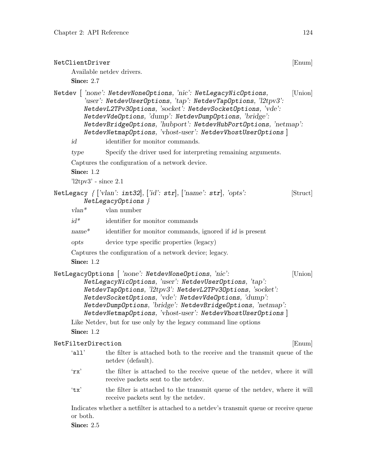| NetClientDriver    |                                                                                                                                                                                                                                                                                                                                                                                                                                         | [Enum]   |
|--------------------|-----------------------------------------------------------------------------------------------------------------------------------------------------------------------------------------------------------------------------------------------------------------------------------------------------------------------------------------------------------------------------------------------------------------------------------------|----------|
|                    | Available netdev drivers.                                                                                                                                                                                                                                                                                                                                                                                                               |          |
| Since: 2.7         |                                                                                                                                                                                                                                                                                                                                                                                                                                         |          |
|                    | Netdev   'none': NetdevNoneOptions, 'nic': NetLegacyNicOptions,<br>'user': NetdevUserOptions, 'tap': NetdevTapOptions, ' $ 2tpv3\rangle$ ':<br>NetdevL2TPv30ptions, 'socket': NetdevSocket0ptions, 'vde':<br>NetdevVdeOptions, 'dump': NetdevDumpOptions, 'bridge':<br>NetdevBridgeOptions, 'hubport': NetdevHubPortOptions, 'netmap':<br>NetdevNetmapOptions, 'vhost-user': NetdevVhostUserOptions                                     | [Union]  |
| id                 | identifier for monitor commands.                                                                                                                                                                                                                                                                                                                                                                                                        |          |
| type               | Specify the driver used for interpreting remaining arguments.                                                                                                                                                                                                                                                                                                                                                                           |          |
|                    | Captures the configuration of a network device.                                                                                                                                                                                                                                                                                                                                                                                         |          |
| Since: 1.2         |                                                                                                                                                                                                                                                                                                                                                                                                                                         |          |
|                    | $'$ l2tpv3' - since 2.1                                                                                                                                                                                                                                                                                                                                                                                                                 |          |
|                    | NetLegacy $\{['vlan': int32], ['id': str], ['name': str], 'opts':$<br>$NetLegacyOptions$ }                                                                                                                                                                                                                                                                                                                                              | [Struct] |
| $vlan^*$           | vlan number                                                                                                                                                                                                                                                                                                                                                                                                                             |          |
| $id^*$             | identifier for monitor commands                                                                                                                                                                                                                                                                                                                                                                                                         |          |
| $name^*$           | identifier for monitor commands, ignored if id is present                                                                                                                                                                                                                                                                                                                                                                               |          |
| opts               | device type specific properties (legacy)                                                                                                                                                                                                                                                                                                                                                                                                |          |
|                    | Captures the configuration of a network device; legacy.                                                                                                                                                                                                                                                                                                                                                                                 |          |
| Since: 1.2         |                                                                                                                                                                                                                                                                                                                                                                                                                                         |          |
| <b>Since: 1.2</b>  | NetLegacyOptions   'none': NetdevNoneOptions, 'nic':<br>NetLegacyNicOptions, 'user': NetdevUserOptions, 'tap':<br>NetdevTapOptions, 'l2tpv3': NetdevL2TPv3Options, 'socket':<br>NetdevSocketOptions, 'vde': NetdevVdeOptions, 'dump':<br>NetdevDumpOptions, 'bridge': NetdevBridgeOptions, 'netmap':<br>NetdevNetmapOptions, 'vhost-user': NetdevVhostUserOptions  <br>Like Netdev, but for use only by the legacy command line options | [Union]  |
| NetFilterDirection |                                                                                                                                                                                                                                                                                                                                                                                                                                         | [Enum]   |
| 'all'              | the filter is attached both to the receive and the transmit queue of the<br>netdev (default).                                                                                                                                                                                                                                                                                                                                           |          |
| $\cdot$ rx'        | the filter is attached to the receive queue of the netdev, where it will<br>receive packets sent to the netdev.                                                                                                                                                                                                                                                                                                                         |          |

'tx' the filter is attached to the transmit queue of the netdev, where it will receive packets sent by the netdev.

Indicates whether a netfilter is attached to a netdev's transmit queue or receive queue or both.

**Since: 2.5**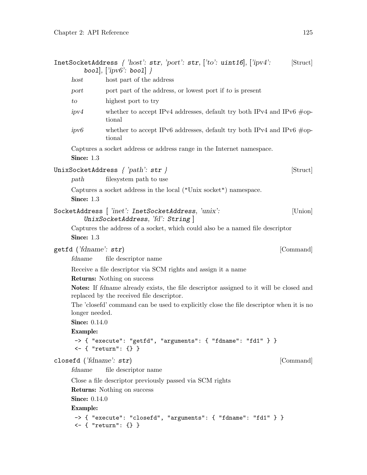$IntSocketAddress \nvert 'host': str, 'port': str, ['to': uint16], ['ipv4': \nvert [Struct]$ bool],  $\langle i p v 6 \rangle$ : bool]  $\langle i |$ host host part of the address

| port | port part of the address, or lowest port if to is present |
|------|-----------------------------------------------------------|
| to   | highest port to try                                       |

- $ipv4$  whether to accept IPv4 addresses, default try both IPv4 and IPv6  $\#$ optional
- $ipv6$  whether to accept IPv6 addresses, default try both IPv4 and IPv6  $\#$ optional

Captures a socket address or address range in the Internet namespace.

```
Since: 1.3
```
## UnixSocketAddress  $\{ 'path': str \}$  [Struct]

path filesystem path to use

Captures a socket address in the local ("Unix socket") namespace. Since: 1.3

```
SocketAddress [ 'inet': InetSocketAddress, 'unix': [Union]
       UnixSocketAddress, 'fd': String ]
```
Captures the address of a socket, which could also be a named file descriptor Since: 1.3

```
getfd ('fdname': str) [Command]
```
fdname file descriptor name

Receive a file descriptor via SCM rights and assign it a name

Returns: Nothing on success

Notes: If fdname already exists, the file descriptor assigned to it will be closed and replaced by the received file descriptor.

The 'closefd' command can be used to explicitly close the file descriptor when it is no longer needed.

**Since: 0.14.0** 

#### Example:

```
\rightarrow { "execute": "getfd", "arguments": { "fdname": "fd1" } }
<- { "return": {} }
```
## $\text{closed }('fdname': \text{str})$  [Command]

fdname file descriptor name

Close a file descriptor previously passed via SCM rights

Returns: Nothing on success

**Since: 0.14.0** 

## Example:

```
-> { "execute": "closefd", "arguments": { "fdname": "fd1" } }
<- { "return": {} }
```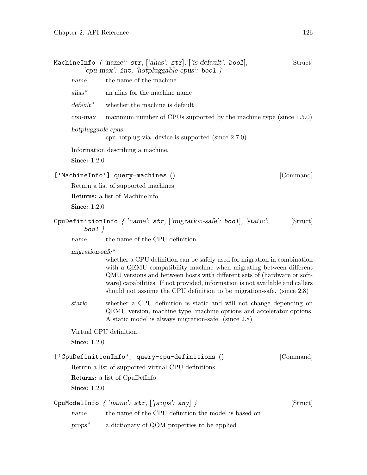|                     | MachineInfo $\{ \text{ 'name'}: \texttt{str}, [\text{'alias'}: \texttt{str}], [\text{'is-default'}: \texttt{bool}],$<br>'cpu-max': $int$ , 'hotpluggable-cpus': bool }                                                                                                                                                                                                                | [Struct]  |
|---------------------|---------------------------------------------------------------------------------------------------------------------------------------------------------------------------------------------------------------------------------------------------------------------------------------------------------------------------------------------------------------------------------------|-----------|
| name                | the name of the machine                                                                                                                                                                                                                                                                                                                                                               |           |
| $alias*$            | an alias for the machine name                                                                                                                                                                                                                                                                                                                                                         |           |
| $default*$          | whether the machine is default                                                                                                                                                                                                                                                                                                                                                        |           |
| $cpu-max$           | maximum number of CPUs supported by the machine type (since $1.5.0$ )                                                                                                                                                                                                                                                                                                                 |           |
| hotpluggable-cpus   | cpu hotplug via -device is supported (since $2.7.0$ )                                                                                                                                                                                                                                                                                                                                 |           |
|                     | Information describing a machine.                                                                                                                                                                                                                                                                                                                                                     |           |
| <b>Since:</b> 1.2.0 |                                                                                                                                                                                                                                                                                                                                                                                       |           |
|                     | ['MachineInfo'] query-machines ()                                                                                                                                                                                                                                                                                                                                                     | [Command] |
|                     | Return a list of supported machines                                                                                                                                                                                                                                                                                                                                                   |           |
|                     | <b>Returns:</b> a list of Machinelnfo                                                                                                                                                                                                                                                                                                                                                 |           |
| <b>Since:</b> 1.2.0 |                                                                                                                                                                                                                                                                                                                                                                                       |           |
| $bool \n}$          | $\texttt{Cpublic}\$                                                                                                                                                                                                                                                                                                                                                                   | [Struct]  |
| name                | the name of the CPU definition                                                                                                                                                                                                                                                                                                                                                        |           |
| $migration-safe*$   | whether a CPU definition can be safely used for migration in combination<br>with a QEMU compatibility machine when migrating between different<br>QMU versions and between hosts with different sets of (hardware or soft-<br>ware) capabilities. If not provided, information is not available and callers<br>should not assume the CPU definition to be migration-safe. (since 2.8) |           |
| static              | whether a CPU definition is static and will not change depending on<br>QEMU version, machine type, machine options and accelerator options.<br>A static model is always migration-safe. (since 2.8)                                                                                                                                                                                   |           |
|                     | Virtual CPU definition.                                                                                                                                                                                                                                                                                                                                                               |           |
| <b>Since: 1.2.0</b> |                                                                                                                                                                                                                                                                                                                                                                                       |           |
|                     | ['CpuDefinitionInfo'] query-cpu-definitions ()                                                                                                                                                                                                                                                                                                                                        | [Command] |
|                     | Return a list of supported virtual CPU definitions                                                                                                                                                                                                                                                                                                                                    |           |
|                     | <b>Returns:</b> a list of CpuDefInfo                                                                                                                                                                                                                                                                                                                                                  |           |
| <b>Since: 1.2.0</b> |                                                                                                                                                                                                                                                                                                                                                                                       |           |
|                     | CpuModelInfo $\{ 'name' : str, ['props': any] \ \}$                                                                                                                                                                                                                                                                                                                                   | [Struct]  |
| name                | the name of the CPU definition the model is based on                                                                                                                                                                                                                                                                                                                                  |           |
| $\text{props}^*$    | a dictionary of QOM properties to be applied                                                                                                                                                                                                                                                                                                                                          |           |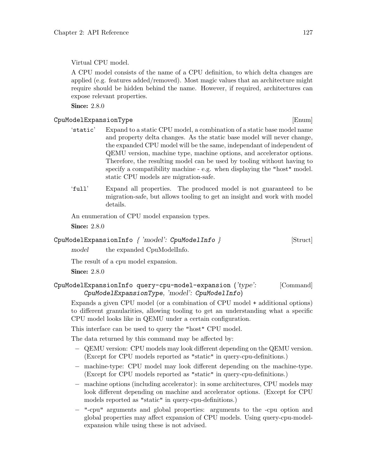Virtual CPU model.

A CPU model consists of the name of a CPU definition, to which delta changes are applied (e.g. features added/removed). Most magic values that an architecture might require should be hidden behind the name. However, if required, architectures can expose relevant properties.

**Since: 2.8.0** 

## $\texttt{CpuModelExpansionType} \tag{Enum}$

- 'static' Expand to a static CPU model, a combination of a static base model name and property delta changes. As the static base model will never change, the expanded CPU model will be the same, independant of independent of QEMU version, machine type, machine options, and accelerator options. Therefore, the resulting model can be used by tooling without having to specify a compatibility machine - e.g. when displaying the "host" model. static CPU models are migration-safe.
- 'full' Expand all properties. The produced model is not guaranteed to be migration-safe, but allows tooling to get an insight and work with model details.

An enumeration of CPU model expansion types.

**Since: 2.8.0** 

## $CpuModelExpansionInfo \nvert 'model': CpuModelInfo \nvert '$  [Struct]

model the expanded CpuModelInfo.

The result of a cpu model expansion.

**Since: 2.8.0** 

## CpuModelExpansionInfo query-cpu-model-expansion ('type': [Command] CpuModelExpansionType, 'model': CpuModelInfo)

Expands a given CPU model (or a combination of CPU model + additional options) to different granularities, allowing tooling to get an understanding what a specific CPU model looks like in QEMU under a certain configuration.

This interface can be used to query the "host" CPU model.

The data returned by this command may be affected by:

- − QEMU version: CPU models may look different depending on the QEMU version. (Except for CPU models reported as "static" in query-cpu-definitions.)
- − machine-type: CPU model may look different depending on the machine-type. (Except for CPU models reported as "static" in query-cpu-definitions.)
- − machine options (including accelerator): in some architectures, CPU models may look different depending on machine and accelerator options. (Except for CPU models reported as "static" in query-cpu-definitions.)
- − "-cpu" arguments and global properties: arguments to the -cpu option and global properties may affect expansion of CPU models. Using query-cpu-modelexpansion while using these is not advised.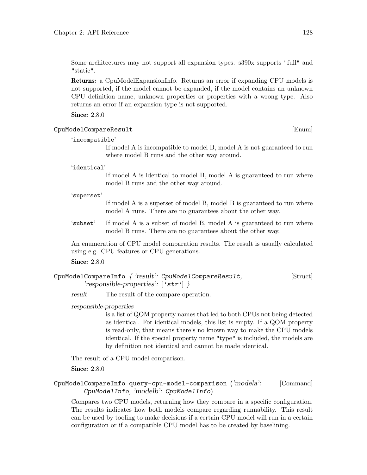Some architectures may not support all expansion types. s390x supports "full" and "static".

Returns: a CpuModelExpansionInfo. Returns an error if expanding CPU models is not supported, if the model cannot be expanded, if the model contains an unknown CPU definition name, unknown properties or properties with a wrong type. Also returns an error if an expansion type is not supported.

**Since: 2.8.0** 

## $\texttt{CpuModelComplex}$   $\texttt{ChangeResult}$

## 'incompatible'

If model A is incompatible to model B, model A is not guaranteed to run where model B runs and the other way around.

#### 'identical'

If model A is identical to model B, model A is guaranteed to run where model B runs and the other way around.

#### 'superset'

If model A is a superset of model B, model B is guaranteed to run where model A runs. There are no guarantees about the other way.

'subset' If model A is a subset of model B, model A is guaranteed to run where model B runs. There are no guarantees about the other way.

An enumeration of CPU model comparation results. The result is usually calculated using e.g. CPU features or CPU generations.

**Since: 2.8.0** 

```
CpuModelCompareInfo { 'result': CpuModelCompareResult, [Struct]
        'responsible-properties': ['str'] }
```
result The result of the compare operation.

responsible-properties

is a list of QOM property names that led to both CPUs not being detected as identical. For identical models, this list is empty. If a QOM property is read-only, that means there's no known way to make the CPU models identical. If the special property name "type" is included, the models are by definition not identical and cannot be made identical.

The result of a CPU model comparison.

**Since: 2.8.0** 

## CpuModelCompareInfo query-cpu-model-comparison ('modela': [Command] CpuModelInfo, 'modelb': CpuModelInfo)

Compares two CPU models, returning how they compare in a specific configuration. The results indicates how both models compare regarding runnability. This result can be used by tooling to make decisions if a certain CPU model will run in a certain configuration or if a compatible CPU model has to be created by baselining.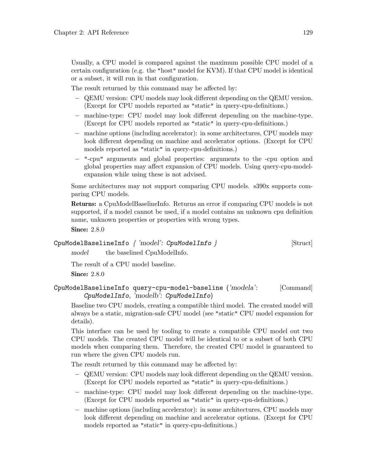Usually, a CPU model is compared against the maximum possible CPU model of a certain configuration (e.g. the "host" model for KVM). If that CPU model is identical or a subset, it will run in that configuration.

The result returned by this command may be affected by:

- − QEMU version: CPU models may look different depending on the QEMU version. (Except for CPU models reported as "static" in query-cpu-definitions.)
- − machine-type: CPU model may look different depending on the machine-type. (Except for CPU models reported as "static" in query-cpu-definitions.)
- − machine options (including accelerator): in some architectures, CPU models may look different depending on machine and accelerator options. (Except for CPU models reported as "static" in query-cpu-definitions.)
- − "-cpu" arguments and global properties: arguments to the -cpu option and global properties may affect expansion of CPU models. Using query-cpu-modelexpansion while using these is not advised.

Some architectures may not support comparing CPU models. s390x supports comparing CPU models.

Returns: a CpuModelBaselineInfo. Returns an error if comparing CPU models is not supported, if a model cannot be used, if a model contains an unknown cpu definition name, unknown properties or properties with wrong types.

**Since: 2.8.0** 

## CpuModelBaselineInfo { 'model': CpuModelInfo } [Struct]

model the baselined CpuModelInfo.

The result of a CPU model baseline.

**Since: 2.8.0** 

CpuModelBaselineInfo query-cpu-model-baseline ('modela': [Command] CpuModelInfo, 'modelb': CpuModelInfo)

Baseline two CPU models, creating a compatible third model. The created model will always be a static, migration-safe CPU model (see "static" CPU model expansion for details).

This interface can be used by tooling to create a compatible CPU model out two CPU models. The created CPU model will be identical to or a subset of both CPU models when comparing them. Therefore, the created CPU model is guaranteed to run where the given CPU models run.

The result returned by this command may be affected by:

- − QEMU version: CPU models may look different depending on the QEMU version. (Except for CPU models reported as "static" in query-cpu-definitions.)
- − machine-type: CPU model may look different depending on the machine-type. (Except for CPU models reported as "static" in query-cpu-definitions.)
- − machine options (including accelerator): in some architectures, CPU models may look different depending on machine and accelerator options. (Except for CPU models reported as "static" in query-cpu-definitions.)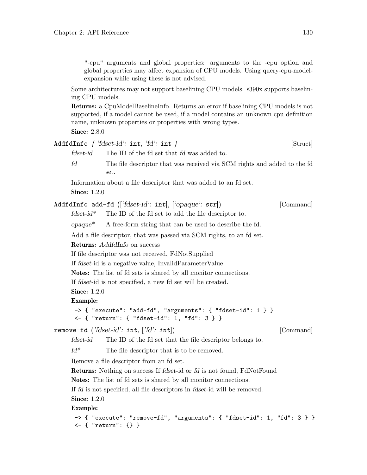− "-cpu" arguments and global properties: arguments to the -cpu option and global properties may affect expansion of CPU models. Using query-cpu-modelexpansion while using these is not advised.

Some architectures may not support baselining CPU models. s390x supports baselining CPU models.

Returns: a CpuModelBaselineInfo. Returns an error if baselining CPU models is not supported, if a model cannot be used, if a model contains an unknown cpu definition name, unknown properties or properties with wrong types.

**Since: 2.8.0** 

```
AddfdInfo \{ 'fdset-id': int, 'fd': int \} [Struct]
     fdset-id The ID of the fd set that fd was added to.
     fd The file descriptor that was received via SCM rights and added to the fd
                set.
     Information about a file descriptor that was added to an fd set.
     Since: 1.2.0
AddfdInfo add-fd (['fdest-id': int], ['opaque': str]) [Command]
     fdset-id<sup>*</sup> The ID of the fd set to add the file descriptor to.
     opaque* A free-form string that can be used to describe the fd.
     Add a file descriptor, that was passed via SCM rights, to an fd set.
     Returns: AddfdInfo on success
     If file descriptor was not received, FdNotSupplied
     If fdset-id is a negative value, InvalidParameterValue
     Notes: The list of fd sets is shared by all monitor connections.
     If fdset-id is not specified, a new fd set will be created.
     Since: 1.2.0
     Example:
      -> { "execute": "add-fd", "arguments": { "fdset-id": 1 } }
      <- { "return": { "fdset-id": 1, "fd": 3 } }
remove-fd ('fdset-id': int, ['fd': int]) [Command]
     fdset-id The ID of the fd set that the file descriptor belongs to.
     fd^* The file descriptor that is to be removed.
     Remove a file descriptor from an fd set.
     Returns: Nothing on success If fdset-id or fd is not found, FdNotFound
     Notes: The list of fd sets is shared by all monitor connections.
     If fd is not specified, all file descriptors in fdset-id will be removed.
     Since: 1.2.0
     Example:
      \rightarrow { "execute": "remove-fd", "arguments": { "fdset-id": 1, "fd": 3 } }
      <- { "return": {} }
```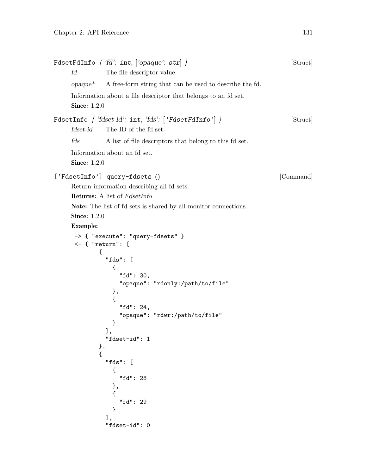| FdsetFdInfo $\{ 'fd': int, ['opaque': str] \}$                                               |                                                                        | [Struct]  |
|----------------------------------------------------------------------------------------------|------------------------------------------------------------------------|-----------|
| fd<br>The file descriptor value.                                                             |                                                                        |           |
| $opaque^*$                                                                                   | A free-form string that can be used to describe the fd.                |           |
| <b>Since:</b> 1.2.0                                                                          | Information about a file descriptor that belongs to an fd set.         |           |
| FdsetInfo { $'fdset-id': int, 'fds': ['FdsetFdInfo']$ }<br>fdset-id<br>The ID of the fd set. |                                                                        | [Struct]  |
| fds                                                                                          | A list of file descriptors that belong to this fd set.                 |           |
| Information about an fd set.<br><b>Since: 1.2.0</b>                                          |                                                                        |           |
| ['FdsetInfo'] query-fdsets ()                                                                |                                                                        | [Command] |
| Return information describing all fd sets.                                                   |                                                                        |           |
| <b>Returns:</b> A list of FdsetInfo                                                          |                                                                        |           |
|                                                                                              | <b>Note:</b> The list of fd sets is shared by all monitor connections. |           |
| <b>Since: 1.2.0</b>                                                                          |                                                                        |           |
| Example:                                                                                     |                                                                        |           |
| -> { "execute": "query-fdsets" }<br>$\leftarrow$ { "return": [                               |                                                                        |           |
| $\{$<br>" $fds"$ : [                                                                         |                                                                        |           |
| €                                                                                            |                                                                        |           |
| "fd": 30,                                                                                    |                                                                        |           |
|                                                                                              | "opaque": "rdonly:/path/to/file"                                       |           |
| },<br>$\{$                                                                                   |                                                                        |           |
| "fd": 24,                                                                                    |                                                                        |           |
|                                                                                              | "opaque": "rdwr:/path/to/file"                                         |           |
| }                                                                                            |                                                                        |           |
| ],<br>"fdset-id": $1$                                                                        |                                                                        |           |
| },                                                                                           |                                                                        |           |
| €                                                                                            |                                                                        |           |
| " $fds$ ": [<br>$\{$                                                                         |                                                                        |           |
| "fd": 28                                                                                     |                                                                        |           |
| },                                                                                           |                                                                        |           |
| $\{$                                                                                         |                                                                        |           |
| "fd": 29<br>}                                                                                |                                                                        |           |
| ],                                                                                           |                                                                        |           |
| "fdset-id": 0                                                                                |                                                                        |           |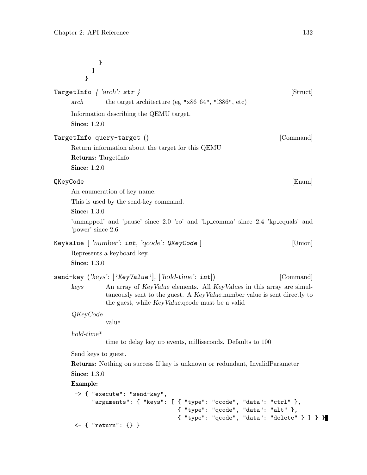| }<br>J                                                                          |                                                                                                                                                                                                                                                                 |                                                                                    |
|---------------------------------------------------------------------------------|-----------------------------------------------------------------------------------------------------------------------------------------------------------------------------------------------------------------------------------------------------------------|------------------------------------------------------------------------------------|
| }                                                                               |                                                                                                                                                                                                                                                                 |                                                                                    |
| TargetInfo $\{ 'arch': str \}$<br>arch<br><b>Since:</b> 1.2.0                   | the target architecture (eg " $x86.64$ ", " $i386$ ", etc)<br>Information describing the QEMU target.                                                                                                                                                           | [Struct]                                                                           |
| TargetInfo query-target ()<br><b>Returns:</b> TargetInfo<br><b>Since:</b> 1.2.0 | Return information about the target for this QEMU                                                                                                                                                                                                               | [Command]                                                                          |
| QKeyCode                                                                        |                                                                                                                                                                                                                                                                 | [Enum]                                                                             |
| <b>Since:</b> 1.3.0<br>'power' since 2.6                                        | An enumeration of key name.<br>This is used by the send-key command.<br>'unmapped' and 'pause' since 2.0 'ro' and 'kp_comma' since 2.4 'kp_equals' and                                                                                                          |                                                                                    |
|                                                                                 | KeyValue $\lceil$ 'number': int, ' $qcode$ : QKeyCode $\lceil$                                                                                                                                                                                                  | [Union]                                                                            |
| <b>Since: 1.3.0</b>                                                             | Represents a keyboard key.                                                                                                                                                                                                                                      |                                                                                    |
| keys                                                                            | send-key ('keys': ['KeyValue'], ['hold-time': $int$ ])<br>An array of KeyValue elements. All KeyValues in this array are simul-<br>taneously sent to the guest. A KeyValue number value is sent directly to<br>the guest, while KeyValue. goode must be a valid | [Command]                                                                          |
| QKeyCode                                                                        | value                                                                                                                                                                                                                                                           |                                                                                    |
| $hold-time*$                                                                    | time to delay key up events, milliseconds. Defaults to 100                                                                                                                                                                                                      |                                                                                    |
| Send keys to guest.                                                             |                                                                                                                                                                                                                                                                 |                                                                                    |
| <b>Since: 1.3.0</b>                                                             | <b>Returns:</b> Nothing on success If key is unknown or redundant, InvalidParameter                                                                                                                                                                             |                                                                                    |
| <b>Example:</b>                                                                 |                                                                                                                                                                                                                                                                 |                                                                                    |
|                                                                                 | -> { "execute": "send-key",<br>"arguments": { "keys": [ { "type": "qcode", "data": "ctrl" },<br>$\leftarrow \{$ "return": $\{\}$ }                                                                                                                              | { "type": "qcode", "data": "alt" },<br>{ "type": "qcode", "data": "delete" } ] } } |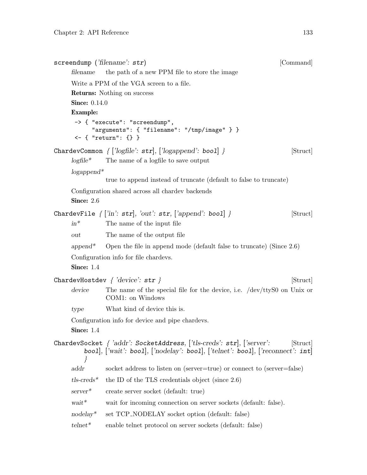|                      | screendump ('filename': $str$ )                                                                                                                         | [Command] |
|----------------------|---------------------------------------------------------------------------------------------------------------------------------------------------------|-----------|
| filename             | the path of a new PPM file to store the image                                                                                                           |           |
|                      | Write a PPM of the VGA screen to a file.                                                                                                                |           |
|                      | <b>Returns:</b> Nothing on success                                                                                                                      |           |
| <b>Since: 0.14.0</b> |                                                                                                                                                         |           |
| Example:             |                                                                                                                                                         |           |
|                      | -> { "execute": "screendump",<br>"arguments": { "filename": "/tmp/image" } }<br>$\leftarrow \{$ "return": $\{\}$ }                                      |           |
|                      | ChardevCommon $\{ \text{['logfile': str]}, \text{['logappend': bool]} \}$                                                                               | [Struct]  |
| $logfile*$           | The name of a logfile to save output                                                                                                                    |           |
| $logappend*$         |                                                                                                                                                         |           |
|                      | true to append instead of truncate (default to false to truncate)                                                                                       |           |
| Since: $2.6$         | Configuration shared across all chardev backends                                                                                                        |           |
|                      | ChardevFile $\{$ $\lceil$ 'in': str, 'out': str, $\lceil$ 'append': bool $\}$                                                                           | [Struct]  |
| $in^*$               | The name of the input file                                                                                                                              |           |
| out                  | The name of the output file                                                                                                                             |           |
| $append^*$           | Open the file in append mode (default false to truncate) (Since $2.6$ )                                                                                 |           |
| Since: 1.4           | Configuration info for file chardevs.                                                                                                                   |           |
|                      | ChardevHostdev $\{ 'device': str \}$                                                                                                                    | [Struct]  |
| device               | The name of the special file for the device, i.e. $/$ dev $/$ ttyS0 on Unix or<br>COM1: on Windows                                                      |           |
| type                 | What kind of device this is.                                                                                                                            |           |
|                      | Configuration info for device and pipe charders.                                                                                                        |           |
| Since: 1.4           |                                                                                                                                                         |           |
|                      | ChardevSocket { 'addr': SocketAddress, ['tls-creds': str], ['server':<br>bool], ['wait': bool], ['nodelay': bool], ['telnet': bool], ['reconnect': int] | [Struct]  |
| addr                 | socket address to listen on (server=true) or connect to (server=false)                                                                                  |           |
| $tls-*$              | the ID of the TLS credentials object (since 2.6)                                                                                                        |           |
| $server^*$           | create server socket (default: true)                                                                                                                    |           |
| $wait*$              | wait for incoming connection on server sockets (default: false).                                                                                        |           |
| $nodelay^*$          | set TCP_NODELAY socket option (default: false)                                                                                                          |           |
| $t$ elne $t^*$       | enable telnet protocol on server sockets (default: false)                                                                                               |           |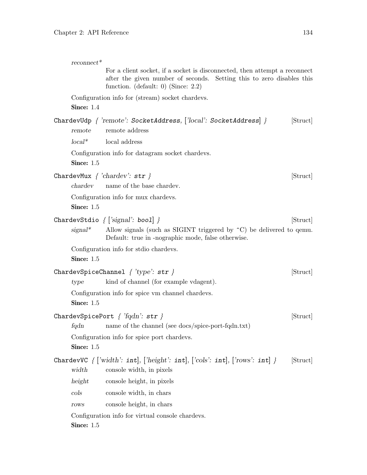| $reconnect*$ |                                                                                                                                                                                               |          |
|--------------|-----------------------------------------------------------------------------------------------------------------------------------------------------------------------------------------------|----------|
|              | For a client socket, if a socket is disconnected, then attempt a reconnect<br>after the given number of seconds. Setting this to zero disables this<br>function. (default: 0) (Since: $2.2$ ) |          |
| Since: $1.4$ | Configuration info for (stream) socket chardevs.                                                                                                                                              |          |
| remote       | ChardevUdp $\{ \text{'remote'}: SocketsAddress, [\text{'local'}: SocketsAddress] \}$<br>remote address                                                                                        | [Struct] |
| $local*$     | local address                                                                                                                                                                                 |          |
| Since: 1.5   | Configuration info for datagram socket chardevs.                                                                                                                                              |          |
| chardev      | ChardevMux $\{ 'character' : str \}$<br>name of the base chardev.                                                                                                                             | [Struct] |
| Since: 1.5   | Configuration info for mux chardevs.                                                                                                                                                          |          |
| $signal^*$   | ChardevStdio $\{$ ['signal': bool] $\}$<br>Allow signals (such as SIGINT triggered by $\hat{C}$ ) be delivered to gemu.<br>Default: true in -nographic mode, false otherwise.                 | [Struct] |
| Since: 1.5   | Configuration info for stdio chardevs.                                                                                                                                                        |          |
|              | ChardevSpiceChannel $\{ 'type'\colon \texttt{str} \ \}$                                                                                                                                       | [Struct] |
| type         | kind of channel (for example vdagent).                                                                                                                                                        |          |
| Since: 1.5   | Configuration info for spice vm channel chardevs.                                                                                                                                             |          |
|              | ChardevSpicePort $\{$ 'fqdn': str $\}$                                                                                                                                                        | [Struct] |
|              | fqdn name of the channel (see docs/spice-port-fqdn.txt)                                                                                                                                       |          |
| Since: 1.5   | Configuration info for spice port chardevs.                                                                                                                                                   |          |
| width        | ChardevVC $\{$ ['width': int], ['height': int], ['cols': int], ['rows': int] }<br>console width, in pixels                                                                                    | [Struct] |
| height       | console height, in pixels                                                                                                                                                                     |          |
| cols         | console width, in chars                                                                                                                                                                       |          |
| rows         | console height, in chars                                                                                                                                                                      |          |
| Since: $1.5$ | Configuration info for virtual console chardevs.                                                                                                                                              |          |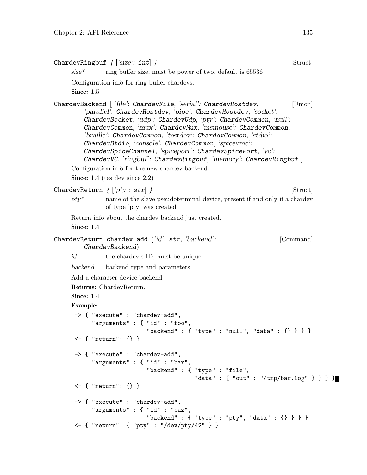| ChardevRingbuf $\{ \text{'}size': \text{int} \}$<br>$size^*$<br>ring buffer size, must be power of two, default is 65536                                                                                                                                                                                                                                                                                                                                                                                                                                                      | [Struct]  |
|-------------------------------------------------------------------------------------------------------------------------------------------------------------------------------------------------------------------------------------------------------------------------------------------------------------------------------------------------------------------------------------------------------------------------------------------------------------------------------------------------------------------------------------------------------------------------------|-----------|
| Configuration info for ring buffer chardevs.                                                                                                                                                                                                                                                                                                                                                                                                                                                                                                                                  |           |
| Since: 1.5                                                                                                                                                                                                                                                                                                                                                                                                                                                                                                                                                                    |           |
| ChardevBackend   'file': ChardevFile, 'serial': ChardevHostdev,<br>'parallel': ChardevHostdev, 'pipe': ChardevHostdev, 'socket':<br>ChardevSocket, 'udp': ChardevUdp, 'pty': ChardevCommon, 'null':<br>ChardevCommon, 'mux': ChardevMux, 'msmouse': ChardevCommon,<br>'braille': ChardevCommon, 'testdev': ChardevCommon, 'stdio':<br>ChardevStdio, 'console': ChardevCommon, 'spicevmc':<br>ChardevSpiceChannel, 'spiceport': ChardevSpicePort, 'vc':<br>ChardevVC, 'ringbuf': ChardevRingbuf, 'memory': ChardevRingbuf  <br>Configuration info for the new chardev backend. | [Union]   |
| <b>Since:</b> 1.4 (testdev since $2.2$ )                                                                                                                                                                                                                                                                                                                                                                                                                                                                                                                                      |           |
| ChardevReturn $\{ \lceil \textit{pty}' \rceil : \textit{str} \rceil \}$<br>$pty^*$<br>name of the slave pseudoterminal device, present if and only if a chardev<br>of type 'pty' was created                                                                                                                                                                                                                                                                                                                                                                                  | [Struct]  |
| Return into about the charder backend just created.<br><b>Since: 1.4</b>                                                                                                                                                                                                                                                                                                                                                                                                                                                                                                      |           |
| ChardevReturn chardev-add $('id': str, 'background':$<br>ChardevBackend)                                                                                                                                                                                                                                                                                                                                                                                                                                                                                                      | [Command] |
| id<br>the charder's ID, must be unique                                                                                                                                                                                                                                                                                                                                                                                                                                                                                                                                        |           |
| backend<br>backend type and parameters                                                                                                                                                                                                                                                                                                                                                                                                                                                                                                                                        |           |
| Add a character device backend                                                                                                                                                                                                                                                                                                                                                                                                                                                                                                                                                |           |
| Returns: ChardevReturn.                                                                                                                                                                                                                                                                                                                                                                                                                                                                                                                                                       |           |
| Since: 1.4                                                                                                                                                                                                                                                                                                                                                                                                                                                                                                                                                                    |           |
| <b>Example:</b>                                                                                                                                                                                                                                                                                                                                                                                                                                                                                                                                                               |           |
| -> { "execute" : "chardev-add",<br>"arguments" : $\{$ "id" : "foo",<br>"backend" : { "type" : "null", "data" : {} } } }<br>$\leftarrow \{$ "return": $\{\}$ }                                                                                                                                                                                                                                                                                                                                                                                                                 |           |
|                                                                                                                                                                                                                                                                                                                                                                                                                                                                                                                                                                               |           |
| -> { "execute" : "chardev-add",<br>"arguments" : $\{$ "id" : "bar",<br>"backend" : $\{$ "type" : "file",<br>"data" : { "out" : "/tmp/bar.log" } } } }                                                                                                                                                                                                                                                                                                                                                                                                                         |           |
| $\leftarrow \{$ "return": {} }                                                                                                                                                                                                                                                                                                                                                                                                                                                                                                                                                |           |
| -> { "execute" : "chardev-add",<br>"arguments" : $\{$ "id" : "baz",                                                                                                                                                                                                                                                                                                                                                                                                                                                                                                           |           |
| "backend" : { "type" : "pty", "data" : {} } } }<br><- { "return": { "pty" : "/dev/pty/42" } }                                                                                                                                                                                                                                                                                                                                                                                                                                                                                 |           |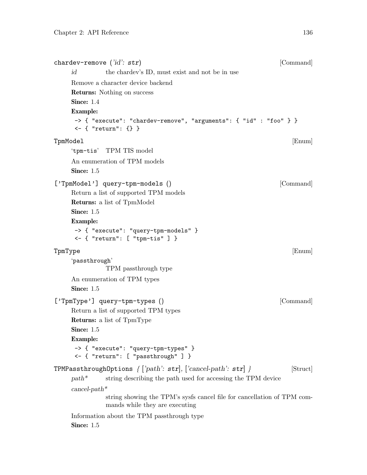chardev-remove ('id': str) [Command] id the chardev's ID, must exist and not be in use Remove a character device backend Returns: Nothing on success Since: 1.4 Example: -> { "execute": "chardev-remove", "arguments": { "id" : "foo" } } <- { "return": {} } TpmModel [Enum] 'tpm-tis' TPM TIS model An enumeration of TPM models Since: 1.5 ['TpmModel'] query-tpm-models () [Command] Return a list of supported TPM models Returns: a list of TpmModel Since: 1.5 Example: -> { "execute": "query-tpm-models" } <- { "return": [ "tpm-tis" ] }  $\mathbf{TpmType} \hspace{2.8cm} \begin{equation} \mathrm{Fnum} \end{equation}$ 'passthrough' TPM passthrough type An enumeration of TPM types Since: 1.5 ['TpmType'] query-tpm-types () [Command] Return a list of supported TPM types Returns: a list of TpmType Since: 1.5 Example: -> { "execute": "query-tpm-types" } <- { "return": [ "passthrough" ] } TPMPassthroughOptions  $\{ ['path': str], ['cancel-path': str] \}$  [Struct]  $path^*$  string describing the path used for accessing the TPM device  $cancel-path*$ string showing the TPM's sysfs cancel file for cancellation of TPM commands while they are executing Information about the TPM passthrough type Since: 1.5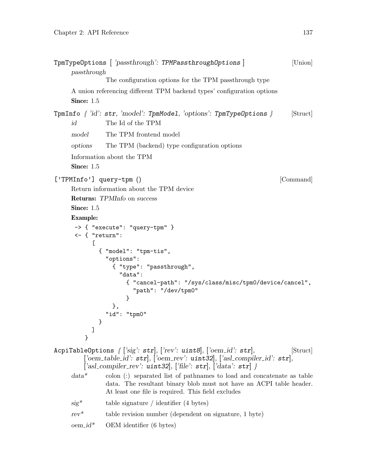```
TpmTypeOptions [ 'passthrough': TPMPassthroughOptions ] [Union]
     passthrough
               The configuration options for the TPM passthrough type
     A union referencing different TPM backend types' configuration options
     Since: 1.5
TpmInfo \{ 'id': str, 'model': TpmModel, 'options': TpmTypeOptions \} [Struct]
     id The Id of the TPM
     model The TPM frontend model
     options The TPM (backend) type configuration options
     Information about the TPM
     Since: 1.5
['TPMInfo'] query-tpm () [Command]
     Return information about the TPM device
     Returns: TPMInfo on success
     Since: 1.5
     Example:
      -> { "execute": "query-tpm" }
      <- { "return":
           \Gamma{ "model": "tpm-tis",
               "options":
                 { "type": "passthrough",
                   "data":
                     { "cancel-path": "/sys/class/misc/tpm0/device/cancel",
                       "path": "/dev/tpm0"
                     }
                 },
               "id": "tpm0"
             }
           ]
         }
AcpiTableOptions \{ ['sig': str], ['rev': uint8], ['oem_id': str], [Struct]
         ['oem_table_id': str], ['oem_rev': uint32], ['asl_compiler_id': str],
         ['asl\_complex\_rev: uint32, ['file': str], ['data': str]data* colon (:) separated list of pathnames to load and concatenate as table
               data. The resultant binary blob must not have an ACPI table header.
               At least one file is required. This field excludes
     sig^* table signature / identifier (4 bytes)
     rev* table revision number (dependent on signature, 1 byte)
     oem_id^* OEM identifier (6 bytes)
```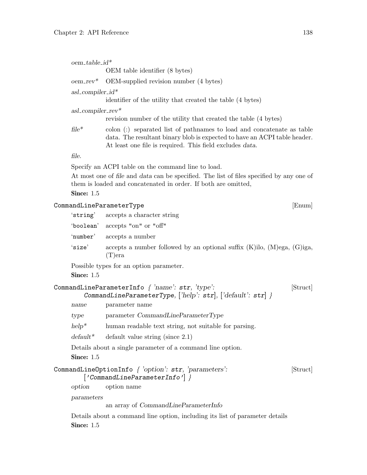| $oem\_table_id*$        |                                                                                                                                                                                                                 |          |
|-------------------------|-----------------------------------------------------------------------------------------------------------------------------------------------------------------------------------------------------------------|----------|
|                         | OEM table identifier (8 bytes)                                                                                                                                                                                  |          |
| $oem\_rev^*$            | OEM-supplied revision number (4 bytes)                                                                                                                                                                          |          |
| $asl$ -compiler- $id^*$ |                                                                                                                                                                                                                 |          |
|                         | identifier of the utility that created the table (4 bytes)                                                                                                                                                      |          |
| $asl$ -compiler-rev*    |                                                                                                                                                                                                                 |          |
|                         | revision number of the utility that created the table (4 bytes)                                                                                                                                                 |          |
| $file*$                 | colon (:) separated list of pathnames to load and concatenate as table<br>data. The resultant binary blob is expected to have an ACPI table header.<br>At least one file is required. This field excludes data. |          |
| file.                   |                                                                                                                                                                                                                 |          |
|                         | Specify an ACPI table on the command line to load.                                                                                                                                                              |          |
|                         | At most one of file and data can be specified. The list of files specified by any one of<br>them is loaded and concatenated in order. If both are omitted,                                                      |          |
| Since: 1.5              |                                                                                                                                                                                                                 |          |
|                         | CommandLineParameterType                                                                                                                                                                                        | [Enum]   |
| 'string'                | accepts a character string                                                                                                                                                                                      |          |
| 'boolean'               | accepts "on" or "off"                                                                                                                                                                                           |          |
| 'number'                | accepts a number                                                                                                                                                                                                |          |
| 'size'                  | accepts a number followed by an optional suffix $(K)$ ilo, $(M)$ ega, $(G)$ iga,<br>$(T)$ era                                                                                                                   |          |
|                         | Possible types for an option parameter.                                                                                                                                                                         |          |
| Since: 1.5              |                                                                                                                                                                                                                 |          |
|                         | CommandLineParameterInfo $\{ 'name' : str, 'type' :$<br>CommandLineParameterType, ['help': $str$ ], ['default': $str$ ] }                                                                                       | [Struct] |
| name                    | parameter name                                                                                                                                                                                                  |          |
| type                    | parameter CommandLineParameterType                                                                                                                                                                              |          |
| $help^*$                | human readable text string, not suitable for parsing.                                                                                                                                                           |          |
| $default*$              | default value string (since $2.1$ )                                                                                                                                                                             |          |
| Since: 1.5              | Details about a single parameter of a command line option.                                                                                                                                                      |          |
|                         | CommandLineOptionInfo $\{ 'option': str, 'parameters':$<br>${'CommandLineParameterInfo'}$                                                                                                                       | [Struct] |
| option                  | option name                                                                                                                                                                                                     |          |
| parameters              |                                                                                                                                                                                                                 |          |
|                         | an array of CommandLineParameterInfo                                                                                                                                                                            |          |
|                         | Details about a command line option, including its list of parameter details                                                                                                                                    |          |

**Since: 1.5**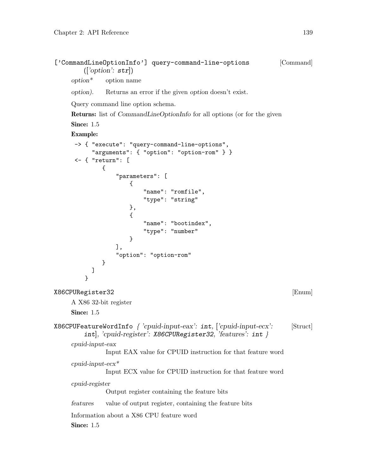```
['CommandLineOptionInfo'] query-command-line-options [Command]
        (['option': str])
     option* option name
     option). Returns an error if the given option doesn't exist.
     Query command line option schema.
     Returns: list of CommandLineOptionInfo for all options (or for the given
     Since: 1.5
     Example:
      -> { "execute": "query-command-line-options",
           "arguments": { "option": "option-rom" } }
      <- { "return": [
              {
                  "parameters": [
                      {
                           "name": "romfile",
                           "type": "string"
                      },
                      {
                           "name": "bootindex",
                           "type": "number"
                      }
                  ],
                  "option": "option-rom"
              }
           ]
         }
X86CPURegister32 [Enum]
     A X86 32-bit register
     Since: 1.5
X86CPUFeatureWordInfo { 'cpuid-input-eax': int, ['cpuid-input-ecx': [Struct]
         int], 'cpuid-register': X86CPURegister32, 'features': int }
     cpuid-input-eax
               Input EAX value for CPUID instruction for that feature word
     cpuid-input-ecx*
               Input ECX value for CPUID instruction for that feature word
     cpuid-register
               Output register containing the feature bits
     features value of output register, containing the feature bits
     Information about a X86 CPU feature word
     Since: 1.5
```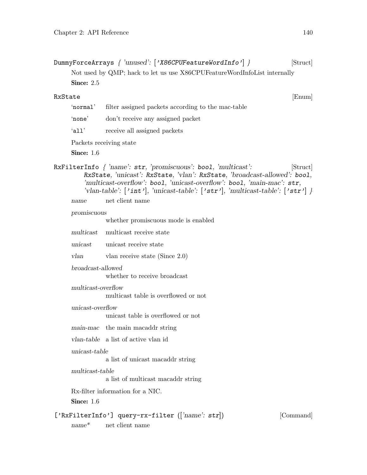|                    | Not used by QMP; hack to let us use X86CPUFeature WordInfoList internally                                                                                                                                                                                                                            |           |
|--------------------|------------------------------------------------------------------------------------------------------------------------------------------------------------------------------------------------------------------------------------------------------------------------------------------------------|-----------|
| Since: 2.5         |                                                                                                                                                                                                                                                                                                      |           |
| RxState            |                                                                                                                                                                                                                                                                                                      | [Enum]    |
| 'normal'           | filter assigned packets according to the mac-table                                                                                                                                                                                                                                                   |           |
| 'none'             | don't receive any assigned packet                                                                                                                                                                                                                                                                    |           |
| 'all'              | receive all assigned packets                                                                                                                                                                                                                                                                         |           |
|                    | Packets receiving state                                                                                                                                                                                                                                                                              |           |
| Since: 1.6         |                                                                                                                                                                                                                                                                                                      |           |
|                    | RxFilterInfo { 'name': str, 'promiscuous': bool, 'multicast':<br>RxState, 'unicast': RxState, 'vlan': RxState, 'broadcast-allowed': bool,<br>'multicast-overflow': boo1, 'unicast-overflow': boo1, 'main-mac': str,<br>'vlan-table': ['int'], 'unicast-table': ['str'], 'multicast-table': ['str'] } | [Struct]  |
| name               | net client name                                                                                                                                                                                                                                                                                      |           |
| promiscuous        |                                                                                                                                                                                                                                                                                                      |           |
|                    | whether promiscuous mode is enabled                                                                                                                                                                                                                                                                  |           |
| multicast          | multicast receive state                                                                                                                                                                                                                                                                              |           |
| unicast            | unicast receive state                                                                                                                                                                                                                                                                                |           |
| vlan               | vlan receive state (Since $2.0$ )                                                                                                                                                                                                                                                                    |           |
| broadcast-allowed  | whether to receive broadcast                                                                                                                                                                                                                                                                         |           |
| multicast-overflow | multicast table is overflowed or not                                                                                                                                                                                                                                                                 |           |
| unicast-overflow   |                                                                                                                                                                                                                                                                                                      |           |
|                    | unicast table is overflowed or not                                                                                                                                                                                                                                                                   |           |
|                    | main-mac the main macaddr string                                                                                                                                                                                                                                                                     |           |
|                    | vlan-table a list of active vlan id                                                                                                                                                                                                                                                                  |           |
| unicast-table      | a list of unicast macaddr string                                                                                                                                                                                                                                                                     |           |
| multicast-table    | a list of multicast macaddr string                                                                                                                                                                                                                                                                   |           |
|                    | Rx-filter information for a NIC.                                                                                                                                                                                                                                                                     |           |
| Since: 1.6         |                                                                                                                                                                                                                                                                                                      |           |
|                    | ['RxFilterInfo'] query-rx-filter (['name': str])                                                                                                                                                                                                                                                     | [Command] |

DummyForceArrays { 'unused': ['X86CPUFeatureWordInfo'] } [Struct]

name<sup>\*</sup> net client name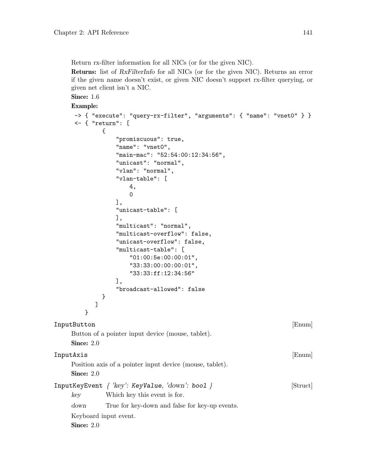Return rx-filter information for all NICs (or for the given NIC).

Returns: list of RxFilterInfo for all NICs (or for the given NIC). Returns an error if the given name doesn't exist, or given NIC doesn't support rx-filter querying, or given net client isn't a NIC.

Since: 1.6

```
Example:
```

```
-> { "execute": "query-rx-filter", "arguments": { "name": "vnet0" } }
     <- { "return": [
            {
                "promiscuous": true,
                "name": "vnet0",
                "main-mac": "52:54:00:12:34:56",
                "unicast": "normal",
                "vlan": "normal",
                "vlan-table": [
                   4,
                   0
                ],
                "unicast-table": [
                ],
                "multicast": "normal",
                "multicast-overflow": false,
                "unicast-overflow": false,
                "multicast-table": [
                   "01:00:5e:00:00:01",
                    "33:33:00:00:00:01",
                    "33:33:ff:12:34:56"
                ],
                "broadcast-allowed": false
            }
          ]
        }
InputButton [Enum]
    Button of a pointer input device (mouse, tablet).
    Since: 2.0
InputAxis [Enum]
    Position axis of a pointer input device (mouse, tablet).
    Since: 2.0
InputKeyEvent { 'key': KeyValue, 'down': bool } [Struct]
    key Which key this event is for.
    down True for key-down and false for key-up events.
    Keyboard input event.
    Since: 2.0
```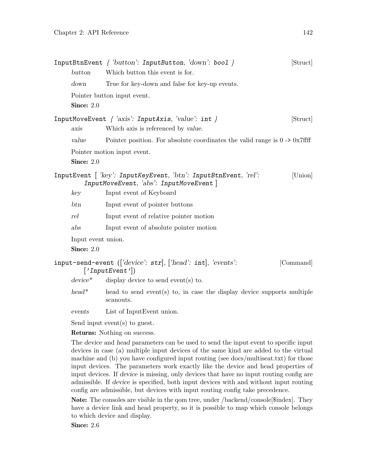| button             | InputBtnEvent $\{$ 'button': InputButton, 'down': bool $\}$<br>Which button this event is for.                                                                                                                                                                                                                                                                                                                                                                                                                                                                                                                                                                                                                                               | [Struct]  |
|--------------------|----------------------------------------------------------------------------------------------------------------------------------------------------------------------------------------------------------------------------------------------------------------------------------------------------------------------------------------------------------------------------------------------------------------------------------------------------------------------------------------------------------------------------------------------------------------------------------------------------------------------------------------------------------------------------------------------------------------------------------------------|-----------|
| down               | True for key-down and false for key-up events.                                                                                                                                                                                                                                                                                                                                                                                                                                                                                                                                                                                                                                                                                               |           |
|                    | Pointer button input event.                                                                                                                                                                                                                                                                                                                                                                                                                                                                                                                                                                                                                                                                                                                  |           |
| Since: 2.0         |                                                                                                                                                                                                                                                                                                                                                                                                                                                                                                                                                                                                                                                                                                                                              |           |
| axis               | InputMoveEvent $\{ 'axis': InputAxis, 'value': int \}$<br>Which axis is referenced by value.                                                                                                                                                                                                                                                                                                                                                                                                                                                                                                                                                                                                                                                 | [Struct]  |
| value              | Pointer position. For absolute coordinates the valid range is $0 \rightarrow 0x7$ fff                                                                                                                                                                                                                                                                                                                                                                                                                                                                                                                                                                                                                                                        |           |
|                    | Pointer motion input event.                                                                                                                                                                                                                                                                                                                                                                                                                                                                                                                                                                                                                                                                                                                  |           |
| Since: 2.0         |                                                                                                                                                                                                                                                                                                                                                                                                                                                                                                                                                                                                                                                                                                                                              |           |
|                    | InputEvent   ' $key$ ': InputKeyEvent, ' $btn$ ': InputBtnEvent, 'rel':<br>InputMoveEvent, 'abs': InputMoveEvent                                                                                                                                                                                                                                                                                                                                                                                                                                                                                                                                                                                                                             | [Union]   |
| key                | Input event of Keyboard                                                                                                                                                                                                                                                                                                                                                                                                                                                                                                                                                                                                                                                                                                                      |           |
| <i>btn</i>         | Input event of pointer buttons                                                                                                                                                                                                                                                                                                                                                                                                                                                                                                                                                                                                                                                                                                               |           |
| rel                | Input event of relative pointer motion                                                                                                                                                                                                                                                                                                                                                                                                                                                                                                                                                                                                                                                                                                       |           |
| abs                | Input event of absolute pointer motion                                                                                                                                                                                                                                                                                                                                                                                                                                                                                                                                                                                                                                                                                                       |           |
| Input event union. |                                                                                                                                                                                                                                                                                                                                                                                                                                                                                                                                                                                                                                                                                                                                              |           |
| Since: 2.0         |                                                                                                                                                                                                                                                                                                                                                                                                                                                                                                                                                                                                                                                                                                                                              |           |
|                    | input-send-event (['device': $str$ ], ['head': int], 'events':<br> 'InputEvent']                                                                                                                                                                                                                                                                                                                                                                                                                                                                                                                                                                                                                                                             | [Command] |
| $device*$          | display device to send event(s) to.                                                                                                                                                                                                                                                                                                                                                                                                                                                                                                                                                                                                                                                                                                          |           |
| $head*$            | head to send event(s) to, in case the display device supports multiple<br>scanouts.                                                                                                                                                                                                                                                                                                                                                                                                                                                                                                                                                                                                                                                          |           |
| events             | List of Input Event union.                                                                                                                                                                                                                                                                                                                                                                                                                                                                                                                                                                                                                                                                                                                   |           |
|                    | Send input event(s) to guest.                                                                                                                                                                                                                                                                                                                                                                                                                                                                                                                                                                                                                                                                                                                |           |
|                    | <b>Returns:</b> Nothing on success.                                                                                                                                                                                                                                                                                                                                                                                                                                                                                                                                                                                                                                                                                                          |           |
|                    | The device and head parameters can be used to send the input event to specific input<br>devices in case (a) multiple input devices of the same kind are added to the virtual<br>machine and (b) you have configured input routing (see docs/multiseat.txt) for those<br>input devices. The parameters work exactly like the device and head properties of<br>input devices. If device is missing, only devices that have no input routing config are<br>admissible. If <i>device</i> is specified, both input devices with and without input routing<br>config are admissible, but devices with input routing config take precedence.<br>Note: The conceler are vigible in the cam tree, under beginned (concele <sup>t f</sup> under). They |           |

Note: The consoles are visible in the qom tree, under /backend/console[\$index]. They have a device link and head property, so it is possible to map which console belongs to which device and display.

**Since: 2.6**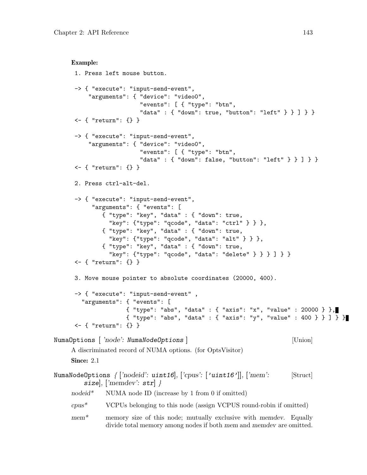#### <span id="page-144-0"></span>Example:

```
1. Press left mouse button.
      -> { "execute": "input-send-event",
          "arguments": { "device": "video0",
                          "events": [ { "type": "btn",
                         "data" : \{ "down": true, "button": "left" \} \} \} \}<- { "return": {} }
      -> { "execute": "input-send-event",
          "arguments": { "device": "video0",
                          "events": [ { "type": "btn",
                          "data" : \{ "down": false, "button": "left" \} \} \} \}<- { "return": {} }
      2. Press ctrl-alt-del.
      -> { "execute": "input-send-event",
           "arguments": { "events": [
              { "type": "key", "data" : { "down": true,
                "key": {"type": "qcode", "data": "ctrl" } } },
              { "type": "key", "data" : { "down": true,
                "key": {"type": "qcode", "data": "alt" } } },
              { "type": "key", "data" : { "down": true,
                "key": {"type": "qcode", "data": "delete" } } } ] } }
      <- { "return": {} }
      3. Move mouse pointer to absolute coordinates (20000, 400).
      -> { "execute": "input-send-event" ,
        "arguments": { "events": [
                     { "type": "abs", "data" : { "axis": "x", "value" : 20000 } },
                     { "type": "abs", "data" : { "axis": "y", "value" : 400 } } ] } }
      <- { "return": {} }
NumaOptions \lceil 'node': NumaNodeOptions \lceilA discriminated record of NUMA options. (for OptsVisitor)
     Since: 2.1
NumaNodeOptions \{ ['nodeid': uint16], ['cpus': ['uint16']], ['mem': [Struct]
         size], \lceil \text{`member': str} \rceil }
     nodeid* NUMA node ID (increase by 1 from 0 if omitted)
     cpus* VCPUs belonging to this node (assign VCPUS round-robin if omitted)
     mem<sup>*</sup> memory size of this node; mutually exclusive with memdev. Equally
               divide total memory among nodes if both mem and memdev are omitted.
```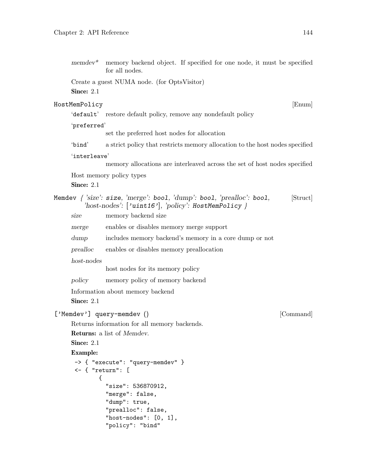<span id="page-145-0"></span>

| memdev <sup>*</sup> memory backend object. If specified for one node, it must be specified |  |  |
|--------------------------------------------------------------------------------------------|--|--|
| for all nodes.                                                                             |  |  |

Create a guest NUMA node. (for OptsVisitor)

"host-nodes": [0, 1], "policy": "bind"

**Since: 2.1** 

#### HostMemPolicy [Enum]

'default' restore default policy, remove any nondefault policy

'preferred'

set the preferred host nodes for allocation

'bind' a strict policy that restricts memory allocation to the host nodes specified

#### 'interleave'

memory allocations are interleaved across the set of host nodes specified

Host memory policy types

**Since: 2.1** 

|  | Memdev $\{ 'size' : size, 'merge': bool, 'dump': bool, 'prealloc': bool,$ | [Struct] |
|--|---------------------------------------------------------------------------|----------|
|  | $'host\text{-nodes': } ['uint16'], 'policy': HostMemory \}$               |          |

| size                       | memory backend size                                    |           |
|----------------------------|--------------------------------------------------------|-----------|
| merge                      | enables or disables memory merge support               |           |
| dump                       | includes memory backend's memory in a core dump or not |           |
| prealloc                   | enables or disables memory preallocation               |           |
| host-nodes                 |                                                        |           |
|                            | host nodes for its memory policy                       |           |
| policy                     | memory policy of memory backend                        |           |
|                            | Information about memory backend                       |           |
| Since: 2.1                 |                                                        |           |
|                            | ['Memdev'] query-memdev ()                             | [Command] |
|                            | Returns information for all memory backends.           |           |
|                            | <b>Returns:</b> a list of <i>Memdev</i> .              |           |
| Since: 2.1                 |                                                        |           |
| Example:                   |                                                        |           |
|                            | -> { "execute": "query-memdev" }                       |           |
| $\leftarrow$ { "return": [ |                                                        |           |
| €                          |                                                        |           |
|                            | "size": 536870912,                                     |           |
|                            | "merge": false,                                        |           |
|                            | "dump": true,                                          |           |
|                            | "prealloc": false,                                     |           |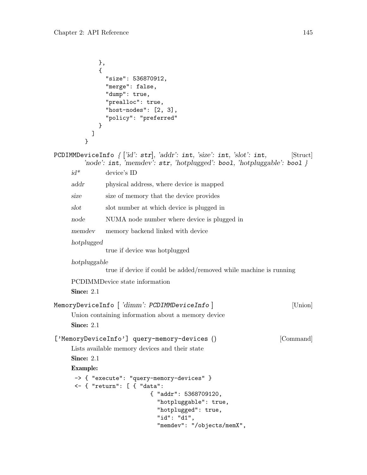```
},
             {
               "size": 536870912,
               "merge": false,
               "dump": true,
               "prealloc": true,
               "host-nodes": [2, 3],
               "policy": "preferred"
             }
           ]
         }
PCDIMMDeviceInfo \int [id': str], 'addr': int, 'size': int, 'slot': int, [Struct]
         'node': int, 'memdev': str, 'hotplugged': bool, 'hotpluggable': bool }
     id* device's ID
     addr physical address, where device is mapped
     size size of memory that the device provides
     slot slot number at which device is plugged in
     node NUMA node number where device is plugged in
     memory backend linked with device
     hotplugged
               true if device was hotplugged
     hotpluggable
               true if device if could be added/removed while machine is running
     PCDIMMDevice state information
     Since: 2.1
MemoryDeviceInfo [ 'dimm': PCDIMMDeviceInfo ] [Union]
     Union containing information about a memory device
     Since: 2.1
['MemoryDeviceInfo'] query-memory-devices () [Command]
     Lists available memory devices and their state
     Since: 2.1
     Example:
      -> { "execute": "query-memory-devices" }
      <- { "return": [ { "data":
                            { "addr": 5368709120,
                              "hotpluggable": true,
                              "hotplugged": true,
                              "id": "d1",
                              "memdev": "/objects/memX",
```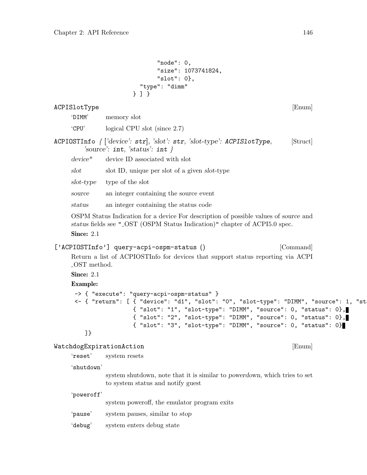```
"node": 0,
       "size": 1073741824,
       "slot": 0},
  "type": "dimm"
} ] }
```
<span id="page-147-0"></span>ACPISlotType [Enum]

| 'DIMM' | memory slot                     |
|--------|---------------------------------|
| 'CPU'  | logical CPU slot (since $2.7$ ) |

- ACPIOSTInfo { ['device': str], 'slot': str, 'slot-type': ACPISlotType, [Struct] 'source':  $\text{int}, \text{ } 'status': \text{ int } \}$ 
	- device\* device ID associated with slot

slot slot ID, unique per slot of a given slot-type

- slot-type type of the slot
- source an integer containing the source event

status an integer containing the status code

OSPM Status Indication for a device For description of possible values of source and status fields see " OST (OSPM Status Indication)" chapter of ACPI5.0 spec.

Since: 2.1

#### ['ACPIOSTInfo'] query-acpi-ospm-status () [Command]

Return a list of ACPIOSTInfo for devices that support status reporting via ACPI OST method.

Since: 2.1

#### Example:

```
-> { "execute": "query-acpi-ospm-status" }
<- { "return": [ { "device": "d1", "slot": "0", "slot-type": "DIMM", "source": 1, "st
                { "slot": "1", "slot-type": "DIMM", "source": 0, "status": 0},
                { "slot": "2", "slot-type": "DIMM", "source": 0, "status": 0},
                 { "slot": "3", "slot-type": "DIMM", "source": 0, "status": 0}
   ]}
```
#### WatchdogExpirationAction [Enum]

'reset' system resets

'shutdown'

system shutdown, note that it is similar to powerdown, which tries to set to system status and notify guest

'poweroff'

|  | system power off, the emulator program exits |  |  |  |
|--|----------------------------------------------|--|--|--|
|--|----------------------------------------------|--|--|--|

- 'pause' system pauses, similar to stop
- 'debug' system enters debug state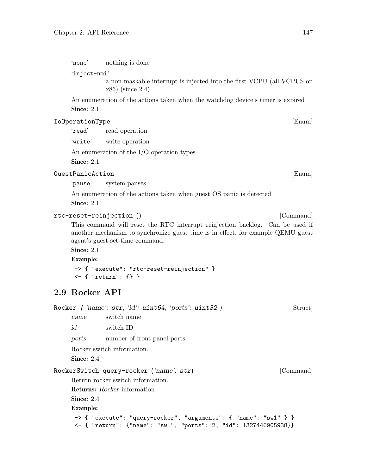<span id="page-148-0"></span>'none' nothing is done

'inject-nmi'

a non-maskable interrupt is injected into the first VCPU (all VCPUS on x86) (since 2.4)

An enumeration of the actions taken when the watchdog device's timer is expired Since: 2.1

#### IoOperationType [Enum]

'read' read operation

'write' write operation

An enumeration of the I/O operation types

**Since: 2.1** 

#### GuestPanicAction [Enum]

'pause' system pauses

An enumeration of the actions taken when guest OS panic is detected

Since: 2.1

#### rtc-reset-reinjection () [Command]

This command will reset the RTC interrupt reinjection backlog. Can be used if another mechanism to synchronize guest time is in effect, for example QEMU guest agent's guest-set-time command.

Since: 2.1

Example:

-> { "execute": "rtc-reset-reinjection" } <- { "return": {} }

#### 2.9 Rocker API

|                 | Rocker $\{ 'name': str, 'id': unit64, 'ports': unit32 \}$        | Struct    |
|-----------------|------------------------------------------------------------------|-----------|
| name            | switch name                                                      |           |
| id              | switch ID                                                        |           |
|                 | ports number of front-panel ports                                |           |
|                 | Rocker switch information.                                       |           |
| Since: $2.4$    |                                                                  |           |
|                 | RockerSwitch query-rocker ('name': str)                          | [Command] |
|                 | Return rocker switch information.                                |           |
|                 | <b>Returns:</b> <i>Rocker</i> information                        |           |
| Since: $2.4$    |                                                                  |           |
| <b>Example:</b> |                                                                  |           |
|                 | -> { "execute": "query-rocker", "arguments": { "name": "sw1" } } |           |
|                 | <- { "return": {"name": "sw1", "ports": 2, "id": 1327446905938}} |           |
|                 |                                                                  |           |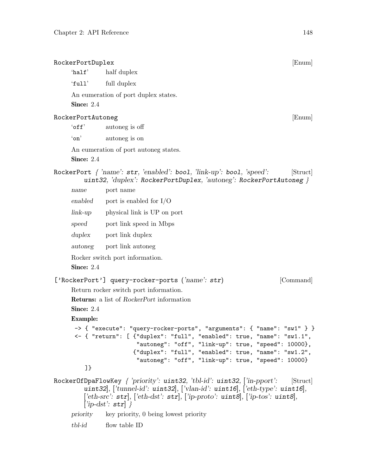```
RockerPortDuplex [Enum]
     'half' half duplex
    'full' full duplex
     An eumeration of port duplex states.
     Since: 2.4
RockerPortAutoneg [Enum]
     'off' autoneg is off
     'on' autoneg is on
     An eumeration of port autoneg states.
     Since: 2.4
RockerPort { 'name': str, 'enabled': boo1, 'link-up': boo1, 'speed': [Struct]
        uint32, 'duplex': RockerPortDuplex, 'autoneg': RockerPortAutoneg }
     name port name
     enabled port is enabled for I/Olink-up physical link is UP on port
     speed port link speed in Mbps
     duplex port link duplex
     autoneg port link autoneg
     Rocker switch port information.
     Since: 2.4
['RockerPort'] query-rocker-ports ('name': str) [Command]
     Return rocker switch port information.
     Returns: a list of RockerPort information
     Since: 2.4
     Example:
     -> { "execute": "query-rocker-ports", "arguments": { "name": "sw1" } }
      <- { "return": [ {"duplex": "full", "enabled": true, "name": "sw1.1",
                       "autoneg": "off", "link-up": true, "speed": 10000},
                      {"duplex": "full", "enabled": true, "name": "sw1.2",
                       "autoneg": "off", "link-up": true, "speed": 10000}
        ]}
RockerOfDpaFlowKey { 'priority': uint32, 'tbl-id': uint32, ['in-pport': [Struct]
        uint32], ['tunnel-id': uint32], ['vlan-id': uint16], ['eth-type': uint16],
        ['eth-src': \text{str}], ['eth-dst': \text{str}], ['ip-proto': uint8], ['ip-tos': uint8],
        \lceil'ip-dst': str\rceil }
     priority key priority, 0 being lowest priority
     tbl-id flow table ID
```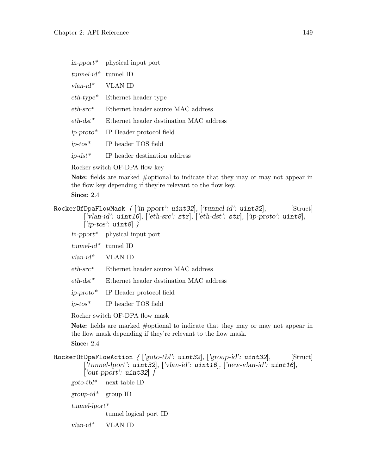<span id="page-150-0"></span>

|                          | $\text{in-pport*}$ physical input port                              |
|--------------------------|---------------------------------------------------------------------|
| tunnel- $id^*$ tunnel ID |                                                                     |
| $vlan-id^*$ VLAN ID      |                                                                     |
|                          | $eth\text{-type}^*$ Ethernet header type                            |
|                          | $\text{eth}\text{-}\text{src}^*$ Ethernet header source MAC address |
|                          | $eth\text{-}dst^*$ Ethernet header destination MAC address          |
|                          | $ip\text{-}proto*$ IP Header protocol field                         |
|                          | $ip\text{-}tos^*$ IP header TOS field                               |
|                          | $ip-dst*$ IP header destination address                             |
|                          | Rocker switch OF-DPA flow key                                       |

Note: fields are marked  $\#$ optional to indicate that they may or may not appear in the flow key depending if they're relevant to the flow key.

Since: 2.4

```
\texttt{RockerOfDpaFlowMask} \ \{ \ [\texttt{'in-pport'}: \ \texttt{uint32}], \ [\texttt{'tunnel-id'}: \ \texttt{uint32}], \textcolor{black}{[Struct]}['vlan-id': uint16], ['eth-src': str], ['eth-dst': str], ['ip-proto': uint8],
             ['ip-tos': uint8] }
```
in-pport\* physical input port

 $tunnel-id*$  tunnel ID

vlan-id\* VLAN ID

eth-src\* Ethernet header source MAC address

eth-dst\* Ethernet header destination MAC address

ip-proto\* IP Header protocol field

ip-tos\* IP header TOS field

Rocker switch OF-DPA flow mask

Note: fields are marked  $\#$ optional to indicate that they may or may not appear in the flow mask depending if they're relevant to the flow mask.

Since: 2.4

```
RockerOfDpaFlowAction \int ['goto-tbl': uint32], ['group-id': uint32], [Struct]
          ['tunnel-lport': uint32], ['vlan-id': uint16], ['new-vlan-id': uint16],
         ['out\text{-}pport': \text{uint32}]goto-tbl* next table ID
     group-id^* group ID
     tunnel-lport*
                 tunnel logical port ID
     vlan-id* VLAN ID
```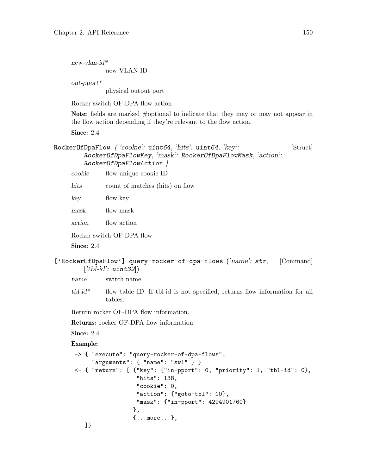<span id="page-151-0"></span> $new$ -vlan-id\*

new VLAN ID

out-pport\*

physical output port

Rocker switch OF-DPA flow action

Note: fields are marked #optional to indicate that they may or may not appear in the flow action depending if they're relevant to the flow action.

**Since: 2.4** 

```
RockerOfDpaFlow { 'cookie': uint64, 'hits': uint64, 'key': [Struct]
        RockerOfDpaFlowKey, 'mask': RockerOfDpaFlowMask, 'action':
        RockerOfDpaFlowAction }
```
cookie flow unique cookie ID

hits count of matches (hits) on flow

key flow key

mask flow mask

action flow action

Rocker switch OF-DPA flow

Since: 2.4

#### ['RockerOfDpaFlow'] query-rocker-of-dpa-flows ('name': str, [Command]  $['tbI-id':$  uint32)

name switch name

 $tbI-id*$  flow table ID. If tbl-id is not specified, returns flow information for all tables.

Return rocker OF-DPA flow information.

Returns: rocker OF-DPA flow information

Since: 2.4

Example:

```
-> { "execute": "query-rocker-of-dpa-flows",
     "arguments": { "name": "sw1" } }
<- { "return": [ {"key": {"in-pport": 0, "priority": 1, "tbl-id": 0},
                  "hits": 138,
                  "cookie": 0,
                  "action": {"goto-tbl": 10},
                  "mask": {"in-pport": 4294901760}
                 },
                 {...more...},
  ]}
```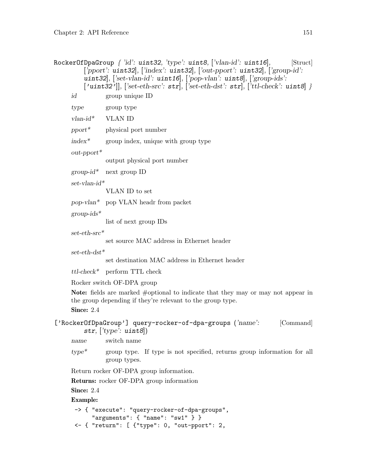<span id="page-152-0"></span>

|                       | RockerOfDpaGroup $\{ 'id': \text{uint32}, 'type': \text{uint8}, ['vlan-id': \text{uint16}],$<br>[Struct]<br>['pport': uint32], ['index': uint32], ['out-pport': uint32], ['group-id':<br>uint32], ['set-vlan-id': uint16], ['pop-vlan': uint8], ['group-ids':<br>['uint32']], ['set-eth-src': $\text{str}$ ], ['set-eth-dst': $\text{str}$ ], ['ttl-check': uint8] } |
|-----------------------|----------------------------------------------------------------------------------------------------------------------------------------------------------------------------------------------------------------------------------------------------------------------------------------------------------------------------------------------------------------------|
| id                    | group unique ID                                                                                                                                                                                                                                                                                                                                                      |
| type                  | group type                                                                                                                                                                                                                                                                                                                                                           |
| $vlan-id^*$           | VLAN ID                                                                                                                                                                                                                                                                                                                                                              |
| $pport^*$             | physical port number                                                                                                                                                                                                                                                                                                                                                 |
| $index^*$             | group index, unique with group type                                                                                                                                                                                                                                                                                                                                  |
| $out\text{-}pport*$   |                                                                                                                                                                                                                                                                                                                                                                      |
|                       | output physical port number                                                                                                                                                                                                                                                                                                                                          |
|                       | $group-id^*$ next group ID                                                                                                                                                                                                                                                                                                                                           |
| $set$ -vlan-id*       |                                                                                                                                                                                                                                                                                                                                                                      |
|                       | VLAN ID to set                                                                                                                                                                                                                                                                                                                                                       |
|                       | $pop\text{-}vlan^*$ pop VLAN headr from packet                                                                                                                                                                                                                                                                                                                       |
| $group-ids^*$         |                                                                                                                                                                                                                                                                                                                                                                      |
|                       | list of next group IDs                                                                                                                                                                                                                                                                                                                                               |
| $set-eth\text{-}src*$ | set source MAC address in Ethernet header                                                                                                                                                                                                                                                                                                                            |
|                       |                                                                                                                                                                                                                                                                                                                                                                      |
| $set-eth-dst*$        | set destination MAC address in Ethernet header                                                                                                                                                                                                                                                                                                                       |
|                       | $ttl-check*$ perform TTL check                                                                                                                                                                                                                                                                                                                                       |
|                       | Rocker switch OF-DPA group                                                                                                                                                                                                                                                                                                                                           |
|                       | <b>Note:</b> fields are marked $\#$ optional to indicate that they may or may not appear in<br>the group depending if they're relevant to the group type.                                                                                                                                                                                                            |
| Since: 2.4            |                                                                                                                                                                                                                                                                                                                                                                      |
|                       | ['RockerOfDpaGroup'] query-rocker-of-dpa-groups ('name': [Command]<br>str, ['type': <i>uint8</i> ]                                                                                                                                                                                                                                                                   |
| name                  | switch name                                                                                                                                                                                                                                                                                                                                                          |
| $type^*$              | group type. If type is not specified, returns group information for all<br>group types.                                                                                                                                                                                                                                                                              |
|                       | Return rocker OF-DPA group information.                                                                                                                                                                                                                                                                                                                              |
|                       | <b>Returns:</b> rocker OF-DPA group information                                                                                                                                                                                                                                                                                                                      |
| Since: 2.4            |                                                                                                                                                                                                                                                                                                                                                                      |
| Example:              |                                                                                                                                                                                                                                                                                                                                                                      |
|                       | -> { "execute": "query-rocker-of-dpa-groups",<br>"arguments": { "name": "sw1" } }                                                                                                                                                                                                                                                                                    |
|                       | <- { "return": [ {"type": 0, "out-pport": 2,                                                                                                                                                                                                                                                                                                                         |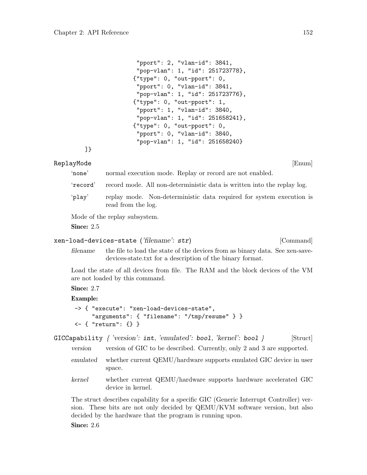```
"pport": 2, "vlan-id": 3841,
 "pop-vlan": 1, "id": 251723778},
{"type": 0, "out-pport": 0,
 "pport": 0, "vlan-id": 3841,
 "pop-vlan": 1, "id": 251723776},
{"type": 0, "out-pport": 1,
 "pport": 1, "vlan-id": 3840,
 "pop-vlan": 1, "id": 251658241},
{"type": 0, "out-pport": 0,
 "pport": 0, "vlan-id": 3840,
 "pop-vlan": 1, "id": 251658240}
```
]}

ReplayMode [Enum]

- 'none' normal execution mode. Replay or record are not enabled.
- 'record' record mode. All non-deterministic data is written into the replay log.
- 'play' replay mode. Non-deterministic data required for system execution is read from the log.

Mode of the replay subsystem.

Since: 2.5

```
xen-load-devices-state ('filename': str) [Command]
```
filename the file to load the state of the devices from as binary data. See xen-savedevices-state.txt for a description of the binary format.

Load the state of all devices from file. The RAM and the block devices of the VM are not loaded by this command.

#### Since: 2.7

#### Example:

```
-> { "execute": "xen-load-devices-state",
     "arguments": { "filename": "/tmp/resume" } }
<- { "return": {} }
```
GICCapability  $\{$  'version': int, 'emulated': bool, 'kernel': bool  $\}$  [Struct] version version of GIC to be described. Currently, only 2 and 3 are supported.

- emulated whether current QEMU/hardware supports emulated GIC device in user space.
- kernel whether current QEMU/hardware supports hardware accelerated GIC device in kernel.

The struct describes capability for a specific GIC (Generic Interrupt Controller) version. These bits are not only decided by QEMU/KVM software version, but also decided by the hardware that the program is running upon.

Since: 2.6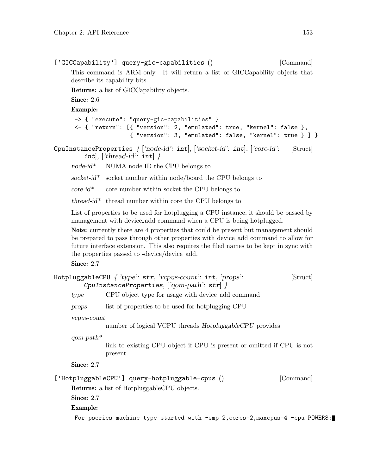```
['GICCapability'] query-gic-capabilities () [Command]
    This command is ARM-only. It will return a list of GICCapability objects that
    describe its capability bits.
    Returns: a list of GICCapability objects.
    Since: 2.6
```
Example:

```
-> { "execute": "query-gic-capabilities" }
<- { "return": [{ "version": 2, "emulated": true, "kernel": false },
                { "version": 3, "emulated": false, "kernel": true } ] }
```
CpuInstanceProperties  $\{ \nvert \text{'node-id': int} \rangle, \nvert \text{'} socket-id': int}$ ,  $\{ \text{'core-id': \nvert \text{Struct}} \}$ int], ['thread-id': int] }

node-id\* NUMA node ID the CPU belongs to

socket- $id^*$  socket number within node/board the CPU belongs to

 $\text{core-id}^*$  core number within socket the CPU belongs to

thread- $id^*$  thread number within core the CPU belongs to

List of properties to be used for hotplugging a CPU instance, it should be passed by management with device add command when a CPU is being hotplugged.

Note: currently there are 4 properties that could be present but management should be prepared to pass through other properties with device add command to allow for future interface extension. This also requires the filed names to be kept in sync with the properties passed to -device/device add.

Since: 2.7

```
HotpluggableCPU { 'type': str, 'vcpus-count': int, 'props': [Struct]
         CpuInstanceProperties, \lceil'qom-path': str\rceil }
```
type CPU object type for usage with device add command

props list of properties to be used for hotplugging CPU

vcpus-count

number of logical VCPU threads HotpluggableCPU provides

 $qom-path*$ 

link to existing CPU object if CPU is present or omitted if CPU is not present.

Since: 2.7

['HotpluggableCPU'] query-hotpluggable-cpus () [Command]

Returns: a list of HotpluggableCPU objects.

Since: 2.7

Example:

For pseries machine type started with -smp 2, cores=2, maxcpus=4 -cpu POWER8: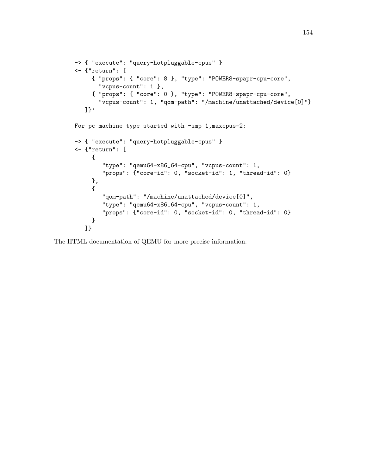```
-> { "execute": "query-hotpluggable-cpus" }
<- {"return": [
     { "props": { "core": 8 }, "type": "POWER8-spapr-cpu-core",
       "vcpus-count": 1 },
     { "props": { "core": 0 }, "type": "POWER8-spapr-cpu-core",
       "vcpus-count": 1, "qom-path": "/machine/unattached/device[0]"}
   ]}'
For pc machine type started with -smp 1,maxcpus=2:
-> { "execute": "query-hotpluggable-cpus" }
<- {"return": [
     {
        "type": "qemu64-x86_64-cpu", "vcpus-count": 1,
        "props": {"core-id": 0, "socket-id": 1, "thread-id": 0}
     },
     {
        "qom-path": "/machine/unattached/device[0]",
        "type": "qemu64-x86_64-cpu", "vcpus-count": 1,
        "props": {"core-id": 0, "socket-id": 0, "thread-id": 0}
    }
   ]}
```
The HTML documentation of QEMU for more precise information.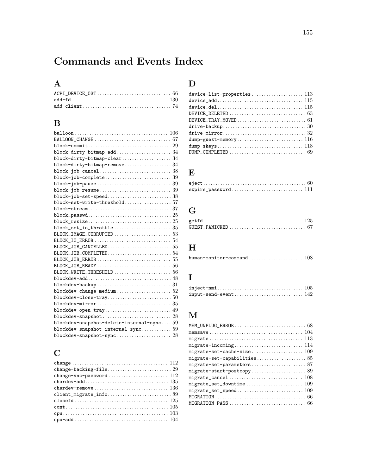## Commands and Events Index

#### A

#### B

| block-dirty-bitmap-add34                                                                  |
|-------------------------------------------------------------------------------------------|
| block-dirty-bitmap-clear34                                                                |
| block-dirty-bitmap-remove34                                                               |
|                                                                                           |
| $block-job-complete \ldots \ldots \ldots \ldots \ldots \ldots \ldots \ldots \ldots 39$    |
|                                                                                           |
|                                                                                           |
|                                                                                           |
| block-set-write-threshold57                                                               |
|                                                                                           |
|                                                                                           |
|                                                                                           |
|                                                                                           |
| $BLOCK_I MAGE_CORRUPTED \ldots \ldots \ldots \ldots \ldots \ldots 53$                     |
|                                                                                           |
|                                                                                           |
|                                                                                           |
|                                                                                           |
|                                                                                           |
|                                                                                           |
|                                                                                           |
|                                                                                           |
|                                                                                           |
| $blockdev \text{-}close \text{-}tray \ldots \ldots \ldots \ldots \ldots \ldots \ldots 50$ |
|                                                                                           |
|                                                                                           |
|                                                                                           |
| $blockedev-snapshot-delete-internal-sync59$                                               |
| $blockedev-snapshot-internal-sync \ldots .59$                                             |
|                                                                                           |
|                                                                                           |

### C

| change $\ldots \ldots \ldots \ldots \ldots \ldots \ldots \ldots \ldots \ldots \ldots \ldots 112$ |  |
|--------------------------------------------------------------------------------------------------|--|
|                                                                                                  |  |
|                                                                                                  |  |
|                                                                                                  |  |
|                                                                                                  |  |
|                                                                                                  |  |
|                                                                                                  |  |
|                                                                                                  |  |
|                                                                                                  |  |
|                                                                                                  |  |

### D

| DEVICE_DELETED $\ldots \ldots \ldots \ldots \ldots \ldots \ldots \ldots \ldots \ldots \ldots \ldots$ |
|------------------------------------------------------------------------------------------------------|
|                                                                                                      |
|                                                                                                      |
|                                                                                                      |
| $dump-guest-memory \ldots \ldots \ldots \ldots \ldots \ldots \ldots \ldots \ldots 116$               |
|                                                                                                      |
|                                                                                                      |
|                                                                                                      |

#### ${\bf E}$

## G

#### H

```
108
```
#### I

### M

| MEM_UNPLUG_ERROR $\dots\dots\dots\dots\dots\dots\dots\dots\dots\dots\ 68$ |
|---------------------------------------------------------------------------|
|                                                                           |
|                                                                           |
|                                                                           |
|                                                                           |
|                                                                           |
|                                                                           |
|                                                                           |
|                                                                           |
|                                                                           |
|                                                                           |
|                                                                           |
|                                                                           |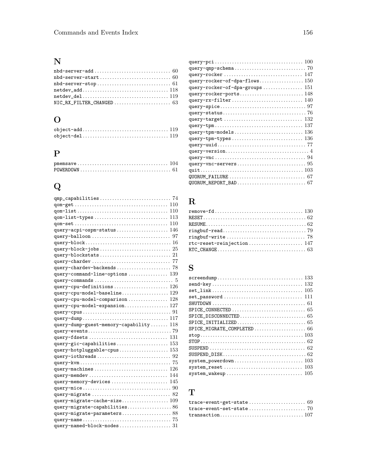## N

## O

### P

## Q

| $qom-list - types \ldots \ldots \ldots \ldots \ldots \ldots \ldots \ldots \ldots \ldots 113$    |
|-------------------------------------------------------------------------------------------------|
|                                                                                                 |
|                                                                                                 |
| query-balloon $\ldots \ldots \ldots \ldots \ldots \ldots \ldots \ldots \ldots \ldots \ldots$ 97 |
|                                                                                                 |
|                                                                                                 |
|                                                                                                 |
|                                                                                                 |
|                                                                                                 |
| query-command-line-options $139$                                                                |
|                                                                                                 |
|                                                                                                 |
| query-cpu-model-baseline 129                                                                    |
| query-cpu-model-comparison $128$                                                                |
|                                                                                                 |
|                                                                                                 |
|                                                                                                 |
| query-dump-guest-memory-capability $118$                                                        |
|                                                                                                 |
|                                                                                                 |
|                                                                                                 |
|                                                                                                 |
|                                                                                                 |
|                                                                                                 |
|                                                                                                 |
|                                                                                                 |
|                                                                                                 |
|                                                                                                 |
|                                                                                                 |
|                                                                                                 |
|                                                                                                 |
|                                                                                                 |
|                                                                                                 |
|                                                                                                 |

| $query\text{-rocket}\dots\dots\dots\dots\dots\dots\dots\dots\dots\dots\dots 147$                            |
|-------------------------------------------------------------------------------------------------------------|
|                                                                                                             |
| 151<br>query-rocker-of-dpa-groups                                                                           |
| $\,$ query-rocker-ports $\ldots \ldots \ldots \ldots \ldots \ldots \ldots \ldots \, 148$                    |
|                                                                                                             |
| ${\tt query \text{-}spice.}\dots\dots\dots\dots\dots\dots\dots\dots\dots\dots\dots\,97$                     |
|                                                                                                             |
| ${\tt query\text{-}target}\,\dots\dots\dots\dots\dots\dots\dots\dots\dots\ 132$                             |
| ${\tt query\text{-}tpm \dots \dots \dots \dots \dots \dots \dots \dots \dots \dots \ 137}$                  |
|                                                                                                             |
| <code>query-tpm-types</code> $\ldots \ldots \ldots \ldots \ldots \ldots \ldots \ldots \ldots \ldots \; 136$ |
|                                                                                                             |
| ${\tt query\text{-}version.}\dots\dots\dots\dots\dots\dots\dots\dots\dots\dots\dots A$                      |
|                                                                                                             |
| query-vnc-servers $\ldots\ldots\ldots\ldots\ldots\ldots\ldots\ldots\ldots\ldots\ 95$                        |
|                                                                                                             |
| $\verb+QUORUM_FAILURE \dots \dots \dots \dots \dots \dots \dots \dots \dots \dots \ 67$                     |
| $\verb+QUORUM\_REPORT_BAD \dots \dots \dots \dots \dots \dots \dots \dots \dots \ 67$                       |

### R

| $\verb+rtc-reset-reinjection\dots\dots\dots\dots\dots\ 147$ |  |
|-------------------------------------------------------------|--|
|                                                             |  |

### S

| $set_{password \ldots \ldots \ldots \ldots \ldots \ldots \ldots \ldots \ldots 111}$                             |
|-----------------------------------------------------------------------------------------------------------------|
| $SHUTDOWN \ldots \ldots \ldots \ldots \ldots \ldots \ldots \ldots \ldots \ldots \ldots \ldots \qquad 61$        |
| $SPICE_CONNECTED \ldots \ldots \ldots \ldots \ldots \ldots \ldots \ldots \ldots \quad 65$                       |
| $SPICE_DISCONNECTED \ldots \ldots \ldots \ldots \ldots \ldots \ldots \ldots \ldots \ldots \ldots \ldots \ldots$ |
|                                                                                                                 |
|                                                                                                                 |
| $\verb+stop+.\ldots+\ldots+\ldots+\ldots+\ldots+103$                                                            |
|                                                                                                                 |
|                                                                                                                 |
|                                                                                                                 |
|                                                                                                                 |
|                                                                                                                 |
| $\texttt{system\_wakeup}\dots\dots\dots\dots\dots\dots\dots\dots\dots \dots 105$                                |

### T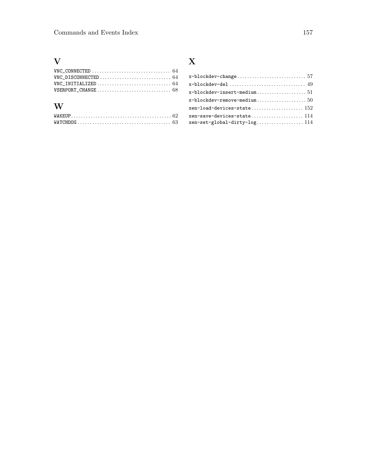### V

### W

### X

| $x$ -blockdev-remove-medium50 |
|-------------------------------|
|                               |
|                               |
| xen-set-global-dirty-log 114  |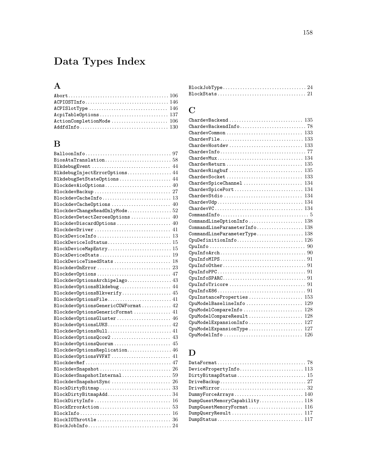# Data Types Index

## A

| $ACPISlotType \ldots \ldots \ldots \ldots \ldots \ldots \ldots \ldots \ldots \ldots 146$ |  |
|------------------------------------------------------------------------------------------|--|
|                                                                                          |  |
|                                                                                          |  |
|                                                                                          |  |

## B

| BlkdebugEvent  44                                                                                                              |
|--------------------------------------------------------------------------------------------------------------------------------|
| BlkdebugInjectError0ptions 44                                                                                                  |
| BlkdebugSetStateOptions 44                                                                                                     |
|                                                                                                                                |
| BlockdevAioOptions 40                                                                                                          |
|                                                                                                                                |
| BlockdevCacheInfo 13                                                                                                           |
| BlockdevCacheOptions  40                                                                                                       |
| BlockdevChangeReadOnlyMode52                                                                                                   |
| BlockdevDetectZeroesOptions $40$                                                                                               |
|                                                                                                                                |
| BlockdevDriver 41                                                                                                              |
|                                                                                                                                |
|                                                                                                                                |
|                                                                                                                                |
|                                                                                                                                |
| BlockDeviceTimedStats 18                                                                                                       |
|                                                                                                                                |
|                                                                                                                                |
| BlockdevOptionsArchipelago 43                                                                                                  |
| BlockdevOptionsBlkdebug 44                                                                                                     |
| BlockdevOptionsBlkverify 45                                                                                                    |
| BlockdevOptionsFile 41                                                                                                         |
| $\texttt{BlockdevOptionsGenericCOWFormat} \dots \dots \dots \dots \, 42$                                                       |
| BlockdevOptionsGenericFormat 41                                                                                                |
| $\texttt{BlockdevOptionsCluster}\dots\dots\dots\dots\dots\dots\dots\dots \ 46$                                                 |
| BlockdevOptionsLUKS 42                                                                                                         |
| Blockdev0ptionsNull 41                                                                                                         |
| BlockdevOptionsQcow2 43                                                                                                        |
| BlockdevOptionsQuorum 45                                                                                                       |
| BlockdevOptionsReplication 46                                                                                                  |
| BlockdevOptionsVVFAT 41                                                                                                        |
|                                                                                                                                |
|                                                                                                                                |
| BlockdevSnapshotInternal59                                                                                                     |
| $\label{thm:block} \texttt{BlockdevSnapshotSync}\ \dots\dots\dots\dots\dots\dots\dots\dots \dots \dots \dots \dots \dots \ 26$ |
|                                                                                                                                |
| BlockDirtyBitmapAdd34                                                                                                          |
|                                                                                                                                |
|                                                                                                                                |
|                                                                                                                                |
|                                                                                                                                |
|                                                                                                                                |
|                                                                                                                                |

## C

| ChardevRingbuf<br>135                                                         |
|-------------------------------------------------------------------------------|
| $ChardevSocket$<br>133                                                        |
| ChardevSpiceChannel<br>134                                                    |
|                                                                               |
|                                                                               |
|                                                                               |
|                                                                               |
|                                                                               |
| CommandLineOptionInfo 138                                                     |
| $\texttt{CommandLineParameterInfo} \dots \dots \dots \dots \dots \dots \ 138$ |
|                                                                               |
| CpuDefinitionInfo 126                                                         |
|                                                                               |
|                                                                               |
|                                                                               |
|                                                                               |
|                                                                               |
|                                                                               |
|                                                                               |
|                                                                               |
|                                                                               |
| CpuModelBaselineInfo 129                                                      |
| CpuModelCompareInfo<br>128                                                    |
| 128<br>CpuModelCompareResult                                                  |
| 127<br>CpuModelExpansionInfo                                                  |
| 127<br>CpuModelExpansionType                                                  |
| CpuModelInfo<br>126                                                           |

## D

| DumpGuestMemoryCapability118 |
|------------------------------|
| DumpGuestMemoryFormat 116    |
|                              |
|                              |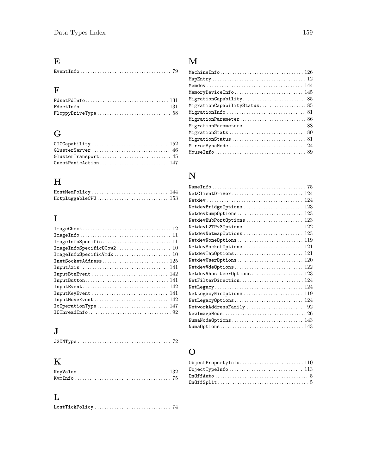## E

|--|--|--|

### F

| $FdsetInfo \ldots \ldots \ldots \ldots \ldots \ldots \ldots \ldots \ldots \ldots \ldots 131$ |  |
|----------------------------------------------------------------------------------------------|--|
|                                                                                              |  |

## G

## H

| HostMemPolicy  144 |  |
|--------------------|--|
|                    |  |

## I

| $ImageInfoSpecific \ldots \ldots \ldots \ldots \ldots \ldots \ldots \ldots \ldots 11$   |
|-----------------------------------------------------------------------------------------|
|                                                                                         |
| $\verb+ImageInfoSpecificVmdk+ \dots \dots \dots \dots \dots \dots \dots \ 10$           |
| $Inetsock et Address \dots \dots \dots \dots \dots \dots \dots \dots \dots \dots \ 125$ |
|                                                                                         |
|                                                                                         |
|                                                                                         |
|                                                                                         |
| InputKeyEvent  141                                                                      |
| InputMoveEvent<br>142                                                                   |
| $IoOperationType \ldots \ldots \ldots \ldots \ldots \ldots \ldots \ldots \ldots 147$    |
|                                                                                         |

## J

| JSONType $\ldots \ldots \ldots \ldots \ldots \ldots \ldots \ldots \ldots \ldots \ldots \ldots$ 72 |  |  |  |  |  |  |  |  |  |  |  |  |  |  |  |  |  |  |  |  |
|---------------------------------------------------------------------------------------------------|--|--|--|--|--|--|--|--|--|--|--|--|--|--|--|--|--|--|--|--|

## K

## L

|--|--|--|--|--|--|--|

## M

| MigrationCapabilityStatus 85 |
|------------------------------|
|                              |
|                              |
|                              |
|                              |
|                              |
|                              |
|                              |

## N

| $\verb NameInfo , \verb .\ , \verb .\ , \verb .\ , \verb .\ , \verb .\ , \verb .\ , \verb .\ , \verb .\ , \verb .\ , \verb .\ , \verb .\ , \verb .\ , \verb .\ , \verb .\ , \verb .\ , \verb .\ , \verb .\ , \verb .\ , \verb .\ , \verb .\ , \verb .\ , \verb .\ , \verb .\ , \verb .\ , \verb .\ , \verb .\ , \verb .\ , \verb .\ , \verb .\ , \verb .\ , \verb .\ , \verb .\ , \verb .\ , \verb .\ , \verb .\ , \verb $ |
|----------------------------------------------------------------------------------------------------------------------------------------------------------------------------------------------------------------------------------------------------------------------------------------------------------------------------------------------------------------------------------------------------------------------------|
|                                                                                                                                                                                                                                                                                                                                                                                                                            |
| 124                                                                                                                                                                                                                                                                                                                                                                                                                        |
| NetdevBridgeOptions<br>123                                                                                                                                                                                                                                                                                                                                                                                                 |
| 123<br>NetdevDumpOptions                                                                                                                                                                                                                                                                                                                                                                                                   |
| 123<br>NetdevHubPortOptions                                                                                                                                                                                                                                                                                                                                                                                                |
| 122<br>NetdevL2TPv30ptions                                                                                                                                                                                                                                                                                                                                                                                                 |
| 123<br>NetdevNetmapOptions                                                                                                                                                                                                                                                                                                                                                                                                 |
|                                                                                                                                                                                                                                                                                                                                                                                                                            |
| 121<br>NetdevSocketOptions                                                                                                                                                                                                                                                                                                                                                                                                 |
| ${\tt NetdevTapOptions}\dots\dots\dots\dots\dots\dots\dots\dots\dots 121$                                                                                                                                                                                                                                                                                                                                                  |
| ${\tt NetdevUserOptions. 120}$                                                                                                                                                                                                                                                                                                                                                                                             |
| ${\tt NetdevVdeOptions} \dots \dots \dots \dots \dots \dots \dots \dots \dots \ 122$                                                                                                                                                                                                                                                                                                                                       |
| ${\tt NetdevVhostUserOptions}\dots\dots\dots\dots\dots\dots \dots 123$                                                                                                                                                                                                                                                                                                                                                     |
| ${\tt NetFilterDirection}\dots\dots\dots\dots\dots\dots\dots\dots 124$                                                                                                                                                                                                                                                                                                                                                     |
| ${\tt NetLegacy}\ldots\ldots\ldots\ldots\ldots\ldots\ldots\ldots\ldots\ldots\ldots\ldots\ 124$                                                                                                                                                                                                                                                                                                                             |
| ${\tt NetLegacyNicOptions}\;.\dots.\dots.\dots.\dots.\dots.\;119$                                                                                                                                                                                                                                                                                                                                                          |
| ${\tt NetLegacyOptions}\dots\dots\dots\dots\dots\dots\dots\dots\dots 124$                                                                                                                                                                                                                                                                                                                                                  |
| ${\tt NetworkAddressFamily \dots \dots \dots \dots \dots \dots \dots \ 92}$                                                                                                                                                                                                                                                                                                                                                |
|                                                                                                                                                                                                                                                                                                                                                                                                                            |
| $NumaNodeOptions \dots \dots \dots \dots \dots \dots \dots \dots \dots \dots \ 143$                                                                                                                                                                                                                                                                                                                                        |
| $\texttt{NumaOptions} \dots \dots \dots \dots \dots \dots \dots \dots \dots \dots \dots \ 143$                                                                                                                                                                                                                                                                                                                             |

## O

| ObjectPropertyInfo 110                                                |  |
|-----------------------------------------------------------------------|--|
| ObjectTypeInfo 113                                                    |  |
| $OnOffAuto \ldots, \ldots, \ldots, \ldots, \ldots, \ldots, \ldots, 5$ |  |
|                                                                       |  |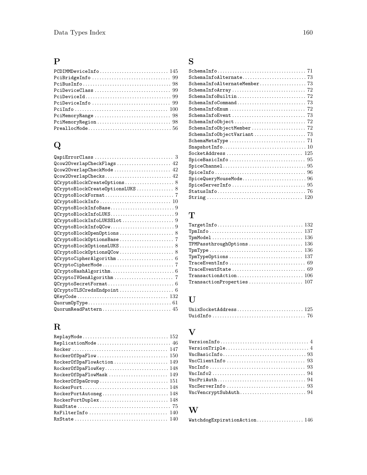### P

| PCDIMMDeviceInfo 145                                                                |  |
|-------------------------------------------------------------------------------------|--|
|                                                                                     |  |
|                                                                                     |  |
|                                                                                     |  |
|                                                                                     |  |
|                                                                                     |  |
|                                                                                     |  |
|                                                                                     |  |
| $PciMemoryRegion \ldots \ldots \ldots \ldots \ldots \ldots \ldots \ldots \ldots 98$ |  |
| $PreallocMode \ldots \ldots \ldots \ldots \ldots \ldots \ldots \ldots \ldots 56$    |  |

# Q

| $\texttt{QapiErrorClass}\dots\dots\dots\dots\dots\dots\dots\dots\dots\ 3$        |
|----------------------------------------------------------------------------------|
| $\verb Qcow20verlapCheckFlags\dots\dots\dots\dots\dots\ 42$                      |
|                                                                                  |
|                                                                                  |
|                                                                                  |
| QCryptoBlockCreateOptionsLUKS 8                                                  |
|                                                                                  |
|                                                                                  |
|                                                                                  |
|                                                                                  |
|                                                                                  |
|                                                                                  |
|                                                                                  |
|                                                                                  |
|                                                                                  |
|                                                                                  |
|                                                                                  |
|                                                                                  |
|                                                                                  |
| $QCryptoIVGenAlgorithms \dots \dots \dots \dots \dots \dots \dots$               |
| $QCryptoSecretFormat \dots 0 0$                                                  |
|                                                                                  |
|                                                                                  |
|                                                                                  |
| $\mathtt{QuorumReadPattern}\ldots\ldots\ldots\ldots\ldots\ldots\ldots\ldots\ 45$ |
|                                                                                  |

## R

## S

| $SchemaInfoCommand \ldots \ldots \ldots \ldots \ldots \ldots \ldots \ldots \ldots \ldots \ldots$<br>$SchemaInfoEnum \dots \dots \dots \dots \dots \dots \dots \dots \dots \dots \ 72$ |
|---------------------------------------------------------------------------------------------------------------------------------------------------------------------------------------|
|                                                                                                                                                                                       |
|                                                                                                                                                                                       |
|                                                                                                                                                                                       |
|                                                                                                                                                                                       |
|                                                                                                                                                                                       |
|                                                                                                                                                                                       |
|                                                                                                                                                                                       |
|                                                                                                                                                                                       |
|                                                                                                                                                                                       |
|                                                                                                                                                                                       |
|                                                                                                                                                                                       |
|                                                                                                                                                                                       |
|                                                                                                                                                                                       |
|                                                                                                                                                                                       |
|                                                                                                                                                                                       |
|                                                                                                                                                                                       |
|                                                                                                                                                                                       |
|                                                                                                                                                                                       |
|                                                                                                                                                                                       |
|                                                                                                                                                                                       |

## T

| $TpmInfo \ldots \ldots \ldots \ldots \ldots \ldots \ldots \ldots \ldots \ldots \ldots \ldots \ldots 137$                     |  |
|------------------------------------------------------------------------------------------------------------------------------|--|
|                                                                                                                              |  |
|                                                                                                                              |  |
|                                                                                                                              |  |
| $TpmTypeOptions \dots \dots \dots \dots \dots \dots \dots \dots \dots \dots \dots \dots \dots \dots \dots \dots \dots \dots$ |  |
| $TraceEventInfo \dots \dots \dots \dots \dots \dots \dots \dots \dots \dots \dots \dots \69$                                 |  |
|                                                                                                                              |  |
|                                                                                                                              |  |
|                                                                                                                              |  |

## $\mathbf U$

## V

| $VncClientInfo \ldots \ldots \ldots \ldots \ldots \ldots \ldots \ldots \ldots 93$          |
|--------------------------------------------------------------------------------------------|
|                                                                                            |
| $VncInfo2 \ldots \ldots \ldots \ldots \ldots \ldots \ldots \ldots \ldots \ldots \ldots 94$ |
|                                                                                            |
| $VncServerInfo \ldots \ldots \ldots \ldots \ldots \ldots \ldots \ldots \ldots 93$          |
|                                                                                            |

### W

| WatchdogExpirationAction 146 |
|------------------------------|
|------------------------------|